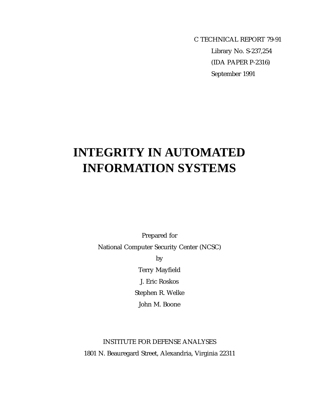C TECHNICAL REPORT 79-91 Library No. S-237,254 (IDA PAPER P-2316) September 1991

# **INTEGRITY IN AUTOMATED INFORMATION SYSTEMS**

Prepared for National Computer Security Center (NCSC) by Terry Mayfield J. Eric Roskos

Stephen R. Welke

John M. Boone

# INSTITUTE FOR DEFENSE ANALYSES 1801 N. Beauregard Street, Alexandria, Virginia 22311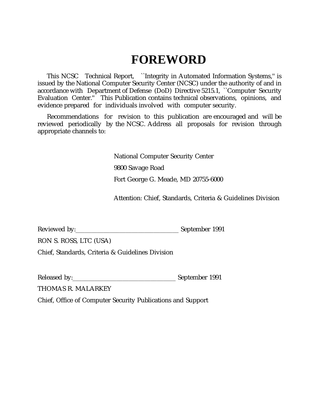# **FOREWORD**

This NCSC Technical Report, ``Integrity in Automated Information Systems,'' is issued by the National Computer Security Center (NCSC) under the authority of and in accordance with Department of Defense (DoD) Directive 5215.1, ``Computer Security Evaluation Center.'' This Publication contains technical observations, opinions, and evidence prepared for individuals involved with computer security.

Recommendations for revision to this publication are encouraged and will be reviewed periodically by the NCSC. Address all proposals for revision through appropriate channels to:

National Computer Security Center

9800 Savage Road

Fort George G. Meade, MD 20755-6000

Attention: Chief, Standards, Criteria & Guidelines Division

| Reviewed by: | September 1991 |  |
|--------------|----------------|--|
|              |                |  |

RON S. ROSS, LTC (USA)

Chief, Standards, Criteria & Guidelines Division

Released by:\_\_\_\_\_\_\_\_\_\_\_\_\_\_\_\_\_\_\_\_\_\_\_\_\_\_\_\_\_\_\_\_\_ September 1991

THOMAS R. MALARKEY

Chief, Office of Computer Security Publications and Support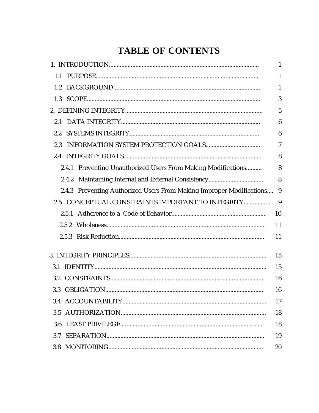# **TABLE OF CONTENTS**

|                                                                      | 1              |
|----------------------------------------------------------------------|----------------|
| 1.1                                                                  | 1              |
| 1.2                                                                  | 1              |
| 1.3                                                                  | 3              |
|                                                                      | 5              |
| 2.1                                                                  | 6              |
| $2.2\,$                                                              | 6              |
| 2.3                                                                  | $\overline{7}$ |
|                                                                      | 8              |
| 2.4.1 Preventing Unauthorized Users From Making Modifications        | 8              |
| 2.4.2                                                                | 8              |
| 2.4.3 Preventing Authorized Users From Making Improper Modifications | 9              |
| 2.5 CONCEPTUAL CONSTRAINTS IMPORTANT TO INTEGRITY                    | 9              |
|                                                                      | 10             |
|                                                                      | 11             |
|                                                                      | 11             |
|                                                                      | 15             |
| 3.1                                                                  | 15             |
|                                                                      | 16             |
|                                                                      | 16             |
|                                                                      | 17             |
| 3.5                                                                  | 18             |
| 3.6                                                                  | 18             |
| 3.7                                                                  | 19             |
|                                                                      | 20             |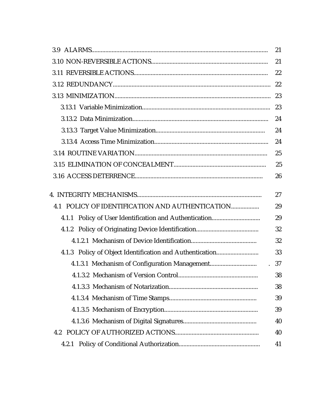|                                                          | 21 |
|----------------------------------------------------------|----|
|                                                          | 21 |
|                                                          | 22 |
|                                                          | 22 |
|                                                          | 23 |
|                                                          | 23 |
|                                                          | 24 |
|                                                          | 24 |
|                                                          | 24 |
|                                                          | 25 |
|                                                          | 25 |
|                                                          | 26 |
|                                                          | 27 |
| 4.1 POLICY OF IDENTIFICATION AND AUTHENTICATION          | 29 |
|                                                          | 29 |
|                                                          | 32 |
|                                                          | 32 |
| 4.1.3 Policy of Object Identification and Authentication | 33 |
| $\mathbb{R}^2$                                           | 37 |
|                                                          | 38 |
|                                                          | 38 |
|                                                          | 39 |
|                                                          | 39 |
|                                                          | 40 |
|                                                          | 40 |
| 4.2.1                                                    | 41 |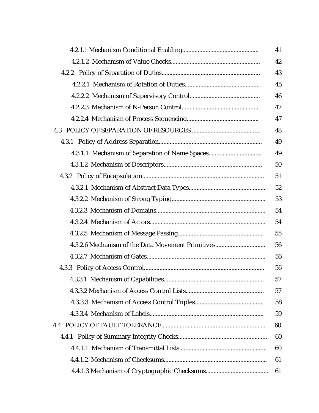|                                                   | 41 |
|---------------------------------------------------|----|
|                                                   | 42 |
|                                                   | 43 |
|                                                   | 45 |
|                                                   | 46 |
|                                                   | 47 |
|                                                   | 47 |
|                                                   | 48 |
|                                                   | 49 |
| 4.3.1.1 Mechanism of Separation of Name Spaces    | 49 |
|                                                   | 50 |
|                                                   | 51 |
|                                                   | 52 |
|                                                   | 53 |
|                                                   | 54 |
|                                                   | 54 |
|                                                   | 55 |
| 4.3.2.6 Mechanism of the Data Movement Primitives | 56 |
|                                                   | 56 |
|                                                   | 56 |
|                                                   | 57 |
|                                                   | 57 |
|                                                   | 58 |
|                                                   | 59 |
|                                                   | 60 |
|                                                   | 60 |
|                                                   | 60 |
|                                                   | 61 |
|                                                   | 61 |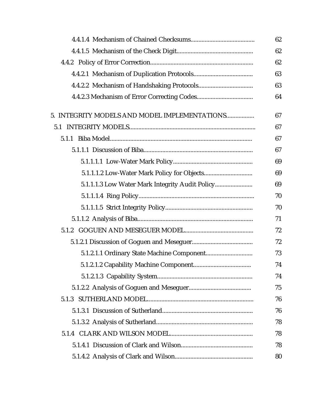|                                                 | 62 |
|-------------------------------------------------|----|
|                                                 | 62 |
|                                                 | 62 |
|                                                 | 63 |
|                                                 | 63 |
|                                                 | 64 |
| 5. INTEGRITY MODELS AND MODEL IMPLEMENTATIONS   | 67 |
|                                                 | 67 |
|                                                 | 67 |
|                                                 | 67 |
|                                                 | 69 |
|                                                 | 69 |
| 5.1.1.1.3 Low Water Mark Integrity Audit Policy | 69 |
|                                                 | 70 |
|                                                 | 70 |
|                                                 | 71 |
|                                                 | 72 |
|                                                 | 72 |
|                                                 | 73 |
|                                                 | 74 |
|                                                 | 74 |
|                                                 | 75 |
|                                                 | 76 |
|                                                 | 76 |
|                                                 | 78 |
|                                                 | 78 |
|                                                 | 78 |
|                                                 | 80 |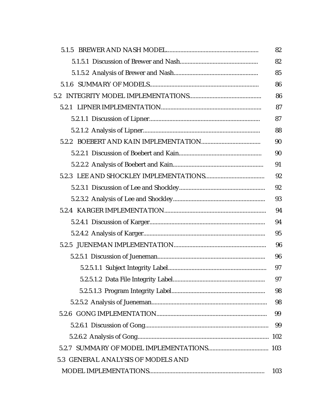|                                    | 82  |
|------------------------------------|-----|
|                                    | 82  |
|                                    | 85  |
|                                    | 86  |
|                                    | 86  |
|                                    | 87  |
|                                    | 87  |
|                                    | 88  |
|                                    | 90  |
|                                    | 90  |
|                                    | 91  |
|                                    | 92  |
|                                    | 92  |
|                                    | 93  |
|                                    | 94  |
|                                    | 94  |
|                                    | 95  |
|                                    | 96  |
|                                    | 96  |
|                                    | 97  |
|                                    | 97  |
|                                    | 98  |
|                                    | 98  |
|                                    | 99  |
|                                    | 99  |
|                                    |     |
|                                    |     |
| 5.3 GENERAL ANALYSIS OF MODELS AND |     |
|                                    | 103 |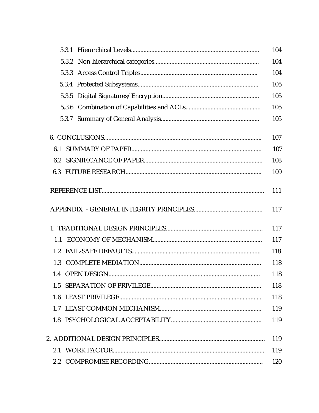|         | 104        |
|---------|------------|
|         | 104        |
|         | 104        |
|         | 105        |
|         | 105        |
|         | 105        |
|         | 105        |
|         | 107        |
|         | 107        |
| 6.2     | 108        |
|         | 109        |
|         | 111<br>117 |
|         | 117        |
| 1.1     | 117        |
| 1.2     | 118        |
| 1.3     | 118        |
|         | 118        |
|         | 118        |
| $1.6\,$ | 118        |
|         | 119        |
|         | 119        |
|         | 119        |
|         | 119        |
|         | 120        |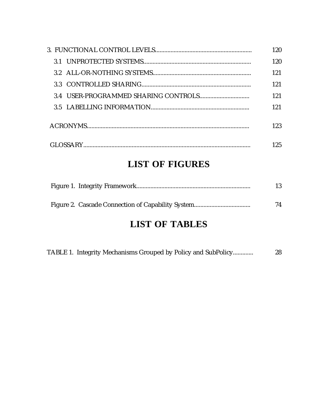|  | 120 |
|--|-----|
|  | 120 |
|  | 121 |
|  | 121 |
|  | 121 |
|  | 121 |
|  | 123 |
|  | 125 |

# **LIST OF FIGURES**

|  | 13 |
|--|----|
|  | 74 |

# **LIST OF TABLES**

|  | TABLE 1. Integrity Mechanisms Grouped by Policy and SubPolicy | 28 |
|--|---------------------------------------------------------------|----|
|  |                                                               |    |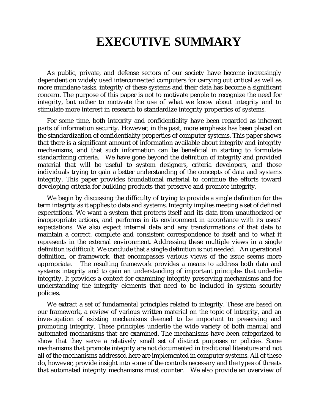# **EXECUTIVE SUMMARY**

As public, private, and defense sectors of our society have become increasingly dependent on widely used interconnected computers for carrying out critical as well as more mundane tasks, integrity of these systems and their data has become a significant concern. The purpose of this paper is not to motivate people to recognize the need for integrity, but rather to motivate the use of what we know about integrity and to stimulate more interest in research to standardize integrity properties of systems.

For some time, both integrity and confidentiality have been regarded as inherent parts of information security. However, in the past, more emphasis has been placed on the standardization of confidentiality properties of computer systems. This paper shows that there is a significant amount of information available about integrity and integrity mechanisms, and that such information can be beneficial in starting to formulate standardizing criteria. We have gone beyond the definition of integrity and provided material that will be useful to system designers, criteria developers, and those individuals trying to gain a better understanding of the concepts of data and systems integrity. This paper provides foundational material to continue the efforts toward developing criteria for building products that preserve and promote integrity.

We begin by discussing the difficulty of trying to provide a single definition for the term integrity as it applies to data and systems. Integrity implies meeting a set of defined expectations. We want a system that protects itself and its data from unauthorized or inappropriate actions, and performs in its environment in accordance with its users' expectations. We also expect internal data and any transformations of that data to maintain a correct, complete and consistent correspondence to itself and to what it represents in the external environment. Addressing these multiple views in a single definition is difficult. We conclude that a single definition is not needed. An operational definition, or framework, that encompasses various views of the issue seems more appropriate. The resulting framework provides a means to address both data and systems integrity and to gain an understanding of important principles that underlie integrity. It provides a context for examining integrity preserving mechanisms and for understanding the integrity elements that need to be included in system security policies.

We extract a set of fundamental principles related to integrity. These are based on our framework, a review of various written material on the topic of integrity, and an investigation of existing mechanisms deemed to be important to preserving and promoting integrity. These principles underlie the wide variety of both manual and automated mechanisms that are examined. The mechanisms have been categorized to show that they serve a relatively small set of distinct purposes or policies. Some mechanisms that promote integrity are not documented in traditional literature and not all of the mechanisms addressed here are implemented in computer systems. All of these do, however, provide insight into some of the controls necessary and the types of threats that automated integrity mechanisms must counter. We also provide an overview of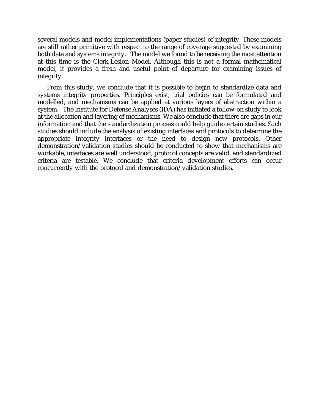several models and model implementations (paper studies) of integrity. These models are still rather primitive with respect to the range of coverage suggested by examining both data and systems integrity. The model we found to be receiving the most attention at this time is the Clerk-Lesion Model. Although this is not a formal mathematical model, it provides a fresh and useful point of departure for examining issues of integrity.

From this study, we conclude that it is possible to begin to standardize data and systems integrity properties. Principles exist, trial policies can be formulated and modelled, and mechanisms can be applied at various layers of abstraction within a system. The Institute for Defense Analyses (IDA) has initiated a follow-on study to look at the allocation and layering of mechanisms. We also conclude that there are gaps in our information and that the standardization process could help guide certain studies. Such studies should include the analysis of existing interfaces and protocols to determine the appropriate integrity interfaces or the need to design new protocols. Other demonstration/validation studies should be conducted to show that mechanisms are workable, interfaces are well understood, protocol concepts are valid, and standardized criteria are testable. We conclude that criteria development efforts can occur concurrently with the protocol and demonstration/validation studies.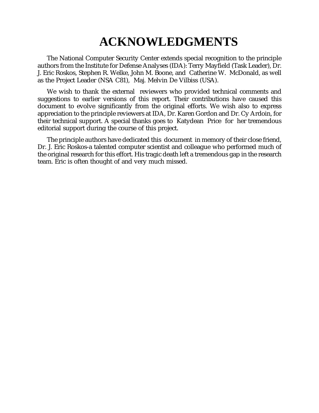# **ACKNOWLEDGMENTS**

The National Computer Security Center extends special recognition to the principle authors from the Institute for Defense Analyses (IDA): Terry Mayfield (Task Leader), Dr. J. Eric Roskos, Stephen R. Welke, John M. Boone, and Catherine W. McDonald, as well as the Project Leader (NSA C81), Maj. Melvin De Vilbiss (USA).

We wish to thank the external reviewers who provided technical comments and suggestions to earlier versions of this report. Their contributions have caused this document to evolve significantly from the original efforts. We wish also to express appreciation to the principle reviewers at IDA, Dr. Karen Gordon and Dr. Cy Ardoin, for their technical support. A special thanks goes to Katydean Price for her tremendous editorial support during the course of this project.

The principle authors have dedicated this document in memory of their close friend, Dr. J. Eric Roskos-a talented computer scientist and colleague who performed much of the original research for this effort. His tragic death left a tremendous gap in the research team. Eric is often thought of and very much missed.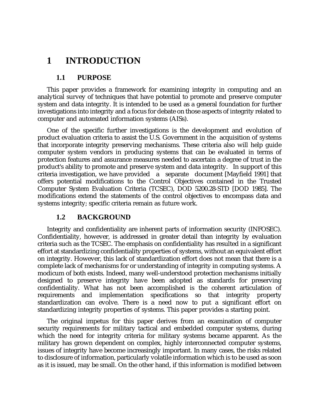# **1 INTRODUCTION**

### **1.1 PURPOSE**

This paper provides a framework for examining integrity in computing and an analytical survey of techniques that have potential to promote and preserve computer system and data integrity. It is intended to be used as a general foundation for further investigations into integrity and a focus for debate on those aspects of integrity related to computer and automated information systems (AISs).

One of the specific further investigations is the development and evolution of product evaluation criteria to assist the U.S. Government in the acquisition of systems that incorporate integrity preserving mechanisms. These criteria also will help guide computer system vendors in producing systems that can be evaluated in terms of protection features and assurance measures needed to ascertain a degree of trust in the product's ability to promote and preserve system and data integrity. In support of this criteria investigation, we have provided a separate document [Mayfield 1991] that offers potential modifications to the Control Objectives contained in the Trusted Computer System Evaluation Criteria (TCSEC), DOD 5200.28-STD [DOD 1985]. The modifications extend the statements of the control objectives to encompass data and systems integrity; specific criteria remain as future work.

## **1.2 BACKGROUND**

Integrity and confidentiality are inherent parts of information security (INFOSEC). Confidentiality, however, is addressed in greater detail than integrity by evaluation criteria such as the TCSEC. The emphasis on confidentiality has resulted in a significant effort at standardizing confidentiality properties of systems, without an equivalent effort on integrity. However, this lack of standardization effort does not mean that there is a complete lack of mechanisms for or understanding of integrity in computing systems. A modicum of both exists. Indeed, many well-understood protection mechanisms initially designed to preserve integrity have been adopted as standards for preserving confidentiality. What has not been accomplished is the coherent articulation of requirements and implementation specifications so that integrity property standardization can evolve. There is a need now to put a significant effort on standardizing integrity properties of systems. This paper provides a starting point.

The original impetus for this paper derives from an examination of computer security requirements for military tactical and embedded computer systems, during which the need for integrity criteria for military systems became apparent. As the military has grown dependent on complex, highly interconnected computer systems, issues of integrity have become increasingly important. In many cases, the risks related to disclosure of information, particularly volatile information which is to be used as soon as it is issued, may be small. On the other hand, if this information is modified between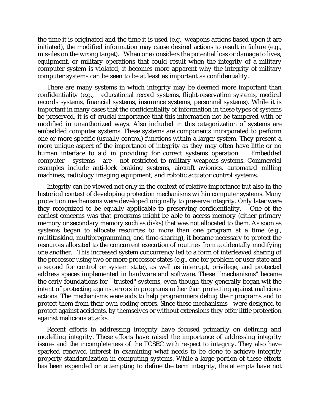the time it is originated and the time it is used (e.g., weapons actions based upon it are initiated), the modified information may cause desired actions to result in failure (e.g., missiles on the wrong target). When one considers the potential loss or damage to lives, equipment, or military operations that could result when the integrity of a military computer system is violated, it becomes more apparent why the integrity of military computer systems can be seen to be at least as important as confidentiality.

There are many systems in which integrity may be deemed more important than confidentiality (e.g., educational record systems, flight-reservation systems, medical records systems, financial systems, insurance systems, personnel systems). While it is important in many cases that the confidentiality of information in these types of systems be preserved, it is of crucial importance that this information not be tampered with or modified in unauthorized ways. Also included in this categorization of systems are embedded computer systems. These systems are components incorporated to perform one or more specific (usually control) functions within a larger system. They present a more unique aspect of the importance of integrity as they may often have little or no human interface to aid in providing for correct systems operation. Embedded computer systems are not restricted to military weapons systems. Commercial examples include anti-lock braking systems, aircraft avionics, automated milling machines, radiology imaging equipment, and robotic actuator control systems.

Integrity can be viewed not only in the context of relative importance but also in the historical context of developing protection mechanisms within computer systems. Many protection mechanisms were developed originally to preserve integrity. Only later were they recognized to be equally applicable to preserving confidentiality. One of the earliest concerns was that programs might be able to access memory (either primary memory or secondary memory such as disks) that was not allocated to them. As soon as systems began to allocate resources to more than one program at a time (e.g., multitasking, multiprogramming, and time-sharing), it became necessary to protect the resources allocated to the concurrent execution of routines from accidentally modifying one another. This increased system concurrency led to a form of interleaved sharing of the processor using two or more processor states (e.g., one for problem or user state and a second for control or system state), as well as interrupt, privilege, and protected address spaces implemented in hardware and software. These ``mechanisms'' became the early foundations for ``trusted'' systems, even though they generally began wit the intent of protecting against errors in programs rather than protecting against malicious actions. The mechanisms were aids to help programmers debug their programs and to protect them from their own coding errors. Since these mechanisms were designed to protect against accidents, by themselves or without extensions they offer little protection against malicious attacks.

Recent efforts in addressing integrity have focused primarily on defining and modelling integrity. These efforts have raised the importance of addressing integrity issues and the incompleteness of the TCSEC with respect to integrity. They also have sparked renewed interest in examining what needs to be done to achieve integrity property standardization in computing systems. While a large portion of these efforts has been expended on attempting to define the term integrity, the attempts have not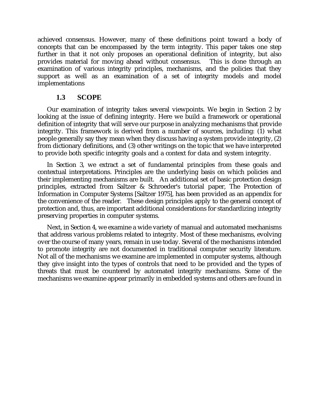achieved consensus. However, many of these definitions point toward a body of concepts that can be encompassed by the term integrity. This paper takes one step further in that it not only proposes an operational definition of integrity, but also provides material for moving ahead without consensus. This is done through an examination of various integrity principles, mechanisms, and the policies that they support as well as an examination of a set of integrity models and model implementations

### **1.3 SCOPE**

Our examination of integrity takes several viewpoints. We begin in Section 2 by looking at the issue of defining integrity. Here we build a framework or operational definition of integrity that will serve our purpose in analyzing mechanisms that provide integrity. This framework is derived from a number of sources, including: (1) what people generally say they mean when they discuss having a system provide integrity, (2) from dictionary definitions, and (3) other writings on the topic that we have interpreted to provide both specific integrity goals and a context for data and system integrity.

In Section 3, we extract a set of fundamental principles from these goals and contextual interpretations. Principles are the underlying basis on which policies and their implementing mechanisms are built. An additional set of basic protection design principles, extracted from Saltzer & Schroeder's tutorial paper, The Protection of Information in Computer Systems [Saltzer 1975], has been provided as an appendix for the convenience of the reader. These design principles apply to the general concept of protection and, thus, are important additional considerations for standardizing integrity preserving properties in computer systems.

Next, in Section 4, we examine a wide variety of manual and automated mechanisms that address various problems related to integrity. Most of these mechanisms, evolving over the course of many years, remain in use today. Several of the mechanisms intended to promote integrity are not documented in traditional computer security literature. Not all of the mechanisms we examine are implemented in computer systems, although they give insight into the types of controls that need to be provided and the types of threats that must be countered by automated integrity mechanisms. Some of the mechanisms we examine appear primarily in embedded systems and others are found in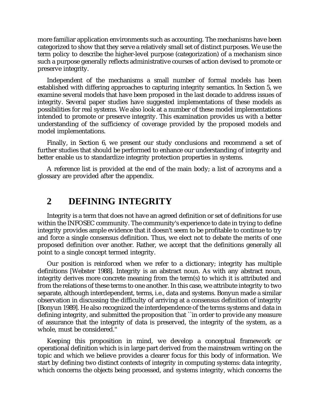more familiar application environments such as accounting. The mechanisms have been categorized to show that they serve a relatively small set of distinct purposes. We use the term policy to describe the higher-level purpose (categorization) of a mechanism since such a purpose generally reflects administrative courses of action devised to promote or preserve integrity.

Independent of the mechanisms a small number of formal models has been established with differing approaches to capturing integrity semantics. In Section 5, we examine several models that have been proposed in the last decade to address issues of integrity. Several paper studies have suggested implementations of these models as possibilities for real systems. We also look at a number of these model implementations intended to promote or preserve integrity. This examination provides us with a better understanding of the sufficiency of coverage provided by the proposed models and model implementations.

Finally, in Section 6, we present our study conclusions and recommend a set of further studies that should be performed to enhance our understanding of integrity and better enable us to standardize integrity protection properties in systems.

A reference list is provided at the end of the main body; a list of acronyms and a glossary are provided after the appendix.

# **2 DEFINING INTEGRITY**

Integrity is a term that does not have an agreed definition or set of definitions for use within the INFOSEC community. The community's experience to date in trying to define integrity provides ample evidence that it doesn't seem to be profitable to continue to try and force a single consensus definition. Thus, we elect not to debate the merits of one proposed definition over another. Rather, we accept that the definitions generally all point to a single concept termed integrity.

Our position is reinforced when we refer to a dictionary; integrity has multiple definitions [Webster 1988]. Integrity is an abstract noun. As with any abstract noun, integrity derives more concrete meaning from the term(s) to which it is attributed and from the relations of these terms to one another. In this case, we attribute integrity to two separate, although interdependent, terms, i.e., data and systems. Bonyun made a similar observation in discussing the difficulty of arriving at a consensus definition of integrity [Bonyun 1989]. He also recognized the interdependence of the terms systems and data in defining integrity, and submitted the proposition that ``in order to provide any measure of assurance that the integrity of data is preserved, the integrity of the system, as a whole, must be considered.''

Keeping this proposition in mind, we develop a conceptual framework or operational definition which is in large part derived from the mainstream writing on the topic and which we believe provides a clearer focus for this body of information. We start by defining two distinct contexts of integrity in computing systems: data integrity, which concerns the objects being processed, and systems integrity, which concerns the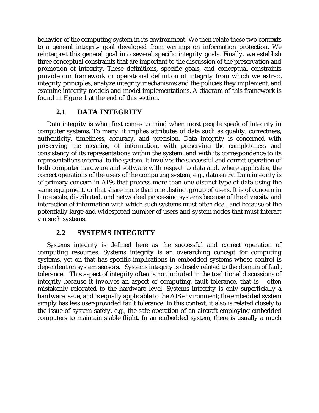behavior of the computing system in its environment. We then relate these two contexts to a general integrity goal developed from writings on information protection. We reinterpret this general goal into several specific integrity goals. Finally, we establish three conceptual constraints that are important to the discussion of the preservation and promotion of integrity. These definitions, specific goals, and conceptual constraints provide our framework or operational definition of integrity from which we extract integrity principles, analyze integrity mechanisms and the policies they implement, and examine integrity models and model implementations. A diagram of this framework is found in Figure 1 at the end of this section.

# **2.1 DATA INTEGRITY**

Data integrity is what first comes to mind when most people speak of integrity in computer systems. To many, it implies attributes of data such as quality, correctness, authenticity, timeliness, accuracy, and precision. Data integrity is concerned with preserving the meaning of information, with preserving the completeness and consistency of its representations within the system, and with its correspondence to its representations external to the system. It involves the successful and correct operation of both computer hardware and software with respect to data and, where applicable, the correct operations of the users of the computing system, e.g., data entry. Data integrity is of primary concern in AISs that process more than one distinct type of data using the same equipment, or that share more than one distinct group of users. It is of concern in large scale, distributed, and networked processing systems because of the diversity and interaction of information with which such systems must often deal, and because of the potentially large and widespread number of users and system nodes that must interact via such systems.

# **2.2 SYSTEMS INTEGRITY**

Systems integrity is defined here as the successful and correct operation of computing resources. Systems integrity is an overarching concept for computing systems, yet on that has specific implications in embedded systems whose control is dependent on system sensors. Systems integrity is closely related to the domain of fault tolerance. This aspect of integrity often is not included in the traditional discussions of integrity because it involves an aspect of computing, fault tolerance, that is often mistakenly relegated to the hardware level. Systems integrity is only superficially a hardware issue, and is equally applicable to the AIS environment; the embedded system simply has less user-provided fault tolerance. In this context, it also is related closely to the issue of system safety, e.g., the safe operation of an aircraft employing embedded computers to maintain stable flight. In an embedded system, there is usually a much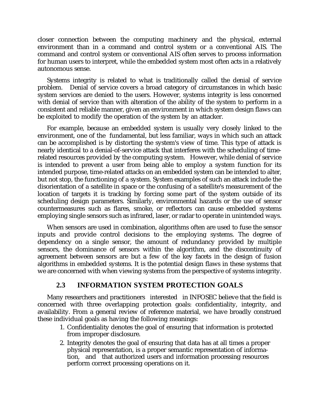closer connection between the computing machinery and the physical, external environment than in a command and control system or a conventional AIS. The command and control system or conventional AIS often serves to process information for human users to interpret, while the embedded system most often acts in a relatively autonomous sense.

Systems integrity is related to what is traditionally called the denial of service problem. Denial of service covers a broad category of circumstances in which basic system services are denied to the users. However, systems integrity is less concerned with denial of service than with alteration of the ability of the system to perform in a consistent and reliable manner, given an environment in which system design flaws can be exploited to modify the operation of the system by an attacker.

For example, because an embedded system is usually very closely linked to the environment, one of the fundamental, but less familiar, ways in which such an attack can be accomplished is by distorting the system's view of time. This type of attack is nearly identical to a denial-of-service attack that interferes with the scheduling of timerelated resources provided by the computing system. However, while denial of service is intended to prevent a user from being able to employ a system function for its intended purpose, time-related attacks on an embedded system can be intended to alter, but not stop, the functioning of a system. System examples of such an attack include the disorientation of a satellite in space or the confusing of a satellite's measurement of the location of targets it is tracking by forcing some part of the system outside of its scheduling design parameters. Similarly, environmental hazards or the use of sensor countermeasures such as flares, smoke, or reflectors can cause embedded systems employing single sensors such as infrared, laser, or radar to operate in unintended ways.

When sensors are used in combination, algorithms often are used to fuse the sensor inputs and provide control decisions to the employing systems. The degree of dependency on a single sensor, the amount of redundancy provided by multiple sensors, the dominance of sensors within the algorithm, and the discontinuity of agreement between sensors are but a few of the key facets in the design of fusion algorithms in embedded systems. It is the potential design flaws in these systems that we are concerned with when viewing systems from the perspective of systems integrity.

# **2.3 INFORMATION SYSTEM PROTECTION GOALS**

Many researchers and practitioners interested in INFOSEC believe that the field is concerned with three overlapping protection goals: confidentiality, integrity, and availability. From a general review of reference material, we have broadly construed these individual goals as having the following meanings:

- 1. Confidentiality denotes the goal of ensuring that information is protected from improper disclosure.
- 2. Integrity denotes the goal of ensuring that data has at all times a proper physical representation, is a proper semantic representation of information, and that authorized users and information processing resources perform correct processing operations on it.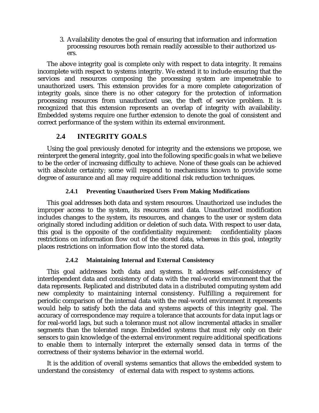3. Availability denotes the goal of ensuring that information and information processing resources both remain readily accessible to their authorized users.

The above integrity goal is complete only with respect to data integrity. It remains incomplete with respect to systems integrity. We extend it to include ensuring that the services and resources composing the processing system are impenetrable to unauthorized users. This extension provides for a more complete categorization of integrity goals, since there is no other category for the protection of information processing resources from unauthorized use, the theft of service problem. It is recognized that this extension represents an overlap of integrity with availability. Embedded systems require one further extension to denote the goal of consistent and correct performance of the system within its external environment.

## **2.4 INTEGRITY GOALS**

Using the goal previously denoted for integrity and the extensions we propose, we reinterpret the general integrity, goal into the following specific goals in what we believe to be the order of increasing difficulty to achieve. None of these goals can be achieved with absolute certainty; some will respond to mechanisms known to provide some degree of assurance and all may require additional risk reduction techniques.

#### **2.4.1 Preventing Unauthorized Users From Making Modifications**

This goal addresses both data and system resources. Unauthorized use includes the improper access to the system, its resources and data. Unauthorized modification includes changes to the system, its resources, and changes to the user or system data originally stored including addition or deletion of such data. With respect to user data, this goal is the opposite of the confidentiality requirement: confidentiality places restrictions on information flow out of the stored data, whereas in this goal, integrity places restrictions on information flow into the stored data.

#### **2.4.2 Maintaining Internal and External Consistency**

This goal addresses both data and systems. It addresses self-consistency of interdependent data and consistency of data with the real-world environment that the data represents. Replicated and distributed data in a distributed computing system add new complexity to maintaining internal consistency. Fulfilling a requirement for periodic comparison of the internal data with the real-world environment it represents would help to satisfy both the data and systems aspects of this integrity goal. The accuracy of correspondence may require a tolerance that accounts for data input lags or for real-world lags, but such a tolerance must not allow incremental attacks in smaller segments than the tolerated range. Embedded systems that must rely only on their sensors to gain knowledge of the external environment require additional specifications to enable them to internally interpret the externally sensed data in terms of the correctness of their systems behavior in the external world.

It is the addition of overall systems semantics that allows the embedded system to understand the consistency of external data with respect to systems actions.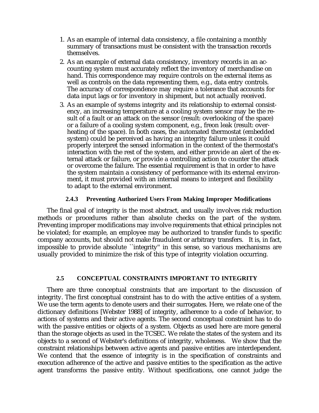- 1. As an example of internal data consistency, a file containing a monthly summary of transactions must be consistent with the transaction records themselves.
- 2. As an example of external data consistency, inventory records in an accounting system must accurately reflect the inventory of merchandise on hand. This correspondence may require controls on the external items as well as controls on the data representing them, e.g., data entry controls. The accuracy of correspondence may require a tolerance that accounts for data input lags or for inventory in shipment, but not actually received.
- 3. As an example of systems integrity and its relationship to external consistency, an increasing temperature at a cooling system sensor may be the result of a fault or an attack on the sensor (result: overlooking of the space) or a failure of a cooling system component, e.g., freon leak (result: overheating of the space). In both cases, the automated thermostat (embedded system) could be perceived as having an integrity failure unless it could properly interpret the sensed information in the context of the thermostat's interaction with the rest of the system, and either provide an alert of the external attack or failure, or provide a controlling action to counter the attack or overcome the failure. The essential requirement is that in order to have the system maintain a consistency of performance with its external environment, it must provided with an internal means to interpret and flexibility to adapt to the external environment.

#### **2.4.3 Preventing Authorized Users From Making Improper Modifications**

The final goal of integrity is the most abstract, and usually involves risk reduction methods or procedures rather than absolute checks on the part of the system. Preventing improper modifications may involve requirements that ethical principles not be violated; for example, an employee may be authorized to transfer funds to specific company accounts, but should not make fraudulent or arbitrary transfers. It is, in fact, impossible to provide absolute ``integrity'' in this sense, so various mechanisms are usually provided to minimize the risk of this type of integrity violation occurring.

#### **2.5 CONCEPTUAL CONSTRAINTS IMPORTANT TO INTEGRITY**

There are three conceptual constraints that are important to the discussion of integrity. The first conceptual constraint has to do with the active entities of a system. We use the term agents to denote users and their surrogates. Here, we relate one of the dictionary definitions [Webster 1988] of integrity, adherence to a code of behavior, to actions of systems and their active agents. The second conceptual constraint has to do with the passive entities or objects of a system. Objects as used here are more general than the storage objects as used in the TCSEC. We relate the states of the system and its objects to a second of Webster's definitions of integrity, wholeness. We show that the constraint relationships between active agents and passive entities are interdependent. We contend that the essence of integrity is in the specification of constraints and execution adherence of the active and passive entities to the specification as the active agent transforms the passive entity. Without specifications, one cannot judge the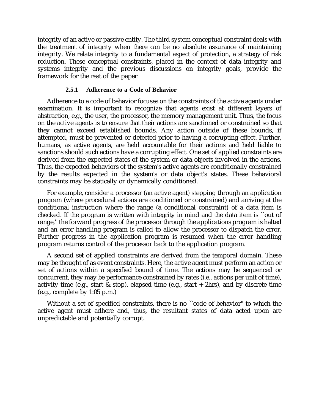integrity of an active or passive entity. The third system conceptual constraint deals with the treatment of integrity when there can be no absolute assurance of maintaining integrity. We relate integrity to a fundamental aspect of protection, a strategy of risk reduction. These conceptual constraints, placed in the context of data integrity and systems integrity and the previous discussions on integrity goals, provide the framework for the rest of the paper.

#### **2.5.1 Adherence to a Code of Behavior**

Adherence to a code of behavior focuses on the constraints of the active agents under examination. It is important to recognize that agents exist at different layers of abstraction, e.g., the user, the processor, the memory management unit. Thus, the focus on the active agents is to ensure that their actions are sanctioned or constrained so that they cannot exceed established bounds. Any action outside of these bounds, if attempted, must be prevented or detected prior to having a corrupting effect. Further, humans, as active agents, are held accountable for their actions and held liable to sanctions should such actions have a corrupting effect. One set of applied constraints are derived from the expected states of the system or data objects involved in the actions. Thus, the expected behaviors of the system's active agents are conditionally constrained by the results expected in the system's or data object's states. These behavioral constraints may be statically or dynamically conditioned.

For example, consider a processor (an active agent) stepping through an application program (where procedural actions are conditioned or constrained) and arriving at the conditional instruction where the range (a conditional constraint) of a data item is checked. If the program is written with integrity in mind and the data item is ``out of range,'' the forward progress of the processor through the applications program is halted and an error handling program is called to allow the processor to dispatch the error. Further progress in the application program is resumed when the error handling program returns control of the processor back to the application program.

A second set of applied constraints are derived from the temporal domain. These may be thought of as event constraints. Here, the active agent must perform an action or set of actions within a specified bound of time. The actions may be sequenced or concurrent, they may be performance constrained by rates (i.e., actions per unit of time), activity time (e.g., start  $\&$  stop), elapsed time (e.g., start + 2hrs), and by discrete time (e.g., complete by 1:05 p.m.)

Without a set of specified constraints, there is no ``code of behavior'' to which the active agent must adhere and, thus, the resultant states of data acted upon are unpredictable and potentially corrupt.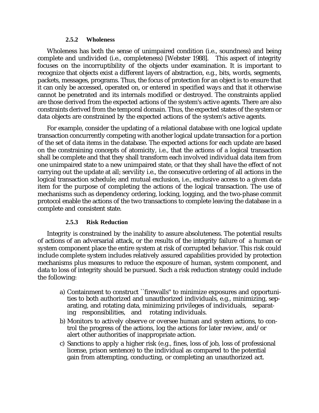#### **2.5.2 Wholeness**

Wholeness has both the sense of unimpaired condition (i.e., soundness) and being complete and undivided (i.e., completeness) [Webster 1988]. This aspect of integrity focuses on the incorruptibility of the objects under examination. It is important to recognize that objects exist a different layers of abstraction, e.g., bits, words, segments, packets, messages, programs. Thus, the focus of protection for an object is to ensure that it can only be accessed, operated on, or entered in specified ways and that it otherwise cannot be penetrated and its internals modified or destroyed. The constraints applied are those derived from the expected actions of the system's active agents. There are also constraints derived from the temporal domain. Thus, the expected states of the system or data objects are constrained by the expected actions of the system's active agents.

For example, consider the updating of a relational database with one logical update transaction concurrently competing with another logical update transaction for a portion of the set of data items in the database. The expected actions for each update are based on the constraining concepts of atomicity, i.e., that the actions of a logical transaction shall be complete and that they shall transform each involved individual data item from one unimpaired state to a new unimpaired state, or that they shall have the effect of not carrying out the update at all; servility i.e., the consecutive ordering of all actions in the logical transaction schedule; and mutual exclusion, i.e., exclusive access to a given data item for the purpose of completing the actions of the logical transaction. The use of mechanisms such as dependency ordering, locking, logging, and the two-phase commit protocol enable the actions of the two transactions to complete leaving the database in a complete and consistent state.

#### **2.5.3 Risk Reduction**

Integrity is constrained by the inability to assure absoluteness. The potential results of actions of an adversarial attack, or the results of the integrity failure of a human or system component place the entire system at risk of corrupted behavior. This risk could include complete system includes relatively assured capabilities provided by protection mechanisms plus measures to reduce the exposure of human, system component, and data to loss of integrity should be pursued. Such a risk reduction strategy could include the following:

- a) Containment to construct ``firewalls'' to minimize exposures and opportunities to both authorized and unauthorized individuals, e.g., minimizing, separating, and rotating data, minimizing privileges of individuals, separating responsibilities, and rotating individuals.
- b) Monitors to actively observe or oversee human and system actions, to control the progress of the actions, log the actions for later review, and/or alert other authorities of inappropriate action.
- c) Sanctions to apply a higher risk (e.g., fines, loss of job, loss of professional license, prison sentence) to the individual as compared to the potential gain from attempting, conducting, or completing an unauthorized act.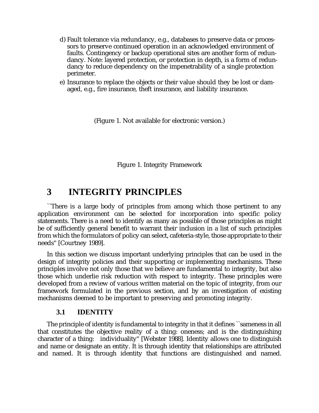- d) Fault tolerance via redundancy, e.g., databases to preserve data or processors to preserve continued operation in an acknowledged environment of faults. Contingency or backup operational sites are another form of redundancy. Note: layered protection, or protection in depth, is a form of redundancy to reduce dependency on the impenetrability of a single protection perimeter.
- e) Insurance to replace the objects or their value should they be lost or damaged, e.g., fire insurance, theft insurance, and liability insurance.

(Figure 1. Not available for electronic version.)

Figure 1. Integrity Framework

# **3 INTEGRITY PRINCIPLES**

``There is a large body of principles from among which those pertinent to any application environment can be selected for incorporation into specific policy statements. There is a need to identify as many as possible of those principles as might be of sufficiently general benefit to warrant their inclusion in a list of such principles from which the formulators of policy can select, cafeteria-style, those appropriate to their needs'' [Courtney 1989].

In this section we discuss important underlying principles that can be used in the design of integrity policies and their supporting or implementing mechanisms. These principles involve not only those that we believe are fundamental to integrity, but also those which underlie risk reduction with respect to integrity. These principles were developed from a review of various written material on the topic of integrity, from our framework formulated in the previous section, and by an investigation of existing mechanisms deemed to be important to preserving and promoting integrity.

#### **3.1 IDENTITY**

The principle of identity is fundamental to integrity in that it defines ``sameness in all that constitutes the objective reality of a thing: oneness; and is the distinguishing character of a thing: individuality'' [Webster 1988]. Identity allows one to distinguish and name or designate an entity. It is through identity that relationships are attributed and named. It is through identity that functions are distinguished and named.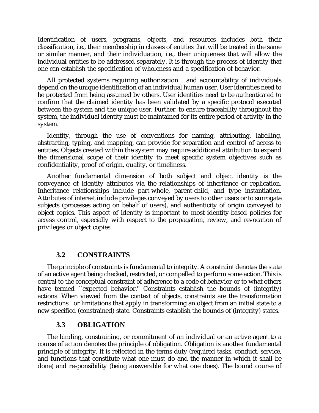Identification of users, programs, objects, and resources includes both their classification, i.e., their membership in classes of entities that will be treated in the same or similar manner, and their individuation, i.e., their uniqueness that will allow the individual entities to be addressed separately. It is through the process of identity that one can establish the specification of wholeness and a specification of behavior.

All protected systems requiring authorization and accountability of individuals depend on the unique identification of an individual human user. User identities need to be protected from being assumed by others. User identities need to be authenticated to confirm that the claimed identity has been validated by a specific protocol executed between the system and the unique user. Further, to ensure traceability throughout the system, the individual identity must be maintained for its entire period of activity in the system.

Identity, through the use of conventions for naming, attributing, labelling, abstracting, typing, and mapping, can provide for separation and control of access to entities. Objects created within the system may require additional attribution to expand the dimensional scope of their identity to meet specific system objectives such as confidentiality, proof of origin, quality, or timeliness.

Another fundamental dimension of both subject and object identity is the conveyance of identity attributes via the relationships of inheritance or replication. Inheritance relationships include part-whole, parent-child, and type instantiation. Attributes of interest include privileges conveyed by users to other users or to surrogate subjects (processes acting on behalf of users), and authenticity of origin conveyed to object copies. This aspect of identity is important to most identity-based policies for access control, especially with respect to the propagation, review, and revocation of privileges or object copies.

## **3.2 CONSTRAINTS**

The principle of constraints is fundamental to integrity. A constraint denotes the state of an active agent being checked, restricted, or compelled to perform some action. This is central to the conceptual constraint of adherence to a code of behavior-or to what others have termed ``expected behavior." Constraints establish the bounds of (integrity) actions. When viewed from the context of objects, constraints are the transformation restrictions or limitations that apply in transforming an object from an initial state to a new specified (constrained) state. Constraints establish the bounds of (integrity) states.

#### **3.3 OBLIGATION**

The binding, constraining, or commitment of an individual or an active agent to a course of action denotes the principle of obligation. Obligation is another fundamental principle of integrity. It is reflected in the terms duty (required tasks, conduct, service, and functions that constitute what one must do and the manner in which it shall be done) and responsibility (being answerable for what one does). The bound course of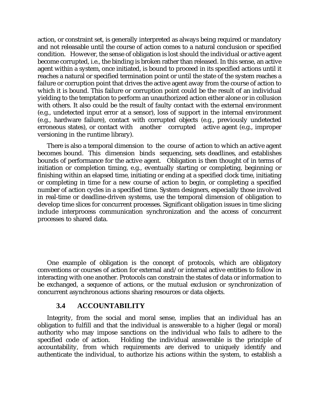action, or constraint set, is generally interpreted as always being required or mandatory and not releasable until the course of action comes to a natural conclusion or specified condition. However, the sense of obligation is lost should the individual or active agent become corrupted, i.e., the binding is broken rather than released. In this sense, an active agent within a system, once initiated, is bound to proceed in its specified actions until it reaches a natural or specified termination point or until the state of the system reaches a failure or corruption point that drives the active agent away from the course of action to which it is bound. This failure or corruption point could be the result of an individual yielding to the temptation to perform an unauthorized action either alone or in collusion with others. It also could be the result of faulty contact with the external environment (e.g., undetected input error at a sensor), loss of support in the internal environment (e.g., hardware failure), contact with corrupted objects (e.g., previously undetected erroneous states), or contact with another corrupted active agent (e.g., improper versioning in the runtime library).

There is also a temporal dimension to the course of action to which an active agent becomes bound. This dimension binds sequencing, sets deadlines, and establishes bounds of performance for the active agent. Obligation is then thought of in terms of initiation or completion timing, e.g., eventually starting or completing, beginning or finishing within an elapsed time, initiating or ending at a specified clock time, initiating or completing in time for a new course of action to begin, or completing a specified number of action cycles in a specified time. System designers, especially those involved in real-time or deadline-driven systems, use the temporal dimension of obligation to develop time slices for concurrent processes. Significant obligation issues in time slicing include interprocess communication synchronization and the access of concurrent processes to shared data.

One example of obligation is the concept of protocols, which are obligatory conventions or courses of action for external and/or internal active entities to follow in interacting with one another. Protocols can constrain the states of data or information to be exchanged, a sequence of actions, or the mutual exclusion or synchronization of concurrent asynchronous actions sharing resources or data objects.

#### **3.4 ACCOUNTABILITY**

Integrity, from the social and moral sense, implies that an individual has an obligation to fulfill and that the individual is answerable to a higher (legal or moral) authority who may impose sanctions on the individual who fails to adhere to the specified code of action. Holding the individual answerable is the principle of accountability, from which requirements are derived to uniquely identify and authenticate the individual, to authorize his actions within the system, to establish a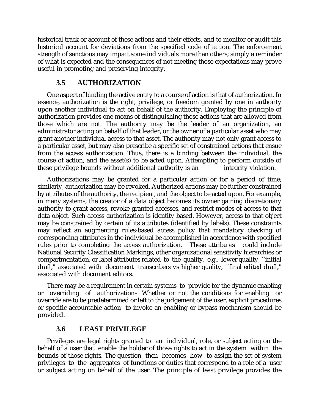historical track or account of these actions and their effects, and to monitor or audit this historical account for deviations from the specified code of action. The enforcement strength of sanctions may impact some individuals more than others; simply a reminder of what is expected and the consequences of not meeting those expectations may prove useful in promoting and preserving integrity.

# **3.5 AUTHORIZATION**

One aspect of binding the active entity to a course of action is that of authorization. In essence, authorization is the right, privilege, or freedom granted by one in authority upon another individual to act on behalf of the authority. Employing the principle of authorization provides one means of distinguishing those actions that are allowed from those which are not. The authority may be the leader of an organization, an administrator acting on behalf of that leader, or the owner of a particular asset who may grant another individual access to that asset. The authority may not only grant access to a particular asset, but may also prescribe a specific set of constrained actions that ensue from the access authorization. Thus, there is a binding between the individual, the course of action, and the asset(s) to be acted upon. Attempting to perform outside of these privilege bounds without additional authority is an integrity violation.

Authorizations may be granted for a particular action or for a period of time; similarly, authorization may be revoked. Authorized actions may be further constrained by attributes of the authority, the recipient, and the object to be acted upon. For example, in many systems, the creator of a data object becomes its owner gaining discretionary authority to grant access, revoke granted accesses, and restrict modes of access to that data object. Such access authorization is identity based. However, access to that object may be constrained by certain of its attributes (identified by labels). These constraints may reflect an augmenting rules-based access policy that mandatory checking of corresponding attributes in the individual be accomplished in accordance with specified rules prior to completing the access authorization. These attributes could include National Security Classification Markings, other organizational sensitivity hierarchies or compartmentation, or label attributes related to the quality, e.g., lower quality, ``initial draft,'' associated with document transcribers vs higher quality, ``final edited draft,'' associated with document editors.

There may be a requirement in certain systems to provide for the dynamic enabling or overriding of authorizations. Whether or not the conditions for enabling or override are to be predetermined or left to the judgement of the user, explicit procedures or specific accountable action to invoke an enabling or bypass mechanism should be provided.

## **3.6 LEAST PRIVILEGE**

Privileges are legal rights granted to an individual, role, or subject acting on the behalf of a user that enable the holder of those rights to act in the system within the bounds of those rights. The question then becomes how to assign the set of system privileges to the aggregates of functions or duties that correspond to a role of a user or subject acting on behalf of the user. The principle of least privilege provides the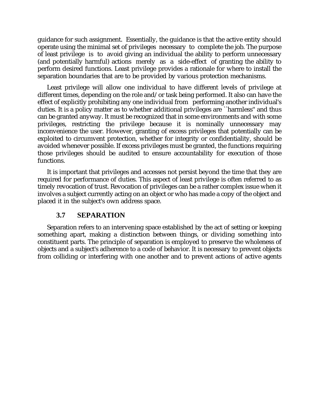guidance for such assignment. Essentially, the guidance is that the active entity should operate using the minimal set of privileges necessary to complete the job. The purpose of least privilege is to avoid giving an individual the ability to perform unnecessary (and potentially harmful) actions merely as a side-effect of granting the ability to perform desired functions. Least privilege provides a rationale for where to install the separation boundaries that are to be provided by various protection mechanisms.

Least privilege will allow one individual to have different levels of privilege at different times, depending on the role and/or task being performed. It also can have the effect of explicitly prohibiting any one individual from performing another individual's duties. It is a policy matter as to whether additional privileges are ``harmless'' and thus can be granted anyway. It must be recognized that in some environments and with some privileges, restricting the privilege because it is nominally unnecessary may inconvenience the user. However, granting of excess privileges that potentially can be exploited to circumvent protection, whether for integrity or confidentiality, should be avoided whenever possible. If excess privileges must be granted, the functions requiring those privileges should be audited to ensure accountability for execution of those functions.

It is important that privileges and accesses not persist beyond the time that they are required for performance of duties. This aspect of least privilege is often referred to as timely revocation of trust. Revocation of privileges can be a rather complex issue when it involves a subject currently acting on an object or who has made a copy of the object and placed it in the subject's own address space.

## **3.7 SEPARATION**

Separation refers to an intervening space established by the act of setting or keeping something apart, making a distinction between things, or dividing something into constituent parts. The principle of separation is employed to preserve the wholeness of objects and a subject's adherence to a code of behavior. It is necessary to prevent objects from colliding or interfering with one another and to prevent actions of active agents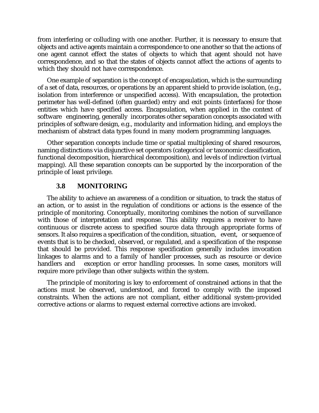from interfering or colluding with one another. Further, it is necessary to ensure that objects and active agents maintain a correspondence to one another so that the actions of one agent cannot effect the states of objects to which that agent should not have correspondence, and so that the states of objects cannot affect the actions of agents to which they should not have correspondence.

One example of separation is the concept of encapsulation, which is the surrounding of a set of data, resources, or operations by an apparent shield to provide isolation, (e.g., isolation from interference or unspecified access). With encapsulation, the protection perimeter has well-defined (often guarded) entry and exit points (interfaces) for those entities which have specified access. Encapsulation, when applied in the context of software engineering, generally incorporates other separation concepts associated with principles of software design, e.g., modularity and information hiding, and employs the mechanism of abstract data types found in many modern programming languages.

Other separation concepts include time or spatial multiplexing of shared resources, naming distinctions via disjunctive set operators (categorical or taxonomic classification, functional decomposition, hierarchical decomposition), and levels of indirection (virtual mapping). All these separation concepts can be supported by the incorporation of the principle of least privilege.

## **3.8 MONITORING**

The ability to achieve an awareness of a condition or situation, to track the status of an action, or to assist in the regulation of conditions or actions is the essence of the principle of monitoring. Conceptually, monitoring combines the notion of surveillance with those of interpretation and response. This ability requires a receiver to have continuous or discrete access to specified source data through appropriate forms of sensors. It also requires a specification of the condition, situation, event, or sequence of events that is to be checked, observed, or regulated, and a specification of the response that should be provided. This response specification generally includes invocation linkages to alarms and to a family of handler processes, such as resource or device handlers and exception or error handling processes. In some cases, monitors will require more privilege than other subjects within the system.

The principle of monitoring is key to enforcement of constrained actions in that the actions must be observed, understood, and forced to comply with the imposed constraints. When the actions are not compliant, either additional system-provided corrective actions or alarms to request external corrective actions are invoked.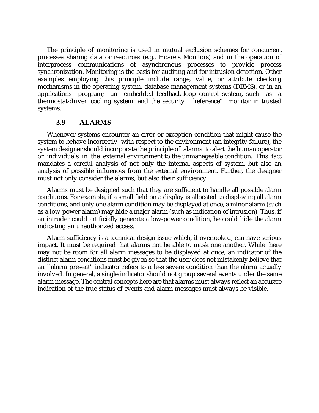The principle of monitoring is used in mutual exclusion schemes for concurrent processes sharing data or resources (e.g., Hoare's Monitors) and in the operation of interprocess communications of asynchronous processes to provide process synchronization. Monitoring is the basis for auditing and for intrusion detection. Other examples employing this principle include range, value, or attribute checking mechanisms in the operating system, database management systems (DBMS), or in an applications program; an embedded feedback-loop control system, such as a thermostat-driven cooling system; and the security ``reference'' monitor in trusted systems.

#### **3.9 ALARMS**

Whenever systems encounter an error or exception condition that might cause the system to behave incorrectly with respect to the environment (an integrity failure), the system designer should incorporate the principle of alarms to alert the human operator or individuals in the external environment to the unmanageable condition. This fact mandates a careful analysis of not only the internal aspects of system, but also an analysis of possible influences from the external environment. Further, the designer must not only consider the alarms, but also their sufficiency.

Alarms must be designed such that they are sufficient to handle all possible alarm conditions. For example, if a small field on a display is allocated to displaying all alarm conditions, and only one alarm condition may be displayed at once, a minor alarm (such as a low-power alarm) may hide a major alarm (such as indication of intrusion). Thus, if an intruder could artificially generate a low-power condition, he could hide the alarm indicating an unauthorized access.

Alarm sufficiency is a technical design issue which, if overlooked, can have serious impact. It must be required that alarms not be able to mask one another. While there may not be room for all alarm messages to be displayed at once, an indicator of the distinct alarm conditions must be given so that the user does not mistakenly believe that an ``alarm present'' indicator refers to a less severe condition than the alarm actually involved. In general, a single indicator should not group several events under the same alarm message. The central concepts here are that alarms must always reflect an accurate indication of the true status of events and alarm messages must always be visible.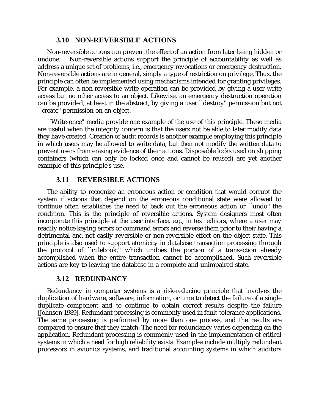### **3.10 NON-REVERSIBLE ACTIONS**

Non-reversible actions can prevent the effect of an action from later being hidden or undone. Non-reversible actions support the principle of accountability as well as address a unique set of problems, i.e., emergency revocations or emergency destruction. Non-reversible actions are in general, simply a type of restriction on privilege. Thus, the principle can often be implemented using mechanisms intended for granting privileges. For example, a non-reversible write operation can be provided by giving a user write access but no other access to an object. Likewise, an emergency destruction operation can be provided, at least in the abstract, by giving a user ``destroy'' permission but not ``create'' permission on an object.

``Write-once'' media provide one example of the use of this principle. These media are useful when the integrity concern is that the users not be able to later modify data they have created. Creation of audit records is another example employing this principle in which users may be allowed to write data, but then not modify the written data to prevent users from erasing evidence of their actions. Disposable locks used on shipping containers (which can only be locked once and cannot be reused) are yet another example of this principle's use.

# **3.11 REVERSIBLE ACTIONS**

The ability to recognize an erroneous action or condition that would corrupt the system if actions that depend on the erroneous conditional state were allowed to continue often establishes the need to back out the erroneous action or ``undo'' the condition. This is the principle of reversible actions. System designers most often incorporate this principle at the user interface, e.g., in text editors, where a user may readily notice keying errors or command errors and reverse them prior to their having a detrimental and not easily reversible or non-reversible effect on the object state. This principle is also used to support atomicity in database transaction processing through the protocol of ``rulebook,'' which undoes the portion of a transaction already accomplished when the entire transaction cannot be accomplished. Such reversible actions are key to leaving the database in a complete and unimpaired state.

## **3.12 REDUNDANCY**

Redundancy in computer systems is a risk-reducing principle that involves the duplication of hardware, software, information, or time to detect the failure of a single duplicate component and to continue to obtain correct results despite the failure [Johnson 1989]. Redundant processing is commonly used in fault-tolerance applications. The same processing is performed by more than one process, and the results are compared to ensure that they match. The need for redundancy varies depending on the application. Redundant processing is commonly used in the implementation of critical systems in which a need for high reliability exists. Examples include multiply redundant processors in avionics systems, and traditional accounting systems in which auditors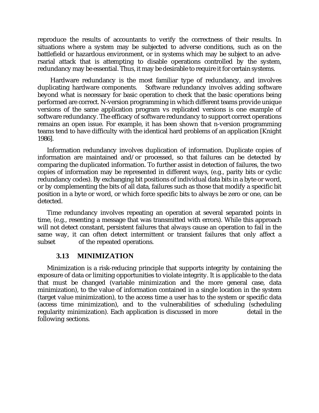reproduce the results of accountants to verify the correctness of their results. In situations where a system may be subjected to adverse conditions, such as on the battlefield or hazardous environment, or in systems which may be subject to an adversarial attack that is attempting to disable operations controlled by the system, redundancy may be essential. Thus, it may be desirable to require it for certain systems.

Hardware redundancy is the most familiar type of redundancy, and involves duplicating hardware components. Software redundancy involves adding software Software redundancy involves adding software beyond what is necessary for basic operation to check that the basic operations being performed are correct. N-version programming in which different teams provide unique versions of the same application program vs replicated versions is one example of software redundancy. The efficacy of software redundancy to support correct operations remains an open issue. For example, it has been shown that n-version programming teams tend to have difficulty with the identical hard problems of an application [Knight 1986].

Information redundancy involves duplication of information. Duplicate copies of information are maintained and/or processed, so that failures can be detected by comparing the duplicated information. To further assist in detection of failures, the two copies of information may be represented in different ways, (e.g., parity bits or cyclic redundancy codes). By exchanging bit positions of individual data bits in a byte or word, or by complementing the bits of all data, failures such as those that modify a specific bit position in a byte or word, or which force specific bits to always be zero or one, can be detected.

Time redundancy involves repeating an operation at several separated points in time, (e.g., resenting a message that was transmitted with errors). While this approach will not detect constant, persistent failures that always cause an operation to fail in the same way, it can often detect intermittent or transient failures that only affect a subset of the repeated operations.

#### **3.13 MINIMIZATION**

Minimization is a risk-reducing principle that supports integrity by containing the exposure of data or limiting opportunities to violate integrity. It is applicable to the data that must be changed (variable minimization and the more general case, data minimization), to the value of information contained in a single location in the system (target value minimization), to the access time a user has to the system or specific data (access time minimization), and to the vulnerabilities of scheduling (scheduling regularity minimization). Each application is discussed in more detail in the following sections.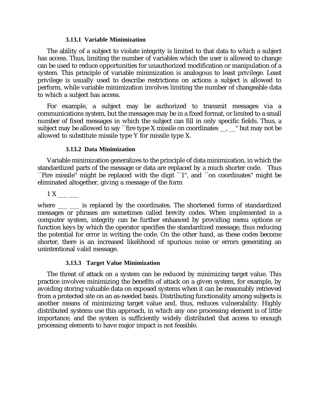#### **3.13.1 Variable Minimization**

The ability of a subject to violate integrity is limited to that data to which a subject has access. Thus, limiting the number of variables which the user is allowed to change can be used to reduce opportunities for unauthorized modification or manipulation of a system. This principle of variable minimization is analogous to least privilege. Least privilege is usually used to describe restrictions on actions a subject is allowed to perform, while variable minimization involves limiting the number of changeable data to which a subject has access.

For example, a subject may be authorized to transmit messages via a communications system, but the messages may be in a fixed format, or limited to a small number of fixed messages in which the subject can fill in only specific fields. Thus, a subject may be allowed to say ``fire type X missile on coordinates  $\Box$ ,  $\Box$  but may not be allowed to substitute missile type Y for missile type X.

#### **3.13.2 Data Minimization**

Variable minimization generalizes to the principle of data minimization, in which the standardized parts of the message or data are replaced by a much shorter code. Thus ``Fire missile'' might be replaced with the digit ``1'', and ``on coordinates'' might be eliminated altogether, giving a message of the form

1 X

where \_\_\_ \_\_ is replaced by the coordinates. The shortened forms of standardized messages or phrases are sometimes called brevity codes. When implemented in a computer system, integrity can be further enhanced by providing menu options or function keys by which the operator specifies the standardized message, thus reducing the potential for error in writing the code. On the other hand, as these codes become shorter, there is an increased likelihood of spurious noise or errors generating an unintentional valid message.

#### **3.13.3 Target Value Minimization**

The threat of attack on a system can be reduced by minimizing target value. This practice involves minimizing the benefits of attack on a given system, for example, by avoiding storing valuable data on exposed systems when it can be reasonably retrieved from a protected site on an as-needed basis. Distributing functionality among subjects is another means of minimizing target value and, thus, reduces vulnerability. Highly distributed systems use this approach, in which any one processing element is of little importance, and the system is sufficiently widely distributed that access to enough processing elements to have major impact is not feasible.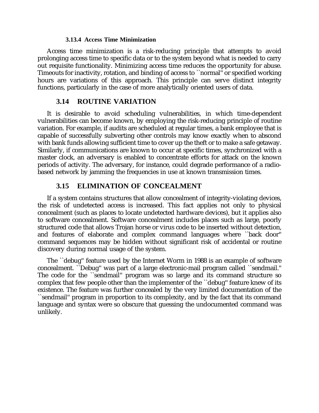#### **3.13.4 Access Time Minimization**

Access time minimization is a risk-reducing principle that attempts to avoid prolonging access time to specific data or to the system beyond what is needed to carry out requisite functionality. Minimizing access time reduces the opportunity for abuse. Timeouts for inactivity, rotation, and binding of access to ``normal'' or specified working hours are variations of this approach. This principle can serve distinct integrity functions, particularly in the case of more analytically oriented users of data.

#### **3.14 ROUTINE VARIATION**

It is desirable to avoid scheduling vulnerabilities, in which time-dependent vulnerabilities can become known, by employing the risk-reducing principle of routine variation. For example, if audits are scheduled at regular times, a bank employee that is capable of successfully subverting other controls may know exactly when to abscond with bank funds allowing sufficient time to cover up the theft or to make a safe getaway. Similarly, if communications are known to occur at specific times, synchronized with a master clock, an adversary is enabled to concentrate efforts for attack on the known periods of activity. The adversary, for instance, could degrade performance of a radiobased network by jamming the frequencies in use at known transmission times.

#### **3.15 ELIMINATION OF CONCEALMENT**

If a system contains structures that allow concealment of integrity-violating devices, the risk of undetected access is increased. This fact applies not only to physical concealment (such as places to locate undetected hardware devices), but it applies also to software concealment. Software concealment includes places such as large, poorly structured code that allows Trojan horse or virus code to be inserted without detection, and features of elaborate and complex command languages where ``back door'' command sequences may be hidden without significant risk of accidental or routine discovery during normal usage of the system.

The ``debug'' feature used by the Internet Worm in 1988 is an example of software concealment. ``Debug'' was part of a large electronic-mail program called ``sendmail.'' The code for the ``sendmail'' program was so large and its command structure so complex that few people other than the implementer of the ``debug'' feature knew of its existence. The feature was further concealed by the very limited documentation of the ``sendmail'' program in proportion to its complexity, and by the fact that its command language and syntax were so obscure that guessing the undocumented command was unlikely.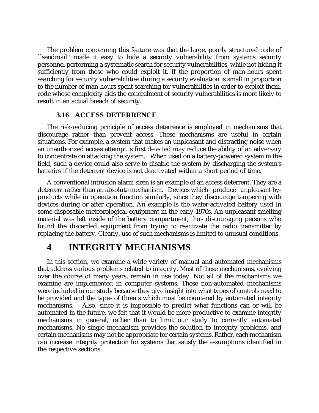The problem concerning this feature was that the large, poorly structured code of ``sendmail'' made it easy to hide a security vulnerability from systems security personnel performing a systematic search for security vulnerabilities, while not hiding it sufficiently from those who could exploit it. If the proportion of man-hours spent searching for security vulnerabilities during a security evaluation is small in proportion to the number of man-hours spent searching for vulnerabilities in order to exploit them, code whose complexity aids the concealment of security vulnerabilities is more likely to result in an actual breach of security.

#### **3.16 ACCESS DETERRENCE**

The risk-reducing principle of access deterrence is employed in mechanisms that discourage rather than prevent access. These mechanisms are useful in certain situations. For example, a system that makes an unpleasant and distracting noise when an unauthorized access attempt is first detected may reduce the ability of an adversary to concentrate on attacking the system. When used on a battery-powered system in the field, such a device could also serve to disable the system by discharging the system's batteries if the deterrent device is not deactivated within a short period of time.

A conventional intrusion alarm siren is an example of an access deterrent. They are a deterrent rather than an absolute mechanism. Devices which produce unpleasant byproducts while in operation function similarly, since they discourage tampering with devices during or after operation. An example is the water-activated battery used in some disposable meteorological equipment in the early 1970s. An unpleasant smelling material was left inside of the battery compartment, thus discouraging persons who found the discarded equipment from trying to reactivate the radio transmitter by replacing the battery. Clearly, use of such mechanisms is limited to unusual conditions.

# **4 INTEGRITY MECHANISMS**

In this section, we examine a wide variety of manual and automated mechanisms that address various problems related to integrity. Most of these mechanisms, evolving over the course of many years, remain in use today. Not all of the mechanisms we examine are implemented in computer systems. These non-automated mechanisms were included in our study because they give insight into what types of controls need to be provided and the types of threats which must be countered by automated integrity mechanisms. Also, since it is impossible to predict what functions can or will be automated in the future, we felt that it would be more productive to examine integrity mechanisms in general, rather than to limit our study to currently automated mechanisms. No single mechanism provides the solution to integrity problems, and certain mechanisms may not be appropriate for certain systems. Rather, each mechanism can increase integrity protection for systems that satisfy the assumptions identified in the respective sections.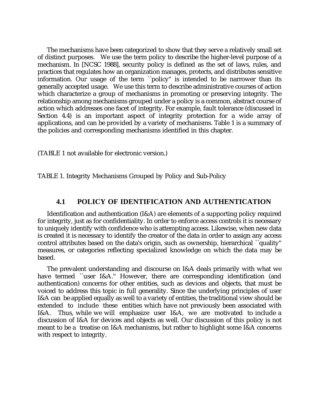The mechanisms have been categorized to show that they serve a relatively small set of distinct purposes. We use the term policy to describe the higher-level purpose of a mechanism. In [NCSC 1988], security policy is defined as the set of laws, rules, and practices that regulates how an organization manages, protects, and distributes sensitive information. Our usage of the term ``policy'' is intended to be narrower than its generally accepted usage. We use this term to describe administrative courses of action which characterize a group of mechanisms in promoting or preserving integrity. The relationship among mechanisms grouped under a policy is a common, abstract course of action which addresses one facet of integrity. For example, fault tolerance (discussed in Section 4.4) is an important aspect of integrity protection for a wide array of applications, and can be provided by a variety of mechanisms. Table 1 is a summary of the policies and corresponding mechanisms identified in this chapter.

(TABLE 1 not available for electronic version.)

TABLE 1. Integrity Mechanisms Grouped by Policy and Sub-Policy

### **4.1 POLICY OF IDENTIFICATION AND AUTHENTICATION**

Identification and authentication (I&A) are elements of a supporting policy required for integrity, just as for confidentiality. In order to enforce access controls it is necessary to uniquely identify with confidence who is attempting access. Likewise, when new data is created it is necessary to identify the creator of the data in order to assign any access control attributes based on the data's origin, such as ownership, hierarchical ``quality'' measures, or categories reflecting specialized knowledge on which the data may be based.

The prevalent understanding and discourse on I&A deals primarily with what we have termed ``user I&A." However, there are corresponding identification (and authentication) concerns for other entities, such as devices and objects, that must be voiced to address this topic in full generality. Since the underlying principles of user I&A can be applied equally as well to a variety of entities, the traditional view should be extended to include these entities which have not previously been associated with I&A. Thus, while we will emphasize user I&A, we are motivated to include a discussion of I&A for devices and objects as well. Our discussion of this policy is not meant to be a treatise on I&A mechanisms, but rather to highlight some I&A concerns with respect to integrity.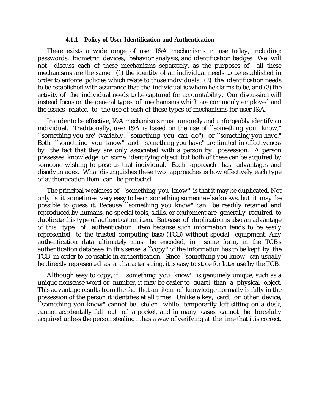#### **4.1.1 Policy of User Identification and Authentication**

There exists a wide range of user I&A mechanisms in use today, including: passwords, biometric devices, behavior analysis, and identification badges. We will not discuss each of these mechanisms separately, as the purposes of all these mechanisms are the same: (1) the identity of an individual needs to be established in order to enforce policies which relate to those individuals, (2) the identification needs to be established with assurance that the individual is whom he claims to be, and (3) the activity of the individual needs to be captured for accountability. Our discussion will instead focus on the general types of mechanisms which are commonly employed and the issues related to the use of each of these types of mechanisms for user I&A.

In order to be effective, I&A mechanisms must uniquely and unforgeably identify an individual. Traditionally, user I&A is based on the use of ``something you know,'' ``something you are'' (variably, ``something you can do''), or ``something you have.'' Both ``something you know'' and ``something you have'' are limited in effectiveness by the fact that they are only associated with a person by possession. A person possesses knowledge or some identifying object, but both of these can be acquired by someone wishing to pose as that individual. Each approach has advantages and disadvantages. What distinguishes these two approaches is how effectively each type of authentication item can be protected.

The principal weakness of ``something you know'' is that it may be duplicated. Not only is it sometimes very easy to learn something someone else knows, but it may be possible to guess it. Because ``something you know'' can be readily retained and reproduced by humans, no special tools, skills, or equipment are generally required to duplicate this type of authentication item. But ease of duplication is also an advantage of this type of authentication item because such information tends to be easily represented to the trusted computing base (TCB) without special equipment. Any authentication data ultimately must be encoded, in some form, in the TCB's authentication database; in this sense, a ``copy'' of the information has to be kept by the TCB in order to be usable in authentication. Since ``something you know'' can usually be directly represented as a character string, it is easy to store for later use by the TCB.

Although easy to copy, if ``something you know'' is genuinely unique, such as a unique nonsense word or number, it may be easier to guard than a physical object. This advantage results from the fact that an item of knowledge normally is fully in the possession of the person it identifies at all times. Unlike a key, card, or other device, ``something you know'' cannot be stolen while temporarily left sitting on a desk, cannot accidentally fall out of a pocket, and in many cases cannot be forcefully acquired unless the person stealing it has a way of verifying at the time that it is correct.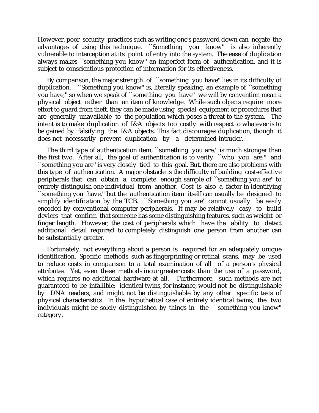However, poor security practices such as writing one's password down can negate the advantages of using this technique. ``Something you know'' is also inherently vulnerable to interception at its point of entry into the system. The ease of duplication always makes ``something you know'' an imperfect form of authentication, and it is subject to conscientious protection of information for its effectiveness.

By comparison, the major strength of ``something you have'' lies in its difficulty of duplication. ``Something you know'' is, literally speaking, an example of ``something you have,'' so when we speak of ``something you have'' we will by convention mean a physical object rather than an item of knowledge. While such objects require more effort to guard from theft, they can be made using special equipment or procedures that are generally unavailable to the population which poses a threat to the system. The intent is to make duplication of I&A objects too costly with respect to whatever is to be gained by falsifying the I&A objects. This fact discourages duplication, though it does not necessarily prevent duplication by a determined intruder.

The third type of authentication item, "something you are," is much stronger than the first two. After all, the goal of authentication is to verify ``who you are,'' and ``something you are'' is very closely tied to this goal. But, there are also problems with this type of authentication. A major obstacle is the difficulty of building cost-effective peripherals that can obtain a complete enough sample of ``something you are'' to entirely distinguish one individual from another. Cost is also a factor in identifying ``something you have,'' but the authentication item itself can usually be designed to simplify identification by the TCB. `Something you are'' cannot usually be easily encoded by conventional computer peripherals. It may be relatively easy to build devices that confirm that someone has some distinguishing features, such as weight or finger length. However, the cost of peripherals which have the ability to detect additional detail required to completely distinguish one person from another can be substantially greater.

Fortunately, not everything about a person is required for an adequately unique identification. Specific methods, such as fingerprinting or retinal scans, may be used to reduce costs in comparison to a total examination of all of a person's physical attributes. Yet, even these methods incur greater costs than the use of a password, which requires no additional hardware at all. Furthermore, such methods are not guaranteed to be infallible: identical twins, for instance, would not be distinguishable by DNA readers, and might not be distinguishable by any other specific tests of physical characteristics. In the hypothetical case of entirely identical twins, the two individuals might be solely distinguished by things in the ``something you know'' category.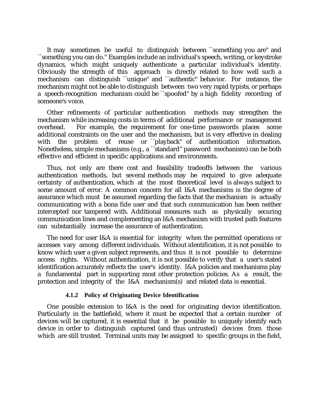It may sometimes be useful to distinguish between ``something you are'' and ``something you can do.'' Examples include an individual's speech, writing, or keystroke dynamics, which might uniquely authenticate a particular individual's identity. Obviously the strength of this approach is directly related to how well such a mechanism can distinguish ``unique'' and ``authentic'' behavior. For instance, the mechanism might not be able to distinguish between two very rapid typists, or perhaps a speech-recognition mechanism could be ``spoofed'' by a high fidelity recording of someone's voice.

Other refinements of particular authentication methods may strengthen the mechanism while increasing costs in terms of additional performance or management overhead. For example, the requirement for one-time passwords places some additional constraints on the user and the mechanism, but is very effective in dealing with the problem of reuse or ``playback'' of authentication information. Nonetheless, simple mechanisms (e.g., a ``standard'' password mechanism) can be both effective and efficient in specific applications and environments.

Thus, not only are there cost and feasibility tradeoffs between the various authentication methods, but several methods may be required to give adequate certainty of authentication, which at the most theoretical level is always subject to some amount of error. A common concern for all I&A mechanisms is the degree of assurance which must be assumed regarding the facts that the mechanism is actually communicating with a bona fide user and that such communication has been neither intercepted nor tampered with. Additional measures such as physically securing communication lines and complementing an I&A mechanism with trusted path features can substantially increase the assurance of authentication.

The need for user I&A is essential for integrity when the permitted operations or accesses vary among different individuals. Without identification, it is not possible to know which user a given subject represents, and thus it is not possible to determine access rights. Without authentication, it is not possible to verify that a user's stated identification accurately reflects the user's identity. I&A policies and mechanisms play a fundamental part in supporting most other protection policies. As a result, the protection and integrity of the I&A mechanism(s) and related data is essential.

## **4.1.2 Policy of Originating Device Identification**

One possible extension to I&A is the need for originating device identification. Particularly in the battlefield, where it must be expected that a certain number of devices will be captured, it is essential that it be possible to uniquely identify each device in order to distinguish captured (and thus untrusted) devices from those which are still trusted. Terminal units may be assigned to specific groups in the field,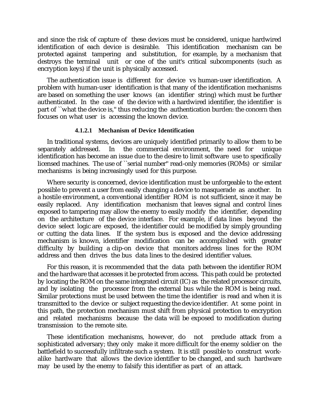and since the risk of capture of these devices must be considered, unique hardwired identification of each device is desirable. This identification mechanism can be protected against tampering and substitution, for example, by a mechanism that destroys the terminal unit or one of the unit's critical subcomponents (such as encryption keys) if the unit is physically accessed.

The authentication issue is different for device vs human-user identification. A problem with human-user identification is that many of the identification mechanisms are based on something the user knows (an identifier string) which must be further authenticated. In the case of the device with a hardwired identifier, the identifier is part of ``what the device is,'' thus reducing the authentication burden: the concern then focuses on what user is accessing the known device.

#### **4.1.2.1 Mechanism of Device Identification**

In traditional systems, devices are uniquely identified primarily to allow them to be separately addressed. In the commercial environment, the need for unique identification has become an issue due to the desire to limit software use to specifically licensed machines. The use of ``serial number'' read-only memories (ROMs) or similar mechanisms is being increasingly used for this purpose.

Where security is concerned, device identification must be unforgeable to the extent possible to prevent a user from easily changing a device to masquerade as another. In a hostile environment, a conventional identifier ROM is not sufficient, since it may be easily replaced. Any identification mechanism that leaves signal and control lines exposed to tampering may allow the enemy to easily modify the identifier, depending on the architecture of the device interface. For example, if data lines beyond the device select logic are exposed, the identifier could be modified by simply grounding or cutting the data lines. If the system bus is exposed and the device addressing mechanism is known, identifier modification can be accomplished with greater difficulty by building a clip-on device that monitors address lines for the ROM address and then drives the bus data lines to the desired identifier values.

For this reason, it is recommended that the data path between the identifier ROM and the hardware that accesses it be protected from access. This path could be protected by locating the ROM on the same integrated circuit (IC) as the related processor circuits, and by isolating the processor from the external bus while the ROM is being read. Similar protections must be used between the time the identifier is read and when it is transmitted to the device or subject requesting the device identifier. At some point in this path, the protection mechanism must shift from physical protection to encryption and related mechanisms because the data will be exposed to modification during transmission to the remote site.

These identification mechanisms, however, do not preclude attack from a sophisticated adversary; they only make it more difficult for the enemy soldier on the battlefield to successfully infiltrate such a system. It is still possible to construct workalike hardware that allows the device identifier to be changed, and such hardware may be used by the enemy to falsify this identifier as part of an attack.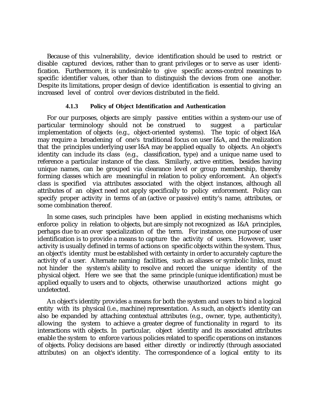Because of this vulnerability, device identification should be used to restrict or disable captured devices, rather than to grant privileges or to serve as user identification. Furthermore, it is undesirable to give specific access-control meanings to specific identifier values, other than to distinguish the devices from one another. Despite its limitations, proper design of device identification is essential to giving an increased level of control over devices distributed in the field.

## **4.1.3 Policy of Object Identification and Authentication**

For our purposes, objects are simply passive entities within a system-our use of particular terminology should not be construed to suggest a particular implementation of objects (e.g., object-oriented systems). The topic of object I&A may require a broadening of one's traditional focus on user I&A, and the realization that the principles underlying user I&A may be applied equally to objects. An object's identity can include its class (e.g., classification, type) and a unique name used to reference a particular instance of the class. Similarly, active entities, besides having unique names, can be grouped via clearance level or group membership, thereby forming classes which are meaningful in relation to policy enforcement. An object's class is specified via attributes associated with the object instances, although all attributes of an object need not apply specifically to policy enforcement. Policy can specify proper activity in terms of an (active or passive) entity's name, attributes, or some combination thereof.

In some cases, such principles have been applied in existing mechanisms which enforce policy in relation to objects, but are simply not recognized as I&A principles, perhaps due to an over specialization of the term. For instance, one purpose of user identification is to provide a means to capture the activity of users. However, user activity is usually defined in terms of actions on specific objects within the system. Thus, an object's identity must be established with certainty in order to accurately capture the activity of a user. Alternate naming facilities, such as aliases or symbolic links, must not hinder the system's ability to resolve and record the unique identity of the physical object. Here we see that the same principle (unique identification) must be applied equally to users and to objects, otherwise unauthorized actions might go undetected.

An object's identity provides a means for both the system and users to bind a logical entity with its physical (i.e., machine) representation. As such, an object's identity can also be expanded by attaching contextual attributes (e.g., owner, type, authenticity), allowing the system to achieve a greater degree of functionality in regard to its interactions with objects. In particular, object identity and its associated attributes enable the system to enforce various policies related to specific operations on instances of objects. Policy decisions are based either directly or indirectly (through associated attributes) on an object's identity. The correspondence of a logical entity to its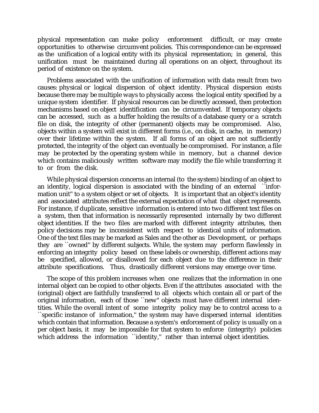physical representation can make policy enforcement difficult, or may create opportunities to otherwise circumvent policies. This correspondence can be expressed as the unification of a logical entity with its physical representation; in general, this unification must be maintained during all operations on an object, throughout its period of existence on the system.

Problems associated with the unification of information with data result from two causes: physical or logical dispersion of object identity. Physical dispersion exists because there may be multiple ways to physically access the logical entity specified by a unique system identifier. If physical resources can be directly accessed, then protection mechanisms based on object identification can be circumvented. If temporary objects can be accessed, such as a buffer holding the results of a database query or a scratch file on disk, the integrity of other (permanent) objects may be compromised. Also, objects within a system will exist in different forms (i.e., on disk, in cache, in memory) over their lifetime within the system. If all forms of an object are not sufficiently protected, the integrity of the object can eventually be compromised. For instance, a file may be protected by the operating system while in memory, but a channel device which contains maliciously written software may modify the file while transferring it to or from the disk.

While physical dispersion concerns an internal (to the system) binding of an object to an identity, logical dispersion is associated with the binding of an external ``information unit'' to a system object or set of objects. It is important that an object's identity and associated attributes reflect the external expectation of what that object represents. For instance, if duplicate, sensitive information is entered into two different text files on a system, then that information is necessarily represented internally by two different object identities. If the two files are marked with different integrity attributes, then policy decisions may be inconsistent with respect to identical units of information. One of the text files may be marked as Sales and the other as Development, or perhaps they are ``owned'' by different subjects. While, the system may perform flawlessly in enforcing an integrity policy based on these labels or ownership, different actions may be specified, allowed, or disallowed for each object due to the difference in their attribute specifications. Thus, drastically different versions may emerge over time.

The scope of this problem increases when one realizes that the information in one internal object can be copied to other objects. Even if the attributes associated with the (original) object are faithfully transferred to all objects which contain all or part of the original information, each of those ``new'' objects must have different internal identities. While the overall intent of some integrity policy may be to control access to a ``specific instance of information,'' the system may have dispersed internal identities which contain that information. Because a system's enforcement of policy is usually on a per object basis, it may be impossible for that system to enforce (integrity) policies which address the information ``identity,'' rather than internal object identities.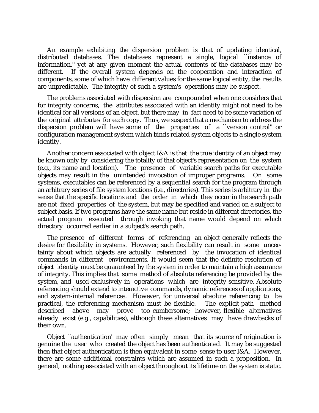An example exhibiting the dispersion problem is that of updating identical, distributed databases. The databases represent a single, logical ``instance of information,'' yet at any given moment the actual contents of the databases may be different. If the overall system depends on the cooperation and interaction of components, some of which have different values for the same logical entity, the results are unpredictable. The integrity of such a system's operations may be suspect.

The problems associated with dispersion are compounded when one considers that for integrity concerns, the attributes associated with an identity might not need to be identical for all versions of an object, but there may in fact need to be some variation of the original attributes for each copy. Thus, we suspect that a mechanism to address the dispersion problem will have some of the properties of a ``version control'' or configuration management system which binds related system objects to a single system identity.

Another concern associated with object I&A is that the true identity of an object may be known only by considering the totality of that object's representation on the system (e.g., its name and location). The presence of variable search paths for executable objects may result in the unintended invocation of improper programs. On some systems, executables can be referenced by a sequential search for the program through an arbitrary series of file system locations (i.e., directories). This series is arbitrary in the sense that the specific locations and the order in which they occur in the search path are not fixed properties of the system, but may be specified and varied on a subject to subject basis. If two programs have the same name but reside in different directories, the actual program executed through invoking that name would depend on which directory occurred earlier in a subject's search path.

The presence of different forms of referencing an object generally reflects the desire for flexibility in systems. However, such flexibility can result in some uncertainty about which objects are actually referenced by the invocation of identical commands in different environments. It would seem that the definite resolution of object identity must be guaranteed by the system in order to maintain a high assurance of integrity. This implies that some method of absolute referencing be provided by the system, and used exclusively in operations which are integrity-sensitive. Absolute referencing should extend to interactive commands, dynamic references of applications, and system-internal references. However, for universal absolute referencing to be practical, the referencing mechanism must be flexible. The explicit-path method described above may prove too cumbersome; however, flexible alternatives already exist (e.g., capabilities), although these alternatives may have drawbacks of their own.

Object ``authentication'' may often simply mean that its source of origination is genuine the user who created the object has been authenticated. It may be suggested then that object authentication is then equivalent in some sense to user I&A. However, there are some additional constraints which are assumed in such a proposition. In general, nothing associated with an object throughout its lifetime on the system is static.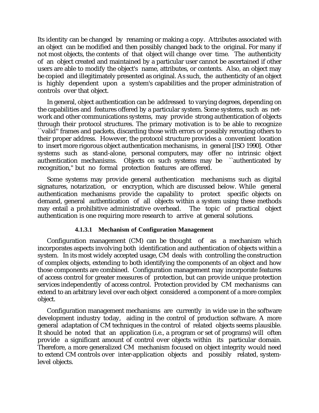Its identity can be changed by renaming or making a copy. Attributes associated with an object can be modified and then possibly changed back to the original. For many if not most objects, the contents of that object will change over time. The authenticity of an object created and maintained by a particular user cannot be ascertained if other users are able to modify the object's name, attributes, or contents. Also, an object may be copied and illegitimately presented as original. As such, the authenticity of an object is highly dependent upon a system's capabilities and the proper administration of controls over that object.

In general, object authentication can be addressed to varying degrees, depending on the capabilities and features offered by a particular system. Some systems, such as network and other communications systems, may provide strong authentication of objects through their protocol structures. The primary motivation is to be able to recognize ``valid'' frames and packets, discarding those with errors or possibly rerouting others to their proper address. However, the protocol structure provides a convenient location to insert more rigorous object authentication mechanisms, in general [ISO 1990]. Other systems such as stand-alone, personal computers, may offer no intrinsic object authentication mechanisms. Objects on such systems may be ``authenticated by recognition,'' but no formal protection features are offered.

Some systems may provide general authentication mechanisms such as digital signatures, notarization, or encryption, which are discussed below. While general authentication mechanisms provide the capability to protect specific objects on demand, general authentication of all objects within a system using these methods may entail a prohibitive administrative overhead. The topic of practical object authentication is one requiring more research to arrive at general solutions.

## **4.1.3.1 Mechanism of Configuration Management**

Configuration management (CM) can be thought of as a mechanism which incorporates aspects involving both identification and authentication of objects within a system. In its most widely accepted usage, CM deals with controlling the construction of complex objects, extending to both identifying the components of an object and how those components are combined. Configuration management may incorporate features of access control for greater measures of protection, but can provide unique protection services independently of access control. Protection provided by CM mechanisms can extend to an arbitrary level over each object considered a component of a more complex object.

Configuration management mechanisms are currently in wide use in the software development industry today, aiding in the control of production software. A more general adaptation of CM techniques in the control of related objects seems plausible. It should be noted that an application (i.e., a program or set of programs) will often provide a significant amount of control over objects within its particular domain. Therefore, a more generalized CM mechanism focused on object integrity would need to extend CM controls over inter-application objects and possibly related, systemlevel objects.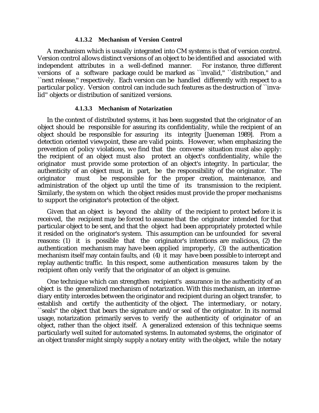#### **4.1.3.2 Mechanism of Version Control**

A mechanism which is usually integrated into CM systems is that of version control. Version control allows distinct versions of an object to be identified and associated with independent attributes in a well-defined manner. For instance, three different versions of a software package could be marked as ``invalid,'' ``distribution,'' and ``next release,'' respectively. Each version can be handled differently with respect to a particular policy. Version control can include such features as the destruction of ``invalid'' objects or distribution of sanitized versions.

## **4.1.3.3 Mechanism of Notarization**

In the context of distributed systems, it has been suggested that the originator of an object should be responsible for assuring its confidentiality, while the recipient of an object should be responsible for assuring its integrity [Jueneman 1989]. From a detection oriented viewpoint, these are valid points. However, when emphasizing the prevention of policy violations, we find that the converse situation must also apply: the recipient of an object must also protect an object's confidentiality, while the originator must provide some protection of an object's integrity. In particular, the authenticity of an object must, in part, be the responsibility of the originator. The originator must be responsible for the proper creation, maintenance, and administration of the object up until the time of its transmission to the recipient. Similarly, the system on which the object resides must provide the proper mechanisms to support the originator's protection of the object.

Given that an object is beyond the ability of the recipient to protect before it is received, the recipient may be forced to assume that the originator intended for that particular object to be sent, and that the object had been appropriately protected while it resided on the originator's system. This assumption can be unfounded for several reasons: (1) it is possible that the originator's intentions are malicious, (2) the authentication mechanism may have been applied improperly, (3) the authentication mechanism itself may contain faults, and (4) it may have been possible to intercept and replay authentic traffic. In this respect, some authentication measures taken by the recipient often only verify that the originator of an object is genuine.

One technique which can strengthen recipient's assurance in the authenticity of an object is the generalized mechanism of notarization. With this mechanism, an intermediary entity intercedes between the originator and recipient during an object transfer, to establish and certify the authenticity of the object. The intermediary, or notary, ``seals'' the object that bears the signature and/or seal of the originator. In its normal usage, notarization primarily serves to verify the authenticity of originator of an object, rather than the object itself. A generalized extension of this technique seems particularly well suited for automated systems. In automated systems, the originator of an object transfer might simply supply a notary entity with the object, while the notary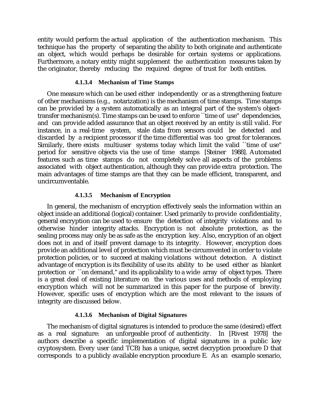entity would perform the actual application of the authentication mechanism. This technique has the property of separating the ability to both originate and authenticate an object, which would perhaps be desirable for certain systems or applications. Furthermore, a notary entity might supplement the authentication measures taken by the originator, thereby reducing the required degree of trust for both entities.

## **4.1.3.4 Mechanism of Time Stamps**

One measure which can be used either independently or as a strengthening feature of other mechanisms (e.g., notarization) is the mechanism of time stamps. Time stamps can be provided by a system automatically as an integral part of the system's objecttransfer mechanism(s). Time stamps can be used to enforce ``time of use'' dependencies, and can provide added assurance that an object received by an entity is still valid. For instance, in a real-time system, stale data from sensors could be detected and discarded by a recipient processor if the time differential was too great for tolerances. Similarly, there exists multiuser systems today which limit the valid ``time of use'' period for sensitive objects via the use of time stamps [Steiner 1988]. Automated features such as time stamps do not completely solve all aspects of the problems associated with object authentication, although they can provide extra protection. The main advantages of time stamps are that they can be made efficient, transparent, and uncircumventable.

## **4.1.3.5 Mechanism of Encryption**

In general, the mechanism of encryption effectively seals the information within an object inside an additional (logical) container. Used primarily to provide confidentiality, general encryption can be used to ensure the detection of integrity violations and to otherwise hinder integrity attacks. Encryption is not absolute protection, as the sealing process may only be as safe as the encryption key. Also, encryption of an object does not in and of itself prevent damage to its integrity. However, encryption does provide an additional level of protection which must be circumvented in order to violate protection policies, or to succeed at making violations without detection. A distinct advantage of encryption is its flexibility of use its ability to be used either as blanket protection or ``on demand,'' and its applicability to a wide array of object types. There is a great deal of existing literature on the various uses and methods of employing encryption which will not be summarized in this paper for the purpose of brevity. However, specific uses of encryption which are the most relevant to the issues of integrity are discussed below.

## **4.1.3.6 Mechanism of Digital Signatures**

The mechanism of digital signatures is intended to produce the same (desired) effect as a real signature: an unforgeable proof of authenticity. In [Rivest 1978] the authors describe a specific implementation of digital signatures in a public key cryptosystem. Every user (and TCB) has a unique, secret decryption procedure D that corresponds to a publicly available encryption procedure E. As an example scenario,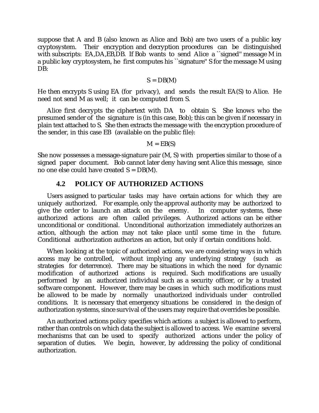suppose that A and B (also known as Alice and Bob) are two users of a public key cryptosystem. Their encryption and decryption procedures can be distinguished with subscripts: EA,DA,EB,DB. If Bob wants to send Alice a "signed" message M in a public key cryptosystem, he first computes his ``signature'' S for the message M using DB:

$$
S = DB(M)
$$

He then encrypts S using EA (for privacy), and sends the result EA(S) to Alice. He need not send M as well; it can be computed from S.

Alice first decrypts the ciphertext with DA to obtain S. She knows who the presumed sender of the signature is (in this case, Bob); this can be given if necessary in plain text attached to S. She then extracts the message with the encryption procedure of the sender, in this case EB (available on the public file):

$$
M = EB(S)
$$

She now possesses a message-signature pair (M, S) with properties similar to those of a signed paper document. Bob cannot later deny having sent Alice this message, since no one else could have created  $S = DB(M)$ .

# **4.2 POLICY OF AUTHORIZED ACTIONS**

Users assigned to particular tasks may have certain actions for which they are uniquely authorized. For example, only the approval authority may be authorized to give the order to launch an attack on the enemy. In computer systems, these authorized actions are often called privileges. Authorized actions can be either unconditional or conditional. Unconditional authorization immediately authorizes an action, although the action may not take place until some time in the future. Conditional authorization authorizes an action, but only if certain conditions hold.

When looking at the topic of authorized actions, we are considering ways in which access may be controlled, without implying any underlying strategy (such as strategies for deterrence). There may be situations in which the need for dynamic modification of authorized actions is required. Such modifications are usually performed by an authorized individual such as a security officer, or by a trusted software component. However, there may be cases in which such modifications must be allowed to be made by normally unauthorized individuals under controlled conditions. It is necessary that emergency situations be considered in the design of authorization systems, since survival of the users may require that overrides be possible.

An authorized actions policy specifies which actions a subject is allowed to perform, rather than controls on which data the subject is allowed to access. We examine several mechanisms that can be used to specify authorized actions under the policy of separation of duties. We begin, however, by addressing the policy of conditional authorization.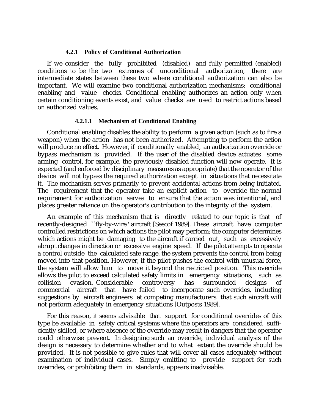#### **4.2.1 Policy of Conditional Authorization**

If we consider the fully prohibited (disabled) and fully permitted (enabled) conditions to be the two extremes of unconditional authorization, there are intermediate states between these two where conditional authorization can also be important. We will examine two conditional authorization mechanisms: conditional enabling and value checks. Conditional enabling authorizes an action only when certain conditioning events exist, and value checks are used to restrict actions based on authorized values.

#### **4.2.1.1 Mechanism of Conditional Enabling**

Conditional enabling disables the ability to perform a given action (such as to fire a weapon) when the action has not been authorized. Attempting to perform the action will produce no effect. However, if conditionally enabled, an authorization override or bypass mechanism is provided. If the user of the disabled device actuates some arming control, for example, the previously disabled function will now operate. It is expected (and enforced by disciplinary measures as appropriate) that the operator of the device will not bypass the required authorization except in situations that necessitate it. The mechanism serves primarily to prevent accidental actions from being initiated. The requirement that the operator take an explicit action to override the normal requirement for authorization serves to ensure that the action was intentional, and places greater reliance on the operator's contribution to the integrity of the system.

An example of this mechanism that is directly related to our topic is that of recently-designed ``fly-by-wire'' aircraft [Seecof 1989]. These aircraft have computer controlled restrictions on which actions the pilot may perform; the computer determines which actions might be damaging to the aircraft if carried out, such as excessively abrupt changes in direction or excessive engine speed. If the pilot attempts to operate a control outside the calculated safe range, the system prevents the control from being moved into that position. However, if the pilot pushes the control with unusual force, the system will allow him to move it beyond the restricted position. This override allows the pilot to exceed calculated safety limits in emergency situations, such as collision evasion. Considerable controversy has surrounded designs of commercial aircraft that have failed to incorporate such overrides, including suggestions by aircraft engineers at competing manufacturers that such aircraft will not perform adequately in emergency situations [Outposts 1989].

For this reason, it seems advisable that support for conditional overrides of this type be available in safety critical systems where the operators are considered sufficiently skilled, or where absence of the override may result in dangers that the operator could otherwise prevent. In designing such an override, individual analysis of the design is necessary to determine whether and to what extent the override should be provided. It is not possible to give rules that will cover all cases adequately without examination of individual cases. Simply omitting to provide support for such overrides, or prohibiting them in standards, appears inadvisable.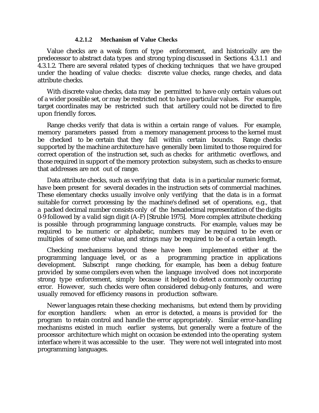#### **4.2.1.2 Mechanism of Value Checks**

Value checks are a weak form of type enforcement, and historically are the predecessor to abstract data types and strong typing discussed in Sections 4.3.1.1 and 4.3.1.2. There are several related types of checking techniques that we have grouped under the heading of value checks: discrete value checks, range checks, and data attribute checks.

With discrete value checks, data may be permitted to have only certain values out of a wider possible set, or may be restricted not to have particular values. For example, target coordinates may be restricted such that artillery could not be directed to fire upon friendly forces.

Range checks verify that data is within a certain range of values. For example, memory parameters passed from a memory management process to the kernel must be checked to be certain that they fall within certain bounds. Range checks supported by the machine architecture have generally been limited to those required for correct operation of the instruction set, such as checks for arithmetic overflows, and those required in support of the memory protection subsystem, such as checks to ensure that addresses are not out of range.

Data attribute checks, such as verifying that data is in a particular numeric format, have been present for several decades in the instruction sets of commercial machines. These elementary checks usually involve only verifying that the data is in a format suitable for correct processing by the machine's defined set of operations, e.g., that a packed decimal number consists only of the hexadecimal representation of the digits 0-9 followed by a valid sign digit (A-F) [Struble 1975]. More complex attribute checking is possible through programming language constructs. For example, values may be required to be numeric or alphabetic, numbers may be required to be even or multiples of some other value, and strings may be required to be of a certain length.

Checking mechanisms beyond these have been implemented either at the programming language level, or as a programming practice in applications development. Subscript range checking, for example, has been a debug feature provided by some compilers even when the language involved does not incorporate strong type enforcement, simply because it helped to detect a commonly occurring error. However, such checks were often considered debug-only features, and were usually removed for efficiency reasons in production software.

Newer languages retain these checking mechanisms, but extend them by providing for exception handlers: when an error is detected, a means is provided for the program to retain control and handle the error appropriately. Similar error-handling mechanisms existed in much earlier systems, but generally were a feature of the processor architecture which might on occasion be extended into the operating system interface where it was accessible to the user. They were not well integrated into most programming languages.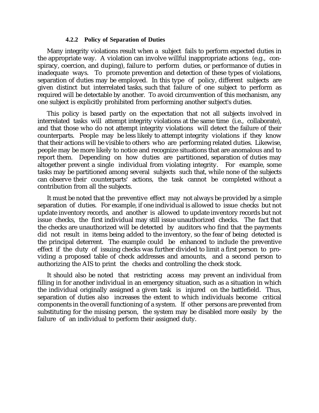#### **4.2.2 Policy of Separation of Duties**

Many integrity violations result when a subject fails to perform expected duties in the appropriate way. A violation can involve willful inappropriate actions (e.g., conspiracy, coercion, and duping), failure to perform duties, or performance of duties in inadequate ways. To promote prevention and detection of these types of violations, separation of duties may be employed. In this type of policy, different subjects are given distinct but interrelated tasks, such that failure of one subject to perform as required will be detectable by another. To avoid circumvention of this mechanism, any one subject is explicitly prohibited from performing another subject's duties.

This policy is based partly on the expectation that not all subjects involved in interrelated tasks will attempt integrity violations at the same time (i.e., collaborate), and that those who do not attempt integrity violations will detect the failure of their counterparts. People may be less likely to attempt integrity violations if they know that their actions will be visible to others who are performing related duties. Likewise, people may be more likely to notice and recognize situations that are anomalous and to report them. Depending on how duties are partitioned, separation of duties may altogether prevent a single individual from violating integrity. For example, some tasks may be partitioned among several subjects such that, while none of the subjects can observe their counterparts' actions, the task cannot be completed without a contribution from all the subjects.

It must be noted that the preventive effect may not always be provided by a simple separation of duties. For example, if one individual is allowed to issue checks but not update inventory records, and another is allowed to update inventory records but not issue checks, the first individual may still issue unauthorized checks. The fact that the checks are unauthorized will be detected by auditors who find that the payments did not result in items being added to the inventory, so the fear of being detected is the principal deterrent. The example could be enhanced to include the preventive effect if the duty of issuing checks was further divided to limit a first person to providing a proposed table of check addresses and amounts, and a second person to authorizing the AIS to print the checks and controlling the check stock.

It should also be noted that restricting access may prevent an individual from filling in for another individual in an emergency situation, such as a situation in which the individual originally assigned a given task is injured on the battlefield. Thus, separation of duties also increases the extent to which individuals become critical components in the overall functioning of a system. If other persons are prevented from substituting for the missing person, the system may be disabled more easily by the failure of an individual to perform their assigned duty.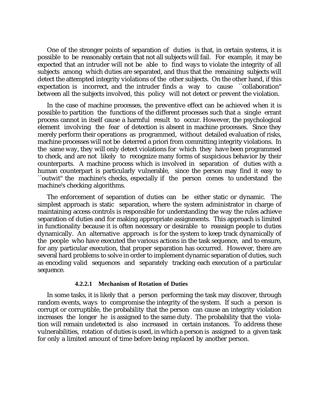One of the stronger points of separation of duties is that, in certain systems, it is possible to be reasonably certain that not all subjects will fail. For example, it may be expected that an intruder will not be able to find ways to violate the integrity of all subjects among which duties are separated, and thus that the remaining subjects will detect the attempted integrity violations of the other subjects. On the other hand, if this expectation is incorrect, and the intruder finds a way to cause ``collaboration'' between all the subjects involved, this policy will not detect or prevent the violation.

In the case of machine processes, the preventive effect can be achieved when it is possible to partition the functions of the different processes such that a single errant process cannot in itself cause a harmful result to occur. However, the psychological element involving the fear of detection is absent in machine processes. Since they merely perform their operations as programmed, without detailed evaluation of risks, machine processes will not be deterred a priori from committing integrity violations. In the same way, they will only detect violations for which they have been programmed to check, and are not likely to recognize many forms of suspicious behavior by their counterparts. A machine process which is involved in separation of duties with a human counterpart is particularly vulnerable, since the person may find it easy to ``outwit'' the machine's checks, especially if the person comes to understand the machine's checking algorithms.

The enforcement of separation of duties can be either static or dynamic. The simplest approach is static separation, where the system administrator in charge of maintaining access controls is responsible for understanding the way the rules achieve separation of duties and for making appropriate assignments. This approach is limited in functionality because it is often necessary or desirable to reassign people to duties dynamically. An alternative approach is for the system to keep track dynamically of the people who have executed the various actions in the task sequence, and to ensure, for any particular execution, that proper separation has occurred. However, there are several hard problems to solve in order to implement dynamic separation of duties, such as encoding valid sequences and separately tracking each execution of a particular sequence.

#### **4.2.2.1 Mechanism of Rotation of Duties**

In some tasks, it is likely that a person performing the task may discover, through random events, ways to compromise the integrity of the system. If such a person is corrupt or corruptible, the probability that the person can cause an integrity violation increases the longer he is assigned to the same duty. The probability that the violation will remain undetected is also increased in certain instances. To address these vulnerabilities, rotation of duties is used, in which a person is assigned to a given task for only a limited amount of time before being replaced by another person.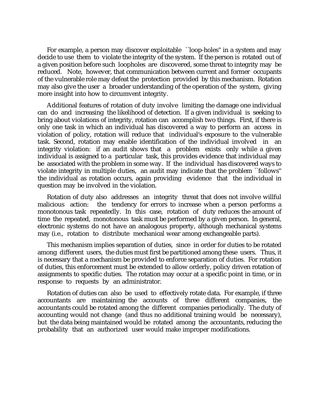For example, a person may discover exploitable ``loop-holes'' in a system and may decide to use them to violate the integrity of the system. If the person is rotated out of a given position before such loopholes are discovered, some threat to integrity may be reduced. Note, however, that communication between current and former occupants of the vulnerable role may defeat the protection provided by this mechanism. Rotation may also give the user a broader understanding of the operation of the system, giving more insight into how to circumvent integrity.

Additional features of rotation of duty involve limiting the damage one individual can do and increasing the likelihood of detection. If a given individual is seeking to bring about violations of integrity, rotation can accomplish two things. First, if there is only one task in which an individual has discovered a way to perform an access in violation of policy, rotation will reduce that individual's exposure to the vulnerable task. Second, rotation may enable identification of the individual involved in an integrity violation: if an audit shows that a problem exists only while a given individual is assigned to a particular task, this provides evidence that individual may be associated with the problem in some way. If the individual has discovered ways to violate integrity in multiple duties, an audit may indicate that the problem ``follows'' the individual as rotation occurs, again providing evidence that the individual in question may be involved in the violation.

Rotation of duty also addresses an integrity threat that does not involve willful malicious action: the tendency for errors to increase when a person performs a monotonous task repeatedly. In this case, rotation of duty reduces the amount of time the repeated, monotonous task must be performed by a given person. In general, electronic systems do not have an analogous property, although mechanical systems may (i.e., rotation to distribute mechanical wear among exchangeable parts).

This mechanism implies separation of duties, since in order for duties to be rotated among different users, the duties must first be partitioned among these users. Thus, it is necessary that a mechanism be provided to enforce separation of duties. For rotation of duties, this enforcement must be extended to allow orderly, policy driven rotation of assignments to specific duties. The rotation may occur at a specific point in time, or in response to requests by an administrator.

Rotation of duties can also be used to effectively rotate data. For example, if three accountants are maintaining the accounts of three different companies, the accountants could be rotated among the different companies periodically. The duty of accounting would not change (and thus no additional training would be necessary), but the data being maintained would be rotated among the accountants, reducing the probability that an authorized user would make improper modifications.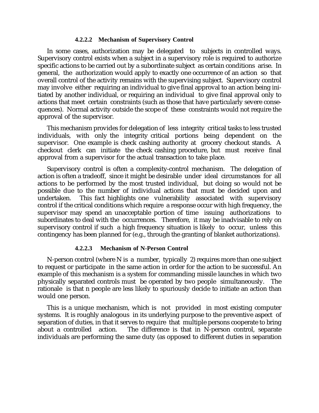#### **4.2.2.2 Mechanism of Supervisory Control**

In some cases, authorization may be delegated to subjects in controlled ways. Supervisory control exists when a subject in a supervisory role is required to authorize specific actions to be carried out by a subordinate subject as certain conditions arise. In general, the authorization would apply to exactly one occurrence of an action so that overall control of the activity remains with the supervising subject. Supervisory control may involve either requiring an individual to give final approval to an action being initiated by another individual, or requiring an individual to give final approval only to actions that meet certain constraints (such as those that have particularly severe consequences). Normal activity outside the scope of these constraints would not require the approval of the supervisor.

This mechanism provides for delegation of less integrity critical tasks to less trusted individuals, with only the integrity critical portions being dependent on the supervisor. One example is check cashing authority at grocery checkout stands. A checkout clerk can initiate the check cashing procedure, but must receive final approval from a supervisor for the actual transaction to take place.

Supervisory control is often a complexity-control mechanism. The delegation of action is often a tradeoff, since it might be desirable under ideal circumstances for all actions to be performed by the most trusted individual, but doing so would not be possible due to the number of individual actions that must be decided upon and undertaken. This fact highlights one vulnerability associated with supervisory control if the critical conditions which require a response occur with high frequency, the supervisor may spend an unacceptable portion of time issuing authorizations to subordinates to deal with the occurrences. Therefore, it may be inadvisable to rely on supervisory control if such a high frequency situation is likely to occur, unless this contingency has been planned for (e.g., through the granting of blanket authorizations).

#### **4.2.2.3 Mechanism of N-Person Control**

N-person control (where N is a number, typically 2) requires more than one subject to request or participate in the same action in order for the action to be successful. An example of this mechanism is a system for commanding missile launches in which two physically separated controls must be operated by two people simultaneously. The rationale is that n people are less likely to spuriously decide to initiate an action than would one person.

This is a unique mechanism, which is not provided in most existing computer systems. It is roughly analogous in its underlying purpose to the preventive aspect of separation of duties, in that it serves to require that multiple persons cooperate to bring about a controlled action. The difference is that in N-person control, separate individuals are performing the same duty (as opposed to different duties in separation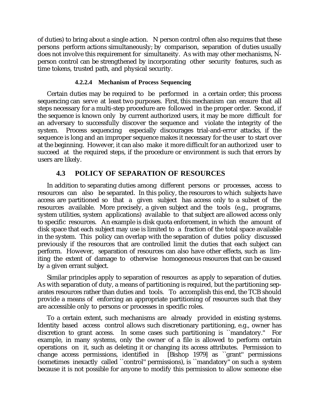of duties) to bring about a single action. N person control often also requires that these persons perform actions simultaneously; by comparison, separation of duties usually does not involve this requirement for simultaneity. As with may other mechanisms, Nperson control can be strengthened by incorporating other security features, such as time tokens, trusted path, and physical security.

## **4.2.2.4 Mechanism of Process Sequencing**

Certain duties may be required to be performed in a certain order; this process sequencing can serve at least two purposes. First, this mechanism can ensure that all steps necessary for a multi-step procedure are followed in the proper order. Second, if the sequence is known only by current authorized users, it may be more difficult for an adversary to successfully discover the sequence and violate the integrity of the system. Process sequencing especially discourages trial-and-error attacks, if the sequence is long and an improper sequence makes it necessary for the user to start over at the beginning. However, it can also make it more difficult for an authorized user to succeed at the required steps, if the procedure or environment is such that errors by users are likely.

## **4.3 POLICY OF SEPARATION OF RESOURCES**

In addition to separating duties among different persons or processes, access to resources can also be separated. In this policy, the resources to which subjects have access are partitioned so that a given subject has access only to a subset of the resources available. More precisely, a given subject and the tools (e.g., programs, system utilities, system applications) available to that subject are allowed access only to specific resources. An example is disk quota enforcement, in which the amount of disk space that each subject may use is limited to a fraction of the total space available in the system. This policy can overlap with the separation of duties policy discussed previously if the resources that are controlled limit the duties that each subject can perform. However, separation of resources can also have other effects, such as limiting the extent of damage to otherwise homogeneous resources that can be caused by a given errant subject.

Similar principles apply to separation of resources as apply to separation of duties. As with separation of duty, a means of partitioning is required, but the partitioning separates resources rather than duties and tools. To accomplish this end, the TCB should provide a means of enforcing an appropriate partitioning of resources such that they are accessible only to persons or processes in specific roles.

To a certain extent, such mechanisms are already provided in existing systems. Identity based access control allows such discretionary partitioning, e.g., owner has discretion to grant access. In some cases such partitioning is ``mandatory.'' For example, in many systems, only the owner of a file is allowed to perform certain operations on it, such as deleting it or changing its access attributes. Permission to change access permissions, identified in [Bishop 1979] as ``grant'' permissions (sometimes inexactly called ``control'' permissions), is ``mandatory'' on such a system because it is not possible for anyone to modify this permission to allow someone else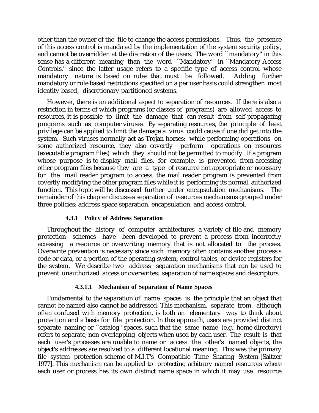other than the owner of the file to change the access permissions. Thus, the presence of this access control is mandated by the implementation of the system security policy, and cannot be overridden at the discretion of the users. The word ``mandatory'' in this sense has a different meaning than the word ``Mandatory'' in ``Mandatory Access Controls,'' since the latter usage refers to a specific type of access control whose mandatory nature is based on rules that must be followed. Adding further mandatory or rule based restrictions specified on a per user basis could strengthen most identity based, discretionary partitioned systems.

However, there is an additional aspect to separation of resources. If there is also a restriction in terms of which programs (or classes of programs) are allowed access to resources, it is possible to limit the damage that can result from self propagating programs such as computer viruses. By separating resources, the principle of least privilege can be applied to limit the damage a virus could cause if one did get into the system. Such viruses normally act as Trojan horses: while performing operations on some authorized resource, they also covertly perform operations on resources (executable program files) which they should not be permitted to modify. If a program whose purpose is to display mail files, for example, is prevented from accessing other program files because they are a type of resource not appropriate or necessary for the mail reader program to access, the mail reader program is prevented from covertly modifying the other program files while it is performing its normal, authorized function. This topic will be discussed further under encapsulation mechanisms. The remainder of this chapter discusses separation of resources mechanisms grouped under three policies: address space separation, encapsulation, and access control.

## **4.3.1 Policy of Address Separation**

Throughout the history of computer architectures a variety of file and memory protection schemes have been developed to prevent a process from incorrectly accessing a resource or overwriting memory that is not allocated to the process. Overwrite prevention is necessary since such memory often contains another process's code or data, or a portion of the operating system, control tables, or device registers for the system. We describe two address separation mechanisms that can be used to prevent unauthorized access or overwrites: separation of name spaces and descriptors.

## **4.3.1.1 Mechanism of Separation of Name Spaces**

Fundamental to the separation of name spaces is the principle that an object that cannot be named also cannot be addressed. This mechanism, separate from, although often confused with memory protection, is both an elementary way to think about protection and a basis for file protection. In this approach, users are provided distinct separate naming or ``catalog'' spaces, such that the same name  $(e.g., home directory)$ refers to separate, non-overlapping objects when used by each user. The result is that each user's processes are unable to name or access the other's named objects, the object's addresses are resolved to a different locational meaning. This was the primary file system protection scheme of M.I.T's Compatible Time Sharing System [Saltzer 1977]. This mechanism can be applied to protecting arbitrary named resources where each user or process has its own distinct name space in which it may use resource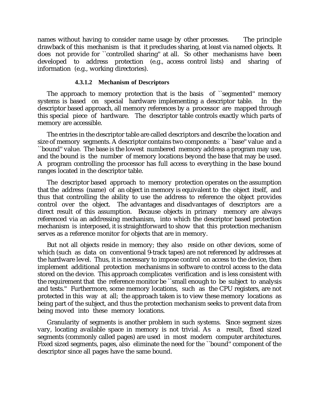names without having to consider name usage by other processes. The principle drawback of this mechanism is that it precludes sharing, at least via named objects. It does not provide for ``controlled sharing'' at all. So other mechanisms have been developed to address protection (e.g., access control lists) and sharing of information (e.g., working directories).

#### **4.3.1.2 Mechanism of Descriptors**

The approach to memory protection that is the basis of "segmented" memory systems is based on special hardware implementing a descriptor table. In the descriptor based approach, all memory references by a processor are mapped through this special piece of hardware. The descriptor table controls exactly which parts of memory are accessible.

The entries in the descriptor table are called descriptors and describe the location and size of memory segments. A descriptor contains two components: a ``base'' value and a ``bound'' value. The base is the lowest numbered memory address a program may use, and the bound is the number of memory locations beyond the base that may be used. A program controlling the processor has full access to everything in the base bound ranges located in the descriptor table.

The descriptor based approach to memory protection operates on the assumption that the address (name) of an object in memory is equivalent to the object itself, and thus that controlling the ability to use the address to reference the object provides control over the object. The advantages and disadvantages of descriptors are a direct result of this assumption. Because objects in primary memory are always referenced via an addressing mechanism, into which the descriptor based protection mechanism is interposed, it is straightforward to show that this protection mechanism serves as a reference monitor for objects that are in memory.

But not all objects reside in memory; they also reside on other devices, some of which (such as data on conventional 9-track tapes) are not referenced by addresses at the hardware level. Thus, it is necessary to impose control on access to the device, then implement additional protection mechanisms in software to control access to the data stored on the device. This approach complicates verification and is less consistent with the requirement that the reference monitor be ``small enough to be subject to analysis and tests.'' Furthermore, some memory locations, such as the CPU registers, are not protected in this way at all; the approach taken is to view these memory locations as being part of the subject, and thus the protection mechanism seeks to prevent data from being moved into these memory locations.

Granularity of segments is another problem in such systems. Since segment sizes vary, locating available space in memory is not trivial. As a result, fixed sized segments (commonly called pages) are used in most modern computer architectures. Fixed sized segments, pages, also eliminate the need for the ``bound'' component of the descriptor since all pages have the same bound.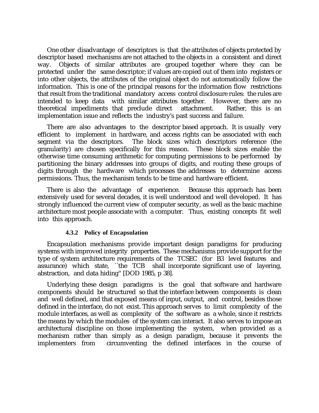One other disadvantage of descriptors is that the attributes of objects protected by descriptor based mechanisms are not attached to the objects in a consistent and direct way. Objects of similar attributes are grouped together where they can be protected under the same descriptor; if values are copied out of them into registers or into other objects, the attributes of the original object do not automatically follow the information. This is one of the principal reasons for the information flow restrictions that result from the traditional mandatory access control disclosure rules: the rules are intended to keep data with similar attributes together. However, there are no theoretical impediments that preclude direct attachment. Rather, this is an implementation issue and reflects the industry's past success and failure.

There are also advantages to the descriptor based approach. It is usually very efficient to implement in hardware, and access rights can be associated with each segment via the descriptors. The block sizes which descriptors reference (the granularity) are chosen specifically for this reason. These block sizes enable the otherwise time consuming arithmetic for computing permissions to be performed by partitioning the binary addresses into groups of digits, and routing these groups of digits through the hardware which processes the addresses to determine access permissions. Thus, the mechanism tends to be time and hardware efficient.

There is also the advantage of experience. Because this approach has been extensively used for several decades, it is well understood and well developed. It has strongly influenced the current view of computer security, as well as the basic machine architecture most people associate with a computer. Thus, existing concepts fit well into this approach.

## **4.3.2 Policy of Encapsulation**

Encapsulation mechanisms provide important design paradigms for producing systems with improved integrity properties. These mechanisms provide support for the type of system architecture requirements of the TCSEC (for B3 level features and assurance) which state, ``the TCB shall incorporate significant use of layering, abstraction, and data hiding'' [DOD 1985, p 38].

Underlying these design paradigms is the goal that software and hardware components should be structured so that the interface between components is clean and well defined, and that exposed means of input, output, and control, besides those defined in the interface, do not exist. This approach serves to limit complexity of the module interfaces, as well as complexity of the software as a whole, since it restricts the means by which the modules of the system can interact. It also serves to impose an architectural discipline on those implementing the system, when provided as a mechanism rather than simply as a design paradigm, because it prevents the implementers from circumventing the defined interfaces in the course of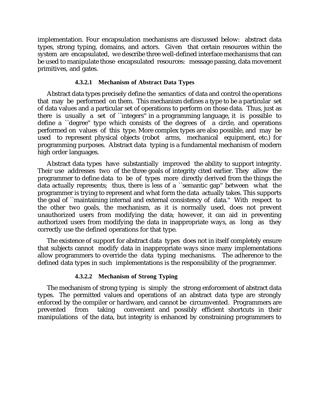implementation. Four encapsulation mechanisms are discussed below: abstract data types, strong typing, domains, and actors. Given that certain resources within the system are encapsulated, we describe three well-defined interface mechanisms that can be used to manipulate those encapsulated resources: message passing, data movement primitives, and gates.

#### **4.3.2.1 Mechanism of Abstract Data Types**

Abstract data types precisely define the semantics of data and control the operations that may be performed on them. This mechanism defines a type to be a particular set of data values and a particular set of operations to perform on those data. Thus, just as there is usually a set of ``integers'' in a programming language, it is possible to define a ``degree'' type which consists of the degrees of a circle, and operations performed on values of this type. More complex types are also possible, and may be used to represent physical objects (robot arms, mechanical equipment, etc.) for programming purposes. Abstract data typing is a fundamental mechanism of modern high order languages.

Abstract data types have substantially improved the ability to support integrity. Their use addresses two of the three goals of integrity cited earlier. They allow the programmer to define data to be of types more directly derived from the things the data actually represents; thus, there is less of a ``semantic gap'' between what the programmer is trying to represent and what form the data actually takes. This supports the goal of ``maintaining internal and external consistency of data.'' With respect to the other two goals, the mechanism, as it is normally used, does not prevent unauthorized users from modifying the data; however, it can aid in preventing authorized users from modifying the data in inappropriate ways, as long as they correctly use the defined operations for that type.

The existence of support for abstract data types does not in itself completely ensure that subjects cannot modify data in inappropriate ways since many implementations allow programmers to override the data typing mechanisms. The adherence to the defined data types in such implementations is the responsibility of the programmer.

## **4.3.2.2 Mechanism of Strong Typing**

The mechanism of strong typing is simply the strong enforcement of abstract data types. The permitted values and operations of an abstract data type are strongly enforced by the compiler or hardware, and cannot be circumvented. Programmers are prevented from taking convenient and possibly efficient shortcuts in their convenient and possibly efficient shortcuts in their manipulations of the data, but integrity is enhanced by constraining programmers to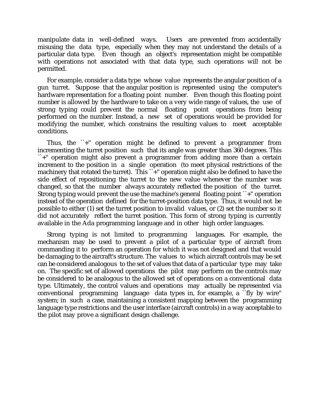manipulate data in well-defined ways. Users are prevented from accidentally misusing the data type, especially when they may not understand the details of a particular data type. Even though an object's representation might be compatible with operations not associated with that data type, such operations will not be permitted.

For example, consider a data type whose value represents the angular position of a gun turret. Suppose that the angular position is represented using the computer's hardware representation for a floating point number. Even though this floating point number is allowed by the hardware to take on a very wide range of values, the use of strong typing could prevent the normal floating point operations from being performed on the number. Instead, a new set of operations would be provided for modifying the number, which constrains the resulting values to meet acceptable conditions.

Thus, the ``+'' operation might be defined to prevent a programmer from incrementing the turret position such that its angle was greater than 360 degrees. This ``+'' operation might also prevent a programmer from adding more than a certain increment to the position in a single operation (to meet physical restrictions of the machinery that rotated the turret). This ``+" operation might also be defined to have the side effect of repositioning the turret to the new value whenever the number was changed, so that the number always accurately reflected the position of the turret. Strong typing would prevent the use the machine's general floating point ``+'' operation instead of the operation defined for the turret-position data type. Thus, it would not be possible to either (1) set the turret position to invalid values, or (2) set the number so it did not accurately reflect the turret position. This form of strong typing is currently available in the Ada programming language and in other high order languages.

Strong typing is not limited to programming languages. For example, the mechanism may be used to prevent a pilot of a particular type of aircraft from commanding it to perform an operation for which it was not designed and that would be damaging to the aircraft's structure. The values to which aircraft controls may be set can be considered analogous to the set of values that data of a particular type may take on. The specific set of allowed operations the pilot may perform on the controls may be considered to be analogous to the allowed set of operations on a conventional data type. Ultimately, the control values and operations may actually be represented via conventional programming language data types in, for example, a ``fly by wire'' system; in such a case, maintaining a consistent mapping between the programming language type restrictions and the user interface (aircraft controls) in a way acceptable to the pilot may prove a significant design challenge.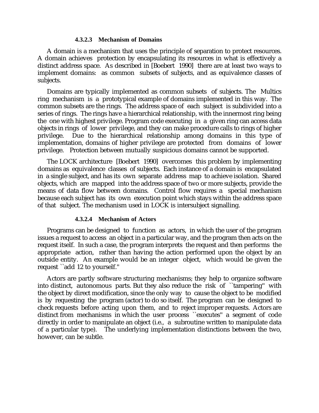#### **4.3.2.3 Mechanism of Domains**

A domain is a mechanism that uses the principle of separation to protect resources. A domain achieves protection by encapsulating its resources in what is effectively a distinct address space. As described in [Boebert 1990] there are at least two ways to implement domains: as common subsets of subjects, and as equivalence classes of subjects.

Domains are typically implemented as common subsets of subjects. The Multics ring mechanism is a prototypical example of domains implemented in this way. The common subsets are the rings. The address space of each subject is subdivided into a series of rings. The rings have a hierarchical relationship, with the innermost ring being the one with highest privilege. Program code executing in a given ring can access data objects in rings of lower privilege, and they can make procedure calls to rings of higher privilege. Due to the hierarchical relationship among domains in this type of implementation, domains of higher privilege are protected from domains of lower privilege. Protection between mutually suspicious domains cannot be supported.

The LOCK architecture [Boebert 1990] overcomes this problem by implementing domains as equivalence classes of subjects. Each instance of a domain is encapsulated in a single subject, and has its own separate address map to achieve isolation. Shared objects, which are mapped into the address space of two or more subjects, provide the means of data flow between domains. Control flow requires a special mechanism because each subject has its own execution point which stays within the address space of that subject. The mechanism used in LOCK is intersubject signalling.

## **4.3.2.4 Mechanism of Actors**

Programs can be designed to function as actors, in which the user of the program issues a request to access an object in a particular way, and the program then acts on the request itself. In such a case, the program interprets the request and then performs the appropriate action, rather than having the action performed upon the object by an outside entity. An example would be an integer object, which would be given the request ``add 12 to yourself.''

Actors are partly software structuring mechanisms; they help to organize software into distinct, autonomous parts. But they also reduce the risk of ``tampering'' with the object by direct modification, since the only way to cause the object to be modified is by requesting the program (actor) to do so itself. The program can be designed to check requests before acting upon them, and to reject improper requests. Actors are distinct from mechanisms in which the user process ``executes'' a segment of code directly in order to manipulate an object (i.e., a subroutine written to manipulate data of a particular type). The underlying implementation distinctions between the two, however, can be subtle.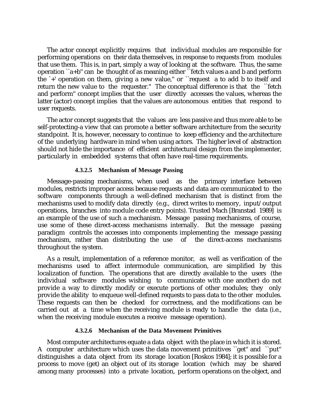The actor concept explicitly requires that individual modules are responsible for performing operations on their data themselves, in response to requests from modules that use them. This is, in part, simply a way of looking at the software. Thus, the same operation ``a+b'' can be thought of as meaning either ``fetch values a and b and perform the `+' operation on them, giving a new value,'' or ``request a to add b to itself and return the new value to the requester.'' The conceptual difference is that the ``fetch and perform'' concept implies that the user directly accesses the values, whereas the latter (actor) concept implies that the values are autonomous entities that respond to user requests.

The actor concept suggests that the values are less passive and thus more able to be self-protecting-a view that can promote a better software architecture from the security standpoint. It is, however, necessary to continue to keep efficiency and the architecture of the underlying hardware in mind when using actors. The higher level of abstraction should not hide the importance of efficient architectural design from the implementer, particularly in embedded systems that often have real-time requirements.

## **4.3.2.5 Mechanism of Message Passing**

Message-passing mechanisms, when used as the primary interface between modules, restricts improper access because requests and data are communicated to the software components through a well-defined mechanism that is distinct from the mechanisms used to modify data directly (e.g., direct writes to memory, input/output operations, branches into module code entry points). Trusted Mach [Branstad 1989] is an example of the use of such a mechanism. Message passing mechanisms, of course, use some of these direct-access mechanisms internally. But the message passing paradigm controls the accesses into components implementing the message passing mechanism, rather than distributing the use of the direct-access mechanisms throughout the system.

As a result, implementation of a reference monitor, as well as verification of the mechanisms used to affect intermodule communication, are simplified by this localization of function. The operations that are directly available to the users (the individual software modules wishing to communicate with one another) do not provide a way to directly modify or execute portions of other modules; they only provide the ability to enqueue well-defined requests to pass data to the other modules. These requests can then be checked for correctness, and the modifications can be carried out at a time when the receiving module is ready to handle the data (i.e., when the receiving module executes a receive message operation).

## **4.3.2.6 Mechanism of the Data Movement Primitives**

Most computer architectures equate a data object with the place in which it is stored. A computer architecture which uses the data movement primitives ``get'' and ``put'' distinguishes a data object from its storage location [Roskos 1984]; it is possible for a process to move (get) an object out of its storage location (which may be shared among many processes) into a private location, perform operations on the object, and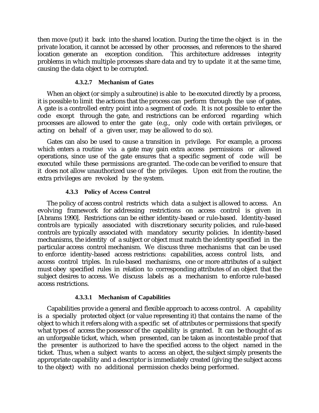then move (put) it back into the shared location. During the time the object is in the private location, it cannot be accessed by other processes, and references to the shared location generate an exception condition. This architecture addresses integrity problems in which multiple processes share data and try to update it at the same time, causing the data object to be corrupted.

## **4.3.2.7 Mechanism of Gates**

When an object (or simply a subroutine) is able to be executed directly by a process, it is possible to limit the actions that the process can perform through the use of gates. A gate is a controlled entry point into a segment of code. It is not possible to enter the code except through the gate, and restrictions can be enforced regarding which processes are allowed to enter the gate (e.g., only code with certain privileges, or acting on behalf of a given user, may be allowed to do so).

Gates can also be used to cause a transition in privilege. For example, a process which enters a routine via a gate may gain extra access permissions or allowed operations, since use of the gate ensures that a specific segment of code will be executed while these permissions are granted. The code can be verified to ensure that it does not allow unauthorized use of the privileges. Upon exit from the routine, the extra privileges are revoked by the system.

## **4.3.3 Policy of Access Control**

The policy of access control restricts which data a subject is allowed to access. An evolving framework for addressing restrictions on access control is given in [Abrams 1990]. Restrictions can be either identity-based or rule-based. Identity-based controls are typically associated with discretionary security policies, and rule-based controls are typically associated with mandatory security policies. In identity-based mechanisms, the identity of a subject or object must match the identity specified in the particular access control mechanism. We discuss three mechanisms that can be used to enforce identity-based access restrictions: capabilities, access control lists, and access control triples. In rule-based mechanisms, one or more attributes of a subject must obey specified rules in relation to corresponding attributes of an object that the subject desires to access. We discuss labels as a mechanism to enforce rule-based access restrictions.

## **4.3.3.1 Mechanism of Capabilities**

Capabilities provide a general and flexible approach to access control. A capability is a specially protected object (or value representing it) that contains the name of the object to which it refers along with a specific set of attributes or permissions that specify what types of access the possessor of the capability is granted. It can be thought of as an unforgeable ticket, which, when presented, can be taken as incontestable proof that the presenter is authorized to have the specified access to the object named in the ticket. Thus, when a subject wants to access an object, the subject simply presents the appropriate capability and a descriptor is immediately created (giving the subject access to the object) with no additional permission checks being performed.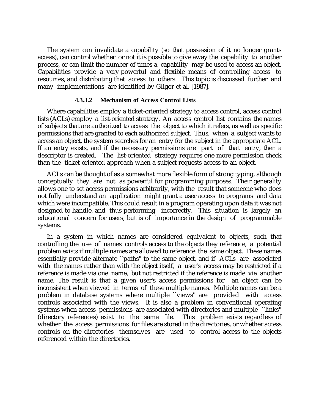The system can invalidate a capability (so that possession of it no longer grants access), can control whether or not it is possible to give away the capability to another process, or can limit the number of times a capability may be used to access an object. Capabilities provide a very powerful and flexible means of controlling access to resources, and distributing that access to others. This topic is discussed further and many implementations are identified by Gligor et al. [1987].

#### **4.3.3.2 Mechanism of Access Control Lists**

Where capabilities employ a ticket-oriented strategy to access control, access control lists (ACLs) employ a list-oriented strategy. An access control list contains the names of subjects that are authorized to access the object to which it refers, as well as specific permissions that are granted to each authorized subject. Thus, when a subject wants to access an object, the system searches for an entry for the subject in the appropriate ACL. If an entry exists, and if the necessary permissions are part of that entry, then a descriptor is created. The list-oriented strategy requires one more permission check than the ticket-oriented approach when a subject requests access to an object.

ACLs can be thought of as a somewhat more flexible form of strong typing, although conceptually they are not as powerful for programming purposes. Their generality allows one to set access permissions arbitrarily, with the result that someone who does not fully understand an application might grant a user access to programs and data which were incompatible. This could result in a program operating upon data it was not designed to handle, and thus performing incorrectly. This situation is largely an educational concern for users, but is of importance in the design of programmable systems.

In a system in which names are considered equivalent to objects, such that controlling the use of names controls access to the objects they reference, a potential problem exists if multiple names are allowed to reference the same object. These names essentially provide alternate ``paths'' to the same object, and if ACLs are associated with the names rather than with the object itself, a user's access may be restricted if a reference is made via one name, but not restricted if the reference is made via another name. The result is that a given user's access permissions for an object can be inconsistent when viewed in terms of these multiple names. Multiple names can be a problem in database systems where multiple ``views'' are provided with access controls associated with the views. It is also a problem in conventional operating systems when access permissions are associated with directories and multiple ``links'' (directory references) exist to the same file. This problem exists regardless of whether the access permissions for files are stored in the directories, or whether access controls on the directories themselves are used to control access to the objects referenced within the directories.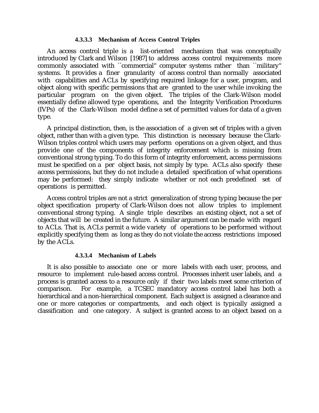#### **4.3.3.3 Mechanism of Access Control Triples**

An access control triple is a list-oriented mechanism that was conceptually introduced by Clark and Wilson [1987] to address access control requirements more commonly associated with ``commercial" computer systems rather than ``military" systems. It provides a finer granularity of access control than normally associated with capabilities and ACLs by specifying required linkage for a user, program, and object along with specific permissions that are granted to the user while invoking the particular program on the given object. The triples of the Clark-Wilson model essentially define allowed type operations, and the Integrity Verification Procedures (IVPs) of the Clark-Wilson model define a set of permitted values for data of a given type.

A principal distinction, then, is the association of a given set of triples with a given object, rather than with a given type. This distinction is necessary because the Clark-Wilson triples control which users may perform operations on a given object, and thus provide one of the components of integrity enforcement which is missing from conventional strong typing. To do this form of integrity enforcement, access permissions must be specified on a per object basis, not simply by type. ACLs also specify these access permissions, but they do not include a detailed specification of what operations may be performed: they simply indicate whether or not each predefined set of operations is permitted.

Access control triples are not a strict generalization of strong typing because the per object specification property of Clark-Wilson does not allow triples to implement conventional strong typing. A single triple describes an existing object, not a set of objects that will be created in the future. A similar argument can be made with regard to ACLs. That is, ACLs permit a wide variety of operations to be performed without explicitly specifying them as long as they do not violate the access restrictions imposed by the ACLs.

## **4.3.3.4 Mechanism of Labels**

It is also possible to associate one or more labels with each user, process, and resource to implement rule-based access control. Processes inherit user labels, and a process is granted access to a resource only if their two labels meet some criterion of comparison. For example, a TCSEC mandatory access control label has both a hierarchical and a non-hierarchical component. Each subject is assigned a clearance and one or more categories or compartments, and each object is typically assigned a classification and one category. A subject is granted access to an object based on a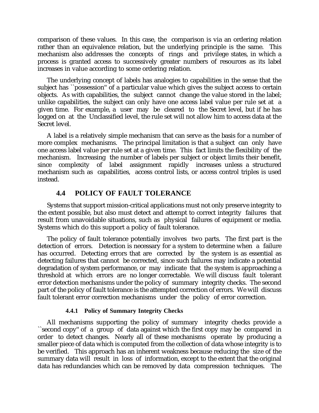comparison of these values. In this case, the comparison is via an ordering relation rather than an equivalence relation, but the underlying principle is the same. This mechanism also addresses the concepts of rings and privilege states, in which a process is granted access to successively greater numbers of resources as its label increases in value according to some ordering relation.

The underlying concept of labels has analogies to capabilities in the sense that the subject has ``possession'' of a particular value which gives the subject access to certain objects. As with capabilities, the subject cannot change the value stored in the label; unlike capabilities, the subject can only have one access label value per rule set at a given time. For example, a user may be cleared to the Secret level, but if he has logged on at the Unclassified level, the rule set will not allow him to access data at the Secret level.

A label is a relatively simple mechanism that can serve as the basis for a number of more complex mechanisms. The principal limitation is that a subject can only have one access label value per rule set at a given time. This fact limits the flexibility of the mechanism. Increasing the number of labels per subject or object limits their benefit, since complexity of label assignment rapidly increases unless a structured mechanism such as capabilities, access control lists, or access control triples is used instead.

# **4.4 POLICY OF FAULT TOLERANCE**

Systems that support mission-critical applications must not only preserve integrity to the extent possible, but also must detect and attempt to correct integrity failures that result from unavoidable situations, such as physical failures of equipment or media. Systems which do this support a policy of fault tolerance.

The policy of fault tolerance potentially involves two parts. The first part is the detection of errors. Detection is necessary for a system to determine when a failure has occurred. Detecting errors that are corrected by the system is as essential as detecting failures that cannot be corrected, since such failures may indicate a potential degradation of system performance, or may indicate that the system is approaching a threshold at which errors are no longer correctable. We will discuss fault tolerant error detection mechanisms under the policy of summary integrity checks. The second part of the policy of fault tolerance is the attempted correction of errors. We will discuss fault tolerant error correction mechanisms under the policy of error correction.

## **4.4.1 Policy of Summary Integrity Checks**

All mechanisms supporting the policy of summary integrity checks provide a ``second copy'' of a group of data against which the first copy may be compared in order to detect changes. Nearly all of these mechanisms operate by producing a smaller piece of data which is computed from the collection of data whose integrity is to be verified. This approach has an inherent weakness because reducing the size of the summary data will result in loss of information, except to the extent that the original data has redundancies which can be removed by data compression techniques. The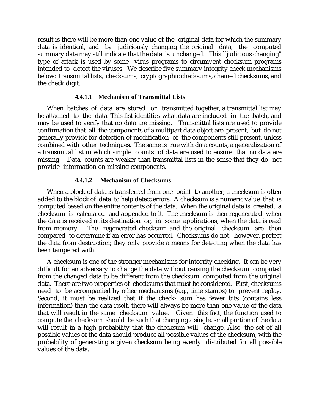result is there will be more than one value of the original data for which the summary data is identical, and by judiciously changing the original data, the computed summary data may still indicate that the data is unchanged. This ``judicious changing'' type of attack is used by some virus programs to circumvent checksum programs intended to detect the viruses. We describe five summary integrity check mechanisms below: transmittal lists, checksums, cryptographic checksums, chained checksums, and the check digit.

## **4.4.1.1 Mechanism of Transmittal Lists**

When batches of data are stored or transmitted together, a transmittal list may be attached to the data. This list identifies what data are included in the batch, and may be used to verify that no data are missing. Transmittal lists are used to provide confirmation that all the components of a multipart data object are present, but do not generally provide for detection of modification of the components still present, unless combined with other techniques. The same is true with data counts, a generalization of a transmittal list in which simple counts of data are used to ensure that no data are missing. Data counts are weaker than transmittal lists in the sense that they do not provide information on missing components.

## **4.4.1.2 Mechanism of Checksums**

When a block of data is transferred from one point to another, a checksum is often added to the block of data to help detect errors. A checksum is a numeric value that is computed based on the entire contents of the data. When the original data is created, a checksum is calculated and appended to it. The checksum is then regenerated when the data is received at its destination or, in some applications, when the data is read from memory. The regenerated checksum and the original checksum are then compared to determine if an error has occurred. Checksums do not, however, protect the data from destruction; they only provide a means for detecting when the data has been tampered with.

A checksum is one of the stronger mechanisms for integrity checking. It can be very difficult for an adversary to change the data without causing the checksum computed from the changed data to be different from the checksum computed from the original data. There are two properties of checksums that must be considered. First, checksums need to be accompanied by other mechanisms (e.g., time stamps) to prevent replay. Second, it must be realized that if the check- sum has fewer bits (contains less information) than the data itself, there will always be more than one value of the data that will result in the same checksum value. Given this fact, the function used to compute the checksum should be such that changing a single, small portion of the data will result in a high probability that the checksum will change. Also, the set of all possible values of the data should produce all possible values of the checksum, with the probability of generating a given checksum being evenly distributed for all possible values of the data.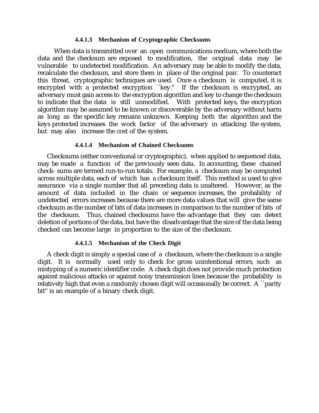#### **4.4.1.3 Mechanism of Cryptographic Checksums**

 When data is transmitted over an open communications medium, where both the data and the checksum are exposed to modification, the original data may be vulnerable to undetected modification. An adversary may be able to modify the data, recalculate the checksum, and store them in place of the original pair. To counteract this threat, cryptographic techniques are used. Once a checksum is computed, it is encrypted with a protected encryption "key." If the checksum is encrypted, an adversary must gain access to the encryption algorithm and key to change the checksum to indicate that the data is still unmodified. With protected keys, the encryption algorithm may be assumed to be known or discoverable by the adversary without harm as long as the specific key remains unknown. Keeping both the algorithm and the keys protected increases the work factor of the adversary in attacking the system, but may also increase the cost of the system.

## **4.4.1.4 Mechanism of Chained Checksums**

Checksums (either conventional or cryptographic), when applied to sequenced data, may be made a function of the previously seen data. In accounting, these chained check- sums are termed run-to-run totals. For example, a checksum may be computed across multiple data, each of which has a checksum itself. This method is used to give assurance via a single number that all preceding data is unaltered. However, as the amount of data included in the chain or sequence increases, the probability of undetected errors increases because there are more data values that will give the same checksum as the number of bits of data increases in comparison to the number of bits of the checksum. Thus, chained checksums have the advantage that they can detect deletion of portions of the data, but have the disadvantage that the size of the data being checked can become large in proportion to the size of the checksum.

## **4.4.1.5 Mechanism of the Check Digit**

A check digit is simply a special case of a checksum, where the checksum is a single digit. It is normally used only to check for gross unintentional errors, such as mistyping of a numeric identifier code. A check digit does not provide much protection against malicious attacks or against noisy transmission lines because the probability is relatively high that even a randomly chosen digit will occasionally be correct. A ``parity bit'' is an example of a binary check digit.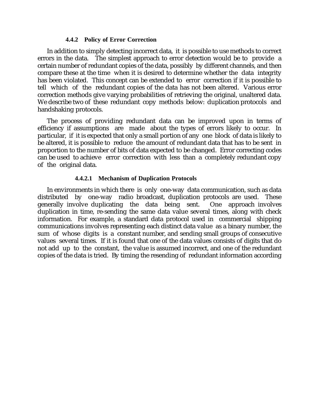#### **4.4.2 Policy of Error Correction**

In addition to simply detecting incorrect data, it is possible to use methods to correct errors in the data. The simplest approach to error detection would be to provide a certain number of redundant copies of the data, possibly by different channels, and then compare these at the time when it is desired to determine whether the data integrity has been violated. This concept can be extended to error correction if it is possible to tell which of the redundant copies of the data has not been altered. Various error correction methods give varying probabilities of retrieving the original, unaltered data. We describe two of these redundant copy methods below: duplication protocols and handshaking protocols.

The process of providing redundant data can be improved upon in terms of efficiency if assumptions are made about the types of errors likely to occur. In particular, if it is expected that only a small portion of any one block of data is likely to be altered, it is possible to reduce the amount of redundant data that has to be sent in proportion to the number of bits of data expected to be changed. Error correcting codes can be used to achieve error correction with less than a completely redundant copy of the original data.

## **4.4.2.1 Mechanism of Duplication Protocols**

In environments in which there is only one-way data communication, such as data distributed by one-way radio broadcast, duplication protocols are used. These generally involve duplicating the data being sent. One approach involves duplication in time, re-sending the same data value several times, along with check information. For example, a standard data protocol used in commercial shipping communications involves representing each distinct data value as a binary number, the sum of whose digits is a constant number, and sending small groups of consecutive values several times. If it is found that one of the data values consists of digits that do not add up to the constant, the value is assumed incorrect, and one of the redundant copies of the data is tried. By timing the resending of redundant information according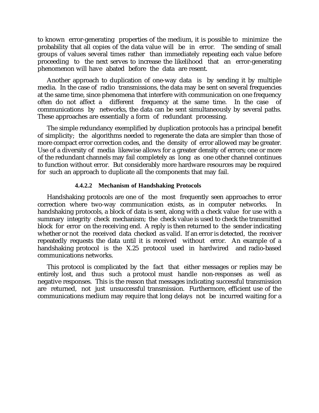to known error-generating properties of the medium, it is possible to minimize the probability that all copies of the data value will be in error. The sending of small groups of values several times rather than immediately repeating each value before proceeding to the next serves to increase the likelihood that an error-generating phenomenon will have abated before the data are resent.

Another approach to duplication of one-way data is by sending it by multiple media. In the case of radio transmissions, the data may be sent on several frequencies at the same time, since phenomena that interfere with communication on one frequency often do not affect a different frequency at the same time. In the case of communications by networks, the data can be sent simultaneously by several paths. These approaches are essentially a form of redundant processing.

The simple redundancy exemplified by duplication protocols has a principal benefit of simplicity; the algorithms needed to regenerate the data are simpler than those of more compact error correction codes, and the density of error allowed may be greater. Use of a diversity of media likewise allows for a greater density of errors; one or more of the redundant channels may fail completely as long as one other channel continues to function without error. But considerably more hardware resources may be required for such an approach to duplicate all the components that may fail.

## **4.4.2.2 Mechanism of Handshaking Protocols**

Handshaking protocols are one of the most frequently seen approaches to error correction where two-way communication exists, as in computer networks. In handshaking protocols, a block of data is sent, along with a check value for use with a summary integrity check mechanism; the check value is used to check the transmitted block for error on the receiving end. A reply is then returned to the sender indicating whether or not the received data checked as valid. If an error is detected, the receiver repeatedly requests the data until it is received without error. An example of a handshaking protocol is the X.25 protocol used in hardwired and radio-based communications networks.

This protocol is complicated by the fact that either messages or replies may be entirely lost, and thus such a protocol must handle non-responses as well as negative responses. This is the reason that messages indicating successful transmission are returned, not just unsuccessful transmission. Furthermore, efficient use of the communications medium may require that long delays not be incurred waiting for a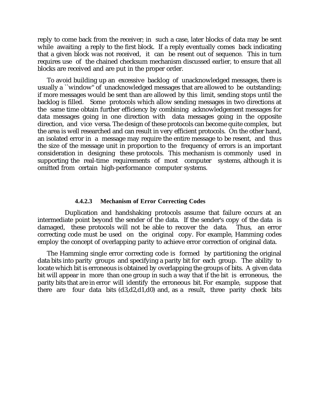reply to come back from the receiver; in such a case, later blocks of data may be sent while awaiting a reply to the first block. If a reply eventually comes back indicating that a given block was not received, it can be resent out of sequence. This in turn requires use of the chained checksum mechanism discussed earlier, to ensure that all blocks are received and are put in the proper order.

To avoid building up an excessive backlog of unacknowledged messages, there is usually a ``window'' of unacknowledged messages that are allowed to be outstanding; if more messages would be sent than are allowed by this limit, sending stops until the backlog is filled. Some protocols which allow sending messages in two directions at the same time obtain further efficiency by combining acknowledgement messages for data messages going in one direction with data messages going in the opposite direction, and vice versa. The design of these protocols can become quite complex, but the area is well researched and can result in very efficient protocols. On the other hand, an isolated error in a message may require the entire message to be resent, and thus the size of the message unit in proportion to the frequency of errors is an important consideration in designing these protocols. This mechanism is commonly used in supporting the real-time requirements of most computer systems, although it is omitted from certain high-performance computer systems.

#### **4.4.2.3 Mechanism of Error Correcting Codes**

 Duplication and handshaking protocols assume that failure occurs at an intermediate point beyond the sender of the data. If the sender's copy of the data is damaged, these protocols will not be able to recover the data. Thus, an error correcting code must be used on the original copy. For example, Hamming codes employ the concept of overlapping parity to achieve error correction of original data.

The Hamming single error correcting code is formed by partitioning the original data bits into parity groups and specifying a parity bit for each group. The ability to locate which bit is erroneous is obtained by overlapping the groups of bits. A given data bit will appear in more than one group in such a way that if the bit is erroneous, the parity bits that are in error will identify the erroneous bit. For example, suppose that there are four data bits  $(d3,d2,d1,d0)$  and, as a result, three parity check bits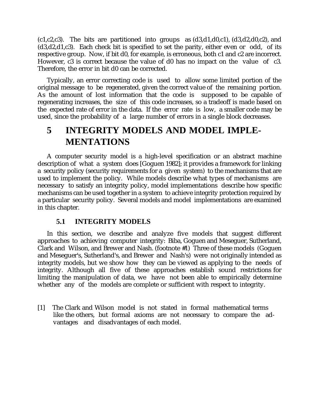$(c_1, c_2, c_3)$ . The bits are partitioned into groups as  $(d3, d1, d0, c1)$ ,  $(d3, d2, d0, c2)$ , and  $(d3, d2, d1, c3)$ . Each check bit is specified to set the parity, either even or odd, of its respective group. Now, if bit d0, for example, is erroneous, both c1 and c2 are incorrect. However, c3 is correct because the value of d0 has no impact on the value of c3. Therefore, the error in bit d0 can be corrected.

Typically, an error correcting code is used to allow some limited portion of the original message to be regenerated, given the correct value of the remaining portion. As the amount of lost information that the code is supposed to be capable of regenerating increases, the size of this code increases, so a tradeoff is made based on the expected rate of error in the data. If the error rate is low, a smaller code may be used, since the probability of a large number of errors in a single block decreases.

# **5 INTEGRITY MODELS AND MODEL IMPLE-MENTATIONS**

A computer security model is a high-level specification or an abstract machine description of what a system does [Goguen 1982]; it provides a framework for linking a security policy (security requirements for a given system) to the mechanisms that are used to implement the policy. While models describe what types of mechanisms are necessary to satisfy an integrity policy, model implementations describe how specific mechanisms can be used together in a system to achieve integrity protection required by a particular security policy. Several models and model implementations are examined in this chapter.

# **5.1 INTEGRITY MODELS**

In this section, we describe and analyze five models that suggest different approaches to achieving computer integrity: Biba, Goguen and Meseguer, Sutherland, Clark and Wilson, and Brewer and Nash. (footnote #1) Three of these models (Goguen and Meseguer's, Sutherland's, and Brewer and Nash's) were not originally intended as integrity models, but we show how they can be viewed as applying to the needs of integrity. Although all five of these approaches establish sound restrictions for limiting the manipulation of data, we have not been able to empirically determine whether any of the models are complete or sufficient with respect to integrity.

[1] The Clark and Wilson model is not stated in formal mathematical terms like the others, but formal axioms are not necessary to compare the advantages and disadvantages of each model.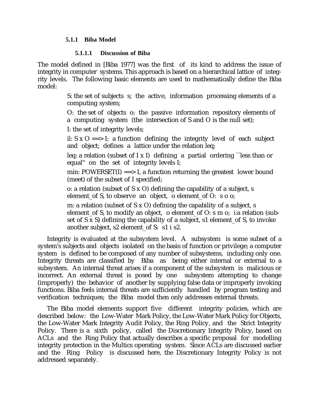## **5.1.1 Biba Model**

#### **5.1.1.1 Discussion of Biba**

The model defined in [Biba 1977] was the first of its kind to address the issue of integrity in computer systems. This approach is based on a hierarchical lattice of integrity levels. The following basic elements are used to mathematically define the Biba model:

> S: the set of subjects s; the active, information processing elements of a computing system;

> O: the set of objects o; the passive information repository elements of a computing system (the intersection of S and O is the null set);

I: the set of integrity levels;

il:  $S \times O \neq S$ : a function defining the integrity level of each subject and object; defines a lattice under the relation leq;

leq: a relation (subset of I x I) defining a partial ordering "less than or equal'' on the set of integrity levels I;

min:  $POWERSET(I) \nightharpoonup = 1$ , a function returning the greatest lower bound (meet) of the subset of I specified;

o: a relation (subset of S x O) defining the capability of a subject, s element\_of S, to observe an object, o element\_of O: s o o;

m: a relation (subset of S x O) defining the capability of a subject, s element of S, to modify an object, o element of O: s m o; i:a relation (subset of S x S) defining the capability of a subject, s1 element\_of S, to invoke another subject, s2 element\_of S: s1 i s2.

Integrity is evaluated at the subsystem level. A subsystem is some subset of a system's subjects and objects isolated on the basis of function or privilege; a computer system is defined to be composed of any number of subsystems, including only one. Integrity threats are classified by Biba as being either internal or external to a subsystem. An internal threat arises if a component of the subsystem is malicious or incorrect. An external threat is posed by one subsystem attempting to change (improperly) the behavior of another by supplying false data or improperly invoking functions. Biba feels internal threats are sufficiently handled by program testing and verification techniques; the Biba model then only addresses external threats.

The Biba model elements support five different integrity policies, which are described below: the Low-Water Mark Policy, the Low-Water Mark Policy for Objects, the Low-Water Mark Integrity Audit Policy, the Ring Policy, and the Strict Integrity Policy. There is a sixth policy, called the Discretionary Integrity Policy, based on ACLs and the Ring Policy that actually describes a specific proposal for modelling integrity protection in the Multics operating system. Since ACLs are discussed earlier and the Ring Policy is discussed here, the Discretionary Integrity Policy is not addressed separately.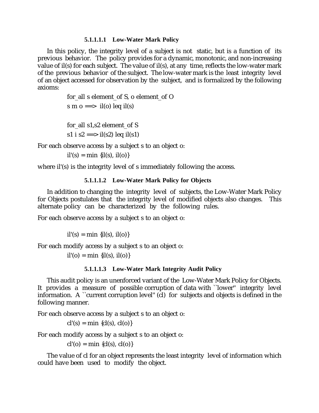#### **5.1.1.1.1 Low-Water Mark Policy**

In this policy, the integrity level of a subject is not static, but is a function of its previous behavior. The policy provides for a dynamic, monotonic, and non-increasing value of il(s) for each subject. The value of il(s), at any time, reflects the low-water mark of the previous behavior of the subject. The low-water mark is the least integrity level of an object accessed for observation by the subject, and is formalized by the following axioms:

> for\_all s element\_of S, o element\_of O s m o ==> il(o) leq il(s)

for all s1,s2 element of S s1 i s2 = = > il(s2) leq il(s1)

For each observe access by a subject s to an object o:

 $il'(s) = min \{il(s), il(o)\}\$ 

where il'(s) is the integrity level of s immediately following the access.

## **5.1.1.1.2 Low-Water Mark Policy for Objects**

In addition to changing the integrity level of subjects, the Low-Water Mark Policy for Objects postulates that the integrity level of modified objects also changes. This alternate policy can be characterized by the following rules.

For each observe access by a subject s to an object o:

 $il'(s) = min \{il(s), il(o)\}\$ 

For each modify access by a subject s to an object o:

 $il' (o) = min \{ il(s), il(o) \}$ 

## **5.1.1.1.3 Low-Water Mark Integrity Audit Policy**

This audit policy is an unenforced variant of the Low-Water Mark Policy for Objects. It provides a measure of possible corruption of data with ``lower'' integrity level information. A ``current corruption level'' (cl) for subjects and objects is defined in the following manner.

For each observe access by a subject s to an object o:

 $cl'(s) = min \{cl(s), cl(o)\}\$ 

For each modify access by a subject s to an object o:

 $cl'(o) = min \{cl(s), cl(o)\}\$ 

The value of cl for an object represents the least integrity level of information which could have been used to modify the object.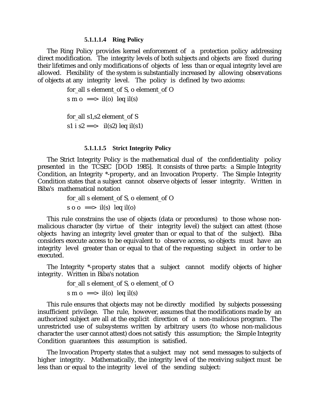#### **5.1.1.1.4 Ring Policy**

The Ring Policy provides kernel enforcement of a protection policy addressing direct modification. The integrity levels of both subjects and objects are fixed during their lifetimes and only modifications of objects of less than or equal integrity level are allowed. Flexibility of the system is substantially increased by allowing observations of objects at any integrity level. The policy is defined by two axioms:

> for\_all s element\_of S, o element\_of O s m o ==> il(o) leq il(s) for all s1,s2 element of S s1 i s2 ==> il(s2) leq il(s1)

#### **5.1.1.1.5 Strict Integrity Policy**

The Strict Integrity Policy is the mathematical dual of the confidentiality policy presented in the TCSEC [DOD 1985]. It consists of three parts: a Simple Integrity Condition, an Integrity \*-property, and an Invocation Property. The Simple Integrity Condition states that a subject cannot observe objects of lesser integrity. Written in Biba's mathematical notation

> for all s element of S, o element of O s o  $o \implies$  il(s) leq il(o)

This rule constrains the use of objects (data or procedures) to those whose nonmalicious character (by virtue of their integrity level) the subject can attest (those objects having an integrity level greater than or equal to that of the subject). Biba considers execute access to be equivalent to observe access, so objects must have an integrity level greater than or equal to that of the requesting subject in order to be executed.

The Integrity \*-property states that a subject cannot modify objects of higher integrity. Written in Biba's notation

```
for_all s element_of S, o element_of O
s m o ==> il(o) leq il(s)
```
This rule ensures that objects may not be directly modified by subjects possessing insufficient privilege. The rule, however, assumes that the modifications made by an authorized subject are all at the explicit direction of a non-malicious program. The unrestricted use of subsystems written by arbitrary users (to whose non-malicious character the user cannot attest) does not satisfy this assumption; the Simple Integrity Condition guarantees this assumption is satisfied.

The Invocation Property states that a subject may not send messages to subjects of higher integrity. Mathematically, the integrity level of the receiving subject must be less than or equal to the integrity level of the sending subject: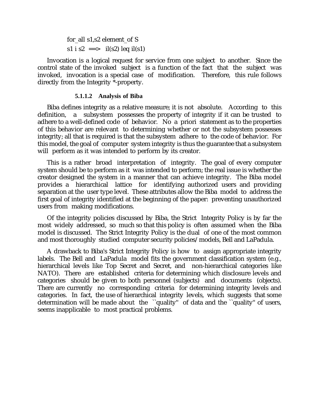for\_all s1,s2 element\_of S s1 i s2 =  $\frac{1}{s^2}$  il(s2) leq il(s1)

Invocation is a logical request for service from one subject to another. Since the control state of the invoked subject is a function of the fact that the subject was invoked, invocation is a special case of modification. Therefore, this rule follows directly from the Integrity \*-property.

#### **5.1.1.2 Analysis of Biba**

Biba defines integrity as a relative measure; it is not absolute. According to this definition, a subsystem possesses the property of integrity if it can be trusted to adhere to a well-defined code of behavior. No a priori statement as to the properties of this behavior are relevant to determining whether or not the subsystem possesses integrity; all that is required is that the subsystem adhere to the code of behavior. For this model, the goal of computer system integrity is thus the guarantee that a subsystem will perform as it was intended to perform by its creator.

This is a rather broad interpretation of integrity. The goal of every computer system should be to perform as it was intended to perform; the real issue is whether the creator designed the system in a manner that can achieve integrity. The Biba model provides a hierarchical lattice for identifying authorized users and providing separation at the user type level. These attributes allow the Biba model to address the first goal of integrity identified at the beginning of the paper: preventing unauthorized users from making modifications.

Of the integrity policies discussed by Biba, the Strict Integrity Policy is by far the most widely addressed, so much so that this policy is often assumed when the Biba model is discussed. The Strict Integrity Policy is the dual of one of the most common and most thoroughly studied computer security policies/models, Bell and LaPadula.

A drawback to Biba's Strict Integrity Policy is how to assign appropriate integrity labels. The Bell and LaPadula model fits the government classification system (e.g., hierarchical levels like Top Secret and Secret, and non-hierarchical categories like NATO). There are established criteria for determining which disclosure levels and categories should be given to both personnel (subjects) and documents (objects). There are currently no corresponding criteria for determining integrity levels and categories. In fact, the use of hierarchical integrity levels, which suggests that some determination will be made about the ``quality'' of data and the ``quality'' of users, seems inapplicable to most practical problems.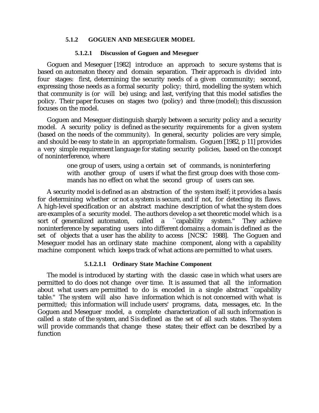## **5.1.2 GOGUEN AND MESEGUER MODEL**

#### **5.1.2.1 Discussion of Goguen and Meseguer**

Goguen and Meseguer [1982] introduce an approach to secure systems that is based on automaton theory and domain separation. Their approach is divided into four stages: first, determining the security needs of a given community; second, expressing those needs as a formal security policy; third, modelling the system which that community is (or will be) using; and last, verifying that this model satisfies the policy. Their paper focuses on stages two (policy) and three (model); this discussion focuses on the model.

Goguen and Meseguer distinguish sharply between a security policy and a security model. A security policy is defined as the security requirements for a given system (based on the needs of the community). In general, security policies are very simple, and should be easy to state in an appropriate formalism. Goguen [1982, p 11] provides a very simple requirement language for stating security policies, based on the concept of noninterference, where

> one group of users, using a certain set of commands, is noninterfering with another group of users if what the first group does with those commands has no effect on what the second group of users can see.

A security model is defined as an abstraction of the system itself; it provides a basis for determining whether or not a system is secure, and if not, for detecting its flaws. A high-level specification or an abstract machine description of what the system does are examples of a security model. The authors develop a set theoretic model which is a sort of generalized automaton, called a "capability system." They achieve noninterference by separating users into different domains; a domain is defined as the set of objects that a user has the ability to access [NCSC 1988]. The Goguen and Meseguer model has an ordinary state machine component, along with a capability machine component which keeps track of what actions are permitted to what users.

#### **5.1.2.1.1 Ordinary State Machine Component**

The model is introduced by starting with the classic case in which what users are permitted to do does not change over time. It is assumed that all the information about what users are permitted to do is encoded in a single abstract ``capability table.'' The system will also have information which is not concerned with what is permitted; this information will include users' programs, data, messages, etc. In the Goguen and Meseguer model, a complete characterization of all such information is called a state of the system, and S is defined as the set of all such states. The system will provide commands that change these states; their effect can be described by a function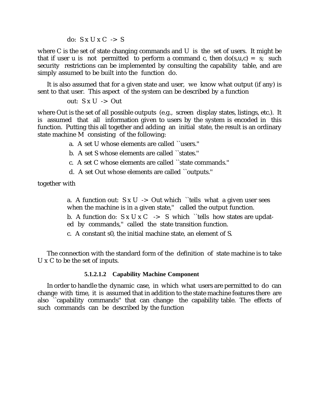do:  $S \times U \times C \rightarrow S$ 

where C is the set of state changing commands and U is the set of users. It might be that if user u is not permitted to perform a command c, then  $do(s, u, c) = s$ ; such security restrictions can be implemented by consulting the capability table, and are simply assumed to be built into the function do.

It is also assumed that for a given state and user, we know what output (if any) is sent to that user. This aspect of the system can be described by a function

out:  $S \times U \rightarrow Out$ 

where Out is the set of all possible outputs (e.g., screen display states, listings, etc.). It is assumed that all information given to users by the system is encoded in this function. Putting this all together and adding an initial state, the result is an ordinary state machine M consisting of the following:

a. A set U whose elements are called ``users.''

b. A set S whose elements are called ``states.''

- c. A set C whose elements are called ``state commands.''
- d. A set Out whose elements are called ``outputs.''

together with

a. A function out:  $S \times U \rightarrow$  Out which "tells what a given user sees when the machine is in a given state," called the output function.

b. A function do:  $S \times U \times C \rightarrow S$  which "tells how states are updated by commands,'' called the state transition function.

c. A constant s0, the initial machine state, an element of S.

The connection with the standard form of the definition of state machine is to take U x C to be the set of inputs.

#### **5.1.2.1.2 Capability Machine Component**

In order to handle the dynamic case, in which what users are permitted to do can change with time, it is assumed that in addition to the state machine features there are also ``capability commands'' that can change the capability table. The effects of such commands can be described by the function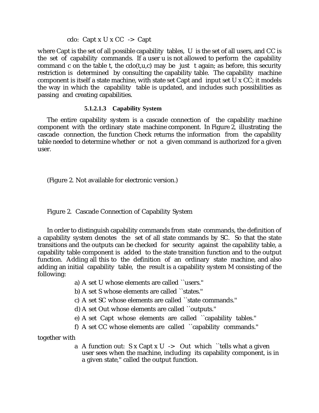# cdo: Capt x U x CC  $\rightarrow$  Capt

where Capt is the set of all possible capability tables, U is the set of all users, and CC is the set of capability commands. If a user u is not allowed to perform the capability command c on the table t, the  $\text{cdo}(t, u, c)$  may be just t again; as before, this security restriction is determined by consulting the capability table. The capability machine component is itself a state machine, with state set Capt and input set U x CC; it models the way in which the capability table is updated, and includes such possibilities as passing and creating capabilities.

# **5.1.2.1.3 Capability System**

The entire capability system is a cascade connection of the capability machine component with the ordinary state machine component. In Figure 2, illustrating the cascade connection, the function Check returns the information from the capability table needed to determine whether or not a given command is authorized for a given user.

(Figure 2. Not available for electronic version.)

# Figure 2. Cascade Connection of Capability System

In order to distinguish capability commands from state commands, the definition of a capability system denotes the set of all state commands by SC. So that the state transitions and the outputs can be checked for security against the capability table, a capability table component is added to the state transition function and to the output function. Adding all this to the definition of an ordinary state machine, and also adding an initial capability table, the result is a capability system M consisting of the following:

a) A set U whose elements are called ``users.''

b) A set S whose elements are called ``states.''

- c) A set SC whose elements are called ``state commands.''
- d) A set Out whose elements are called ``outputs.''
- e) A set Capt whose elements are called ``capability tables.''
- f) A set CC whose elements are called ``capability commands.''

together with

a A function out:  $S \times Capt \times U \rightarrow Out$  which "tells what a given user sees when the machine, including its capability component, is in a given state,'' called the output function.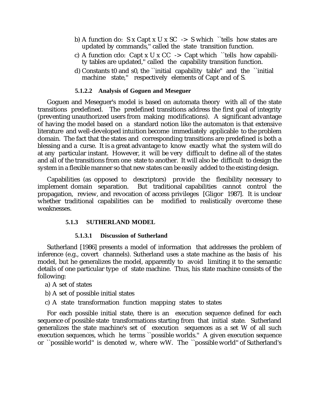- b) A function do: S x Capt x U x SC  $\rightarrow$  S which ``tells how states are updated by commands,'' called the state transition function.
- c) A function cdo: Capt x U x CC  $\rightarrow$  Capt which "tells how capability tables are updated,'' called the capability transition function.
- d) Constants t0 and s0, the ``initial capability table'' and the ``initial machine state," respectively elements of Capt and of S.

#### **5.1.2.2 Analysis of Goguen and Meseguer**

Goguen and Meseguer's model is based on automata theory with all of the state transitions predefined. The predefined transitions address the first goal of integrity (preventing unauthorized users from making modifications). A significant advantage of having the model based on a standard notion like the automaton is that extensive literature and well-developed intuition become immediately applicable to the problem domain. The fact that the states and corresponding transitions are predefined is both a blessing and a curse. It is a great advantage to know exactly what the system will do at any particular instant. However, it will be very difficult to define all of the states and all of the transitions from one state to another. It will also be difficult to design the system in a flexible manner so that new states can be easily added to the existing design.

Capabilities (as opposed to descriptors) provide the flexibility necessary to implement domain separation. But traditional capabilities cannot control the propagation, review, and revocation of access privileges [Gligor 1987]. It is unclear whether traditional capabilities can be modified to realistically overcome these weaknesses.

#### **5.1.3 SUTHERLAND MODEL**

#### **5.1.3.1 Discussion of Sutherland**

Sutherland [1986] presents a model of information that addresses the problem of inference (e.g., covert channels). Sutherland uses a state machine as the basis of his model, but he generalizes the model, apparently to avoid limiting it to the semantic details of one particular type of state machine. Thus, his state machine consists of the following:

- a) A set of states
- b) A set of possible initial states
- c) A state transformation function mapping states to states

For each possible initial state, there is an execution sequence defined for each sequence of possible state transformations starting from that initial state. Sutherland generalizes the state machine's set of execution sequences as a set W of all such execution sequences, which he terms ``possible worlds.'' A given execution sequence or ``possible world'' is denoted w, where wW. The ``possible world'' of Sutherland's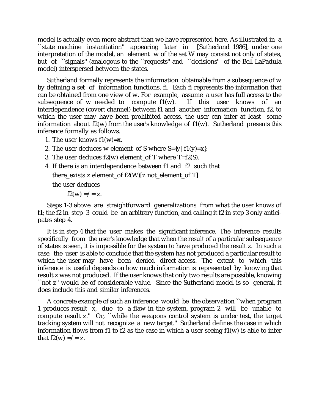model is actually even more abstract than we have represented here. As illustrated in a<br>
State machine instantiation'' appearing later in [Sutherland 1986], under one appearing later in [Sutherland 1986], under one interpretation of the model, an element w of the set W may consist not only of states, but of ``signals'' (analogous to the ``requests'' and ``decisions'' of the Bell-LaPadula model) interspersed between the states.

Sutherland formally represents the information obtainable from a subsequence of w by defining a set of information functions, fi. Each fi represents the information that can be obtained from one view of w. For example, assume a user has full access to the subsequence of w needed to compute  $f(x)$ . If this user knows of an interdependence (covert channel) between f1 and another information function, f2, to which the user may have been prohibited access, the user can infer at least some information about  $f2(w)$  from the user's knowledge of  $f1(w)$ . Sutherland presents this inference formally as follows.

- 1. The user knows  $f1(w)=x$ .
- 2. The user deduces w element of S where  $S=\{y \mid f1(y)=x\}$ .
- 3. The user deduces  $f2(w)$  element of T where T= $f2(S)$ .
- 4. If there is an interdependence between f1 and f2 such that there exists z element of  $f2(W)[z]$  not element of T]

the user deduces

 $f2(w) = / = z$ .

Steps 1-3 above are straightforward generalizations from what the user knows of f1; the f2 in step 3 could be an arbitrary function, and calling it f2 in step 3 only anticipates step 4.

It is in step 4 that the user makes the significant inference. The inference results specifically from the user's knowledge that when the result of a particular subsequence of states is seen, it is impossible for the system to have produced the result z. In such a case, the user is able to conclude that the system has not produced a particular result to which the user may have been denied direct access. The extent to which this inference is useful depends on how much information is represented by knowing that result z was not produced. If the user knows that only two results are possible, knowing ``not z'' would be of considerable value. Since the Sutherland model is so general, it does include this and similar inferences.

A concrete example of such an inference would be the observation ``when program 1 produces result x, due to a flaw in the system, program 2 will be unable to compute result z.'' Or, ``while the weapons control system is under test, the target tracking system will not recognize a new target.'' Sutherland defines the case in which information flows from f1 to f2 as the case in which a user seeing  $f(x)$  is able to infer that  $f2(w) = -z$ .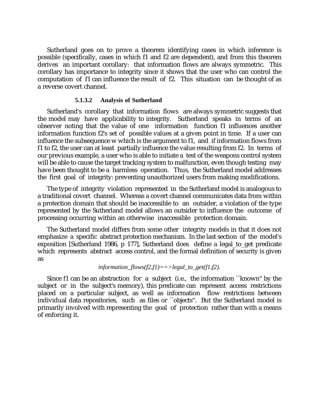Sutherland goes on to prove a theorem identifying cases in which inference is possible (specifically, cases in which f1 and f2 are dependent), and from this theorem derives an important corollary: that information flows are always symmetric. This corollary has importance to integrity since it shows that the user who can control the computation of f1 can influence the result of f2. This situation can be thought of as a reverse covert channel.

#### **5.1.3.2 Analysis of Sutherland**

Sutherland's corollary that information flows are always symmetric suggests that the model may have applicability to integrity. Sutherland speaks in terms of an observer noting that the value of one information function f1 influences another information function f2's set of possible values at a given point in time. If a user can influence the subsequence w which is the argument to f1, and if information flows from f1 to f2, the user can at least partially influence the value resulting from f2. In terms of our previous example, a user who is able to initiate a test of the weapons control system will be able to cause the target tracking system to malfunction, even though testing may have been thought to be a harmless operation. Thus, the Sutherland model addresses the first goal of integrity: preventing unauthorized users from making modifications.

The type of integrity violation represented in the Sutherland model is analogous to a traditional covert channel. Whereas a covert channel communicates data from within a protection domain that should be inaccessible to an outsider, a violation of the type represented by the Sutherland model allows an outsider to influence the outcome of processing occurring within an otherwise inaccessible protection domain.

The Sutherland model differs from some other integrity models in that it does not emphasize a specific abstract protection mechanism. In the last section of the model's exposition [Sutherland 1986, p 177], Sutherland does define a legal\_to\_get predicate which represents abstract access control, and the formal definition of security is given as

# *information*  $flows(f2,f1)==>legal$  to  $get(f1,f2)$ .

Since f1 can be an abstraction for a subject (i.e., the information ``known'' by the subject or in the subject's memory), this predicate can represent access restrictions placed on a particular subject, as well as information flow restrictions between individual data repositories, such as files or "objects". But the Sutherland model is primarily involved with representing the goal of protection rather than with a means of enforcing it.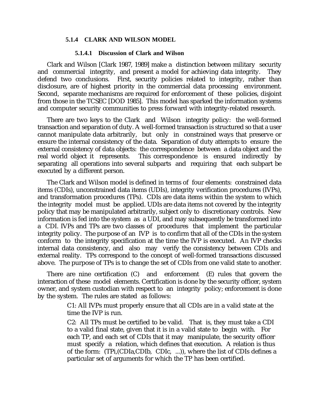#### **5.1.4 CLARK AND WILSON MODEL**

#### **5.1.4.1 Discussion of Clark and Wilson**

Clark and Wilson [Clark 1987, 1989] make a distinction between military security and commercial integrity, and present a model for achieving data integrity. They defend two conclusions. First, security policies related to integrity, rather than disclosure, are of highest priority in the commercial data processing environment. Second, separate mechanisms are required for enforcement of these policies, disjoint from those in the TCSEC [DOD 1985]. This model has sparked the information systems and computer security communities to press forward with integrity-related research.

There are two keys to the Clark and Wilson integrity policy: the well-formed transaction and separation of duty. A well-formed transaction is structured so that a user cannot manipulate data arbitrarily, but only in constrained ways that preserve or ensure the internal consistency of the data. Separation of duty attempts to ensure the external consistency of data objects: the correspondence between a data object and the real world object it represents. This correspondence is ensured indirectly by This correspondence is ensured indirectly by separating all operations into several subparts and requiring that each subpart be executed by a different person.

The Clark and Wilson model is defined in terms of four elements: constrained data items (CDIs), unconstrained data items (UDIs), integrity verification procedures (IVPs), and transformation procedures (TPs). CDIs are data items within the system to which the integrity model must be applied. UDIs are data items not covered by the integrity policy that may be manipulated arbitrarily, subject only to discretionary controls. New information is fed into the system as a UDI, and may subsequently be transformed into a CDI. IVPs and TPs are two classes of procedures that implement the particular integrity policy. The purpose of an IVP is to confirm that all of the CDIs in the system conform to the integrity specification at the time the IVP is executed. An IVP checks internal data consistency, and also may verify the consistency between CDIs and external reality. TPs correspond to the concept of well-formed transactions discussed above. The purpose of TPs is to change the set of CDIs from one valid state to another.

There are nine certification (C) and enforcement (E) rules that govern the interaction of these model elements. Certification is done by the security officer, system owner, and system custodian with respect to an integrity policy; enforcement is done by the system. The rules are stated as follows:

> C1: All IVPs must properly ensure that all CDIs are in a valid state at the time the IVP is run.

C2: All TPs must be certified to be valid. That is, they must take a CDI to a valid final state, given that it is in a valid state to begin with. For each TP, and each set of CDIs that it may manipulate, the security officer must specify a relation, which defines that execution. A relation is thus of the form: (TPi,(CDIa,CDIb, CDIc, ...)), where the list of CDIs defines a particular set of arguments for which the TP has been certified.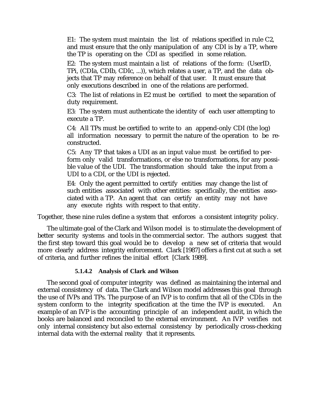E1: The system must maintain the list of relations specified in rule C2, and must ensure that the only manipulation of any CDI is by a TP, where the TP is operating on the CDI as specified in some relation.

E2: The system must maintain a list of relations of the form: (UserID, TPi, (CDIa, CDIb, CDIc, ...)), which relates a user, a TP, and the data objects that TP may reference on behalf of that user. It must ensure that only executions described in one of the relations are performed.

C3: The list of relations in E2 must be certified to meet the separation of duty requirement.

E3: The system must authenticate the identity of each user attempting to execute a TP.

C4: All TPs must be certified to write to an append-only CDI (the log) all information necessary to permit the nature of the operation to be reconstructed.

C5: Any TP that takes a UDI as an input value must be certified to perform only valid transformations, or else no transformations, for any possible value of the UDI. The transformation should take the input from a UDI to a CDI, or the UDI is rejected.

E4: Only the agent permitted to certify entities may change the list of such entities associated with other entities: specifically, the entities associated with a TP. An agent that can certify an entity may not have any execute rights with respect to that entity.

Together, these nine rules define a system that enforces a consistent integrity policy.

The ultimate goal of the Clark and Wilson model is to stimulate the development of better security systems and tools in the commercial sector. The authors suggest that the first step toward this goal would be to develop a new set of criteria that would more clearly address integrity enforcement. Clark [1987] offers a first cut at such a set of criteria, and further refines the initial effort [Clark 1989].

# **5.1.4.2 Analysis of Clark and Wilson**

The second goal of computer integrity was defined as maintaining the internal and external consistency of data. The Clark and Wilson model addresses this goal through the use of IVPs and TPs. The purpose of an IVP is to confirm that all of the CDIs in the system conform to the integrity specification at the time the IVP is executed. An example of an IVP is the accounting principle of an independent audit, in which the books are balanced and reconciled to the external environment. An IVP verifies not only internal consistency but also external consistency by periodically cross-checking internal data with the external reality that it represents.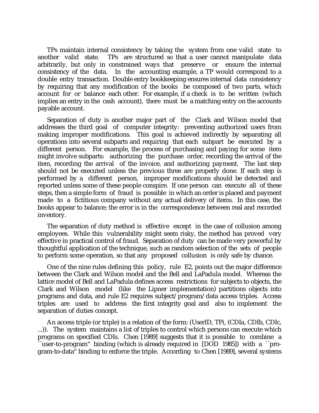TPs maintain internal consistency by taking the system from one valid state to another valid state. TPs are structured so that a user cannot manipulate data arbitrarily, but only in constrained ways that preserve or ensure the internal consistency of the data. In the accounting example, a TP would correspond to a double entry transaction. Double entry bookkeeping ensures internal data consistency by requiring that any modification of the books be composed of two parts, which account for or balance each other. For example, if a check is to be written (which implies an entry in the cash account), there must be a matching entry on the accounts payable account.

Separation of duty is another major part of the Clark and Wilson model that addresses the third goal of computer integrity: preventing authorized users from making improper modifications. This goal is achieved indirectly by separating all operations into several subparts and requiring that each subpart be executed by a different person. For example, the process of purchasing and paying for some item might involve subparts: authorizing the purchase order, recording the arrival of the item, recording the arrival of the invoice, and authorizing payment. The last step should not be executed unless the previous three are properly done. If each step is performed by a different person, improper modifications should be detected and reported unless some of these people conspire. If one person can execute all of these steps, then a simple form of fraud is possible in which an order is placed and payment made to a fictitious company without any actual delivery of items. In this case, the books appear to balance; the error is in the correspondence between real and recorded inventory.

The separation of duty method is effective except in the case of collusion among employees. While this vulnerability might seem risky, the method has proved very effective in practical control of fraud. Separation of duty can be made very powerful by thoughtful application of the technique, such as random selection of the sets of people to perform some operation, so that any proposed collusion is only safe by chance.

One of the nine rules defining this policy, rule E2, points out the major difference between the Clark and Wilson model and the Bell and LaPadula model. Whereas the lattice model of Bell and LaPadula defines access restrictions for subjects to objects, the Clark and Wilson model (like the Lipner implementation) partitions objects into programs and data, and rule E2 requires subject/program/data access triples. Access triples are used to address the first integrity goal and also to implement the separation of duties concept.

An access triple (or triple) is a relation of the form: (UserID, TPi, (CDIa, CDIb, CDIc, ...)). The system maintains a list of triples to control which persons can execute which programs on specified CDIs. Chen [1989] suggests that it is possible to combine a ``user-to-program'' binding (which is already required in [DOD 1985]) with a ``program-to-data'' binding to enforce the triple. According to Chen [1989], several systems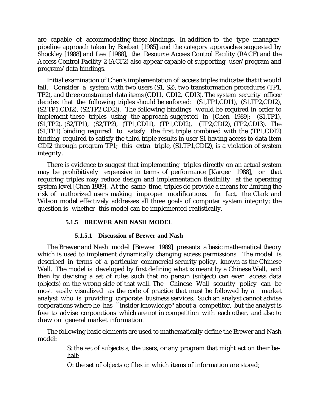are capable of accommodating these bindings. In addition to the type manager/ pipeline approach taken by Boebert [1985] and the category approaches suggested by Shockley [1988] and Lee [1988], the Resource Access Control Facility (RACF) and the Access Control Facility 2 (ACF2) also appear capable of supporting user/program and program/data bindings.

Initial examination of Chen's implementation of access triples indicates that it would fail. Consider a system with two users (S1, S2), two transformation procedures (TP1, TP2), and three constrained data items (CDI1, CDI2, CDI3). The system security officer decides that the following triples should be enforced: (S1,TP1,CDI1), (S1,TP2,CDI2), (S2,TP1,CDI2), (S2,TP2,CDI3). The following bindings would be required in order to implement these triples using the approach suggested in [Chen 1989]: (S1,TP1), (S1,TP2), (S2,TP1), (S2,TP2), (TP1,CDI1), (TP1,CDI2), (TP2,CDI2), (TP2,CDI3). The (S1,TP1) binding required to satisfy the first triple combined with the (TP1,CDI2) binding required to satisfy the third triple results in user S1 having access to data item CDI2 through program TP1; this extra triple, (S1,TP1,CDI2), is a violation of system integrity.

There is evidence to suggest that implementing triples directly on an actual system may be prohibitively expensive in terms of performance [Karger 1988], or that requiring triples may reduce design and implementation flexibility at the operating system level [Chen 1989]. At the same time, triples do provide a means for limiting the risk of authorized users making improper modifications. In fact, the Clark and Wilson model effectively addresses all three goals of computer system integrity; the question is whether this model can be implemented realistically.

# **5.1.5 BREWER AND NASH MODEL**

#### **5.1.5.1 Discussion of Brewer and Nash**

The Brewer and Nash model [Brewer 1989] presents a basic mathematical theory which is used to implement dynamically changing access permissions. The model is described in terms of a particular commercial security policy, known as the Chinese Wall. The model is developed by first defining what is meant by a Chinese Wall, and then by devising a set of rules such that no person (subject) can ever access data (objects) on the wrong side of that wall. The Chinese Wall security policy can be most easily visualized as the code of practice that must be followed by a market analyst who is providing corporate business services. Such an analyst cannot advise corporations where he has ``insider knowledge'' about a competitor, but the analyst is free to advise corporations which are not in competition with each other, and also to draw on general market information.

The following basic elements are used to mathematically define the Brewer and Nash model:

> S: the set of subjects s; the users, or any program that might act on their behalf;

O: the set of objects o; files in which items of information are stored;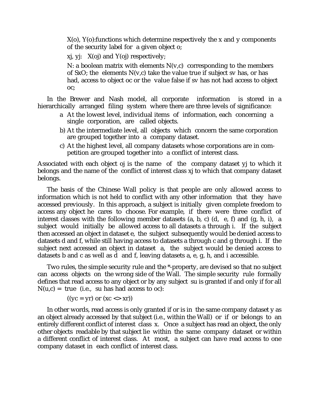X(o), Y(o):functions which determine respectively the x and y components of the security label for a given object o;

 $xj$ ,  $yj$ :  $X(oj)$  and  $Y(oj)$  respectively;

N: a boolean matrix with elements  $N(v,c)$  corresponding to the members of SxO; the elements  $N(v,c)$  take the value true if subject sv has, or has had, access to object oc or the value false if sv has not had access to object oc;

In the Brewer and Nash model, all corporate information is stored in a hierarchically arranged filing system where there are three levels of significance:

- a At the lowest level, individual items of information, each concerning a single corporation, are called objects.
- b) At the intermediate level, all objects which concern the same corporation are grouped together into a company dataset.
- c) At the highest level, all company datasets whose corporations are in competition are grouped together into a conflict of interest class.

Associated with each object oj is the name of the company dataset yj to which it belongs and the name of the conflict of interest class xj to which that company dataset belongs.

The basis of the Chinese Wall policy is that people are only allowed access to information which is not held to conflict with any other information that they have accessed previously. In this approach, a subject is initially given complete freedom to access any object he cares to choose. For example, if there were three conflict of interest classes with the following member datasets (a, b, c) (d, e, f) and (g, h, i), a subject would initially be allowed access to all datasets a through i. If the subject then accessed an object in dataset e, the subject subsequently would be denied access to datasets d and f, while still having access to datasets a through c and g through i. If the subject next accessed an object in dataset a, the subject would be denied access to datasets b and c as well as d and f, leaving datasets a, e, g, h, and i accessible.

Two rules, the simple security rule and the \*-property, are devised so that no subject can access objects on the wrong side of the Wall. The simple security rule formally defines that read access to any object or by any subject su is granted if and only if for all  $N(u,c) = true$  (i.e., su has had access to oc):

 $((yc = yr)$  or  $(xc \ll xr))$ 

In other words, read access is only granted if or is in the same company dataset y as an object already accessed by that subject (i.e., within the Wall) or if or belongs to an entirely different conflict of interest class x. Once a subject has read an object, the only other objects readable by that subject lie within the same company dataset or within a different conflict of interest class. At most, a subject can have read access to one company dataset in each conflict of interest class.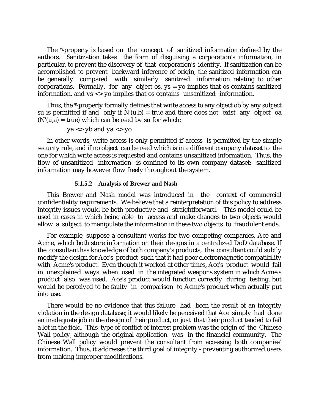The \*-property is based on the concept of sanitized information defined by the authors. Sanitization takes the form of disguising a corporation's information, in particular, to prevent the discovery of that corporation's identity. If sanitization can be accomplished to prevent backward inference of origin, the sanitized information can be generally compared with similarly sanitized information relating to other corporations. Formally, for any object os,  $ys = yo$  implies that os contains sanitized information, and ys <> yo implies that os contains unsanitized information.

Thus, the \*-property formally defines that write access to any object ob by any subject su is permitted if and only if  $N'(u,b) = true$  and there does not exist any object oa  $(N'(u,a) = true)$  which can be read by su for which:

$$
ya \leq yb
$$
 and  $ya \leq yo$ 

In other words, write access is only permitted if access is permitted by the simple security rule, and if no object can be read which is in a different company dataset to the one for which write access is requested and contains unsanitized information. Thus, the flow of unsanitized information is confined to its own company dataset; sanitized information may however flow freely throughout the system.

#### **5.1.5.2 Analysis of Brewer and Nash**

This Brewer and Nash model was introduced in the context of commercial confidentiality requirements. We believe that a reinterpretation of this policy to address integrity issues would be both productive and straightforward. This model could be used in cases in which being able to access and make changes to two objects would allow a subject to manipulate the information in these two objects to fraudulent ends.

For example, suppose a consultant works for two competing companies, Ace and Acme, which both store information on their designs in a centralized DoD database. If the consultant has knowledge of both company's products, the consultant could subtly modify the design for Ace's product such that it had poor electromagnetic compatibility with Acme's product. Even though it worked at other times, Ace's product would fail in unexplained ways when used in the integrated weapons system in which Acme's product also was used. Ace's product would function correctly during testing, but would be perceived to be faulty in comparison to Acme's product when actually put into use.

There would be no evidence that this failure had been the result of an integrity violation in the design database; it would likely be perceived that Ace simply had done an inadequate job in the design of their product, or just that their product tended to fail a lot in the field. This type of conflict of interest problem was the origin of the Chinese Wall policy, although the original application was in the financial community. The Chinese Wall policy would prevent the consultant from accessing both companies' information. Thus, it addresses the third goal of integrity - preventing authorized users from making improper modifications.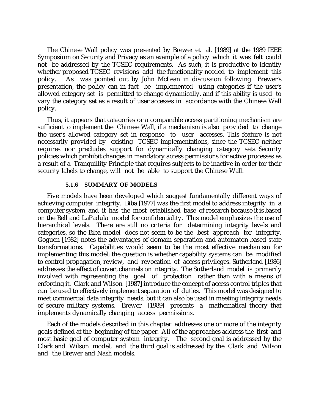The Chinese Wall policy was presented by Brewer et al. [1989] at the 1989 IEEE Symposium on Security and Privacy as an example of a policy which it was felt could not be addressed by the TCSEC requirements. As such, it is productive to identify whether proposed TCSEC revisions add the functionality needed to implement this policy. As was pointed out by John McLean in discussion following Brewer's presentation, the policy can in fact be implemented using categories if the user's allowed category set is permitted to change dynamically, and if this ability is used to vary the category set as a result of user accesses in accordance with the Chinese Wall policy.

Thus, it appears that categories or a comparable access partitioning mechanism are sufficient to implement the Chinese Wall, if a mechanism is also provided to change the user's allowed category set in response to user accesses. This feature is not necessarily provided by existing TCSEC implementations, since the TCSEC neither requires nor precludes support for dynamically changing category sets. Security policies which prohibit changes in mandatory access permissions for active processes as a result of a Tranquillity Principle that requires subjects to be inactive in order for their security labels to change, will not be able to support the Chinese Wall.

## **5.1.6 SUMMARY OF MODELS**

Five models have been developed which suggest fundamentally different ways of achieving computer integrity. Biba [1977] was the first model to address integrity in a computer system, and it has the most established base of research because it is based on the Bell and LaPadula model for confidentiality. This model emphasizes the use of hierarchical levels. There are still no criteria for determining integrity levels and categories, so the Biba model does not seem to be the best approach for integrity. Goguen [1982] notes the advantages of domain separation and automaton-based state transformations. Capabilities would seem to be the most effective mechanism for implementing this model; the question is whether capability systems can be modified to control propagation, review, and revocation of access privileges. Sutherland [1986] addresses the effect of covert channels on integrity. The Sutherland model is primarily involved with representing the goal of protection rather than with a means of enforcing it. Clark and Wilson [1987] introduce the concept of access control triples that can be used to effectively implement separation of duties. This model was designed to meet commercial data integrity needs, but it can also be used in meeting integrity needs of secure military systems. Brewer [1989] presents a mathematical theory that implements dynamically changing access permissions.

Each of the models described in this chapter addresses one or more of the integrity goals defined at the beginning of the paper. All of the approaches address the first and most basic goal of computer system integrity. The second goal is addressed by the Clark and Wilson model, and the third goal is addressed by the Clark and Wilson and the Brewer and Nash models.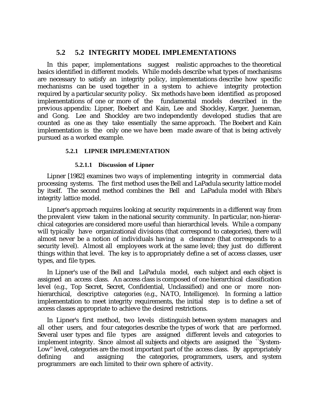# **5.2 5.2 INTEGRITY MODEL IMPLEMENTATIONS**

In this paper, implementations suggest realistic approaches to the theoretical basics identified in different models. While models describe what types of mechanisms are necessary to satisfy an integrity policy, implementations describe how specific mechanisms can be used together in a system to achieve integrity protection required by a particular security policy. Six methods have been identified as proposed implementations of one or more of the fundamental models described in the previous appendix: Lipner, Boebert and Kain, Lee and Shockley, Karger, Jueneman, and Gong. Lee and Shockley are two independently developed studies that are counted as one as they take essentially the same approach. The Boebert and Kain implementation is the only one we have been made aware of that is being actively pursued as a worked example.

# **5.2.1 LIPNER IMPLEMENTATION**

## **5.2.1.1 Discussion of Lipner**

Lipner [1982] examines two ways of implementing integrity in commercial data processing systems. The first method uses the Bell and LaPadula security lattice model by itself. The second method combines the Bell and LaPadula model with Biba's integrity lattice model.

Lipner's approach requires looking at security requirements in a different way from the prevalent view taken in the national security community. In particular, non-hierarchical categories are considered more useful than hierarchical levels. While a company will typically have organizational divisions (that correspond to categories), there will almost never be a notion of individuals having a clearance (that corresponds to a security level). Almost all employees work at the same level; they just do different things within that level. The key is to appropriately define a set of access classes, user types, and file types.

In Lipner's use of the Bell and LaPadula model, each subject and each object is assigned an access class. An access class is composed of one hierarchical classification level (e.g., Top Secret, Secret, Confidential, Unclassified) and one or more nonhierarchical, descriptive categories (e.g., NATO, Intelligence). In forming a lattice implementation to meet integrity requirements, the initial step is to define a set of access classes appropriate to achieve the desired restrictions.

In Lipner's first method, two levels distinguish between system managers and all other users, and four categories describe the types of work that are performed. Several user types and file types are assigned different levels and categories to implement integrity. Since almost all subjects and objects are assigned the ``System-Low" level, categories are the most important part of the access class. By appropriately defining and assigning the categories, programmers, users, and system programmers are each limited to their own sphere of activity.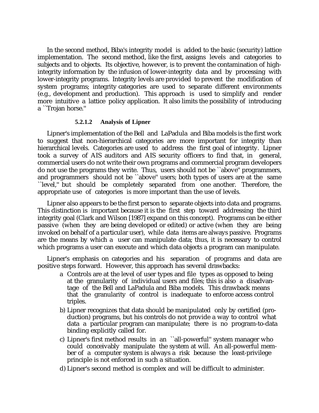In the second method, Biba's integrity model is added to the basic (security) lattice implementation. The second method, like the first, assigns levels and categories to subjects and to objects. Its objective, however, is to prevent the contamination of highintegrity information by the infusion of lower-integrity data and by processing with lower-integrity programs. Integrity levels are provided to prevent the modification of system programs; integrity categories are used to separate different environments (e.g., development and production). This approach is used to simplify and render more intuitive a lattice policy application. It also limits the possibility of introducing a ``Trojan horse.''

#### **5.2.1.2 Analysis of Lipner**

Lipner's implementation of the Bell and LaPadula and Biba models is the first work to suggest that non-hierarchical categories are more important for integrity than hierarchical levels. Categories are used to address the first goal of integrity. Lipner took a survey of AIS auditors and AIS security officers to find that, in general, commercial users do not write their own programs and commercial program developers do not use the programs they write. Thus, users should not be ``above'' programmers, and programmers should not be ``above'' users; both types of users are at the same ``level,'' but should be completely separated from one another. Therefore, the appropriate use of categories is more important than the use of levels.

Lipner also appears to be the first person to separate objects into data and programs. This distinction is important because it is the first step toward addressing the third integrity goal (Clark and Wilson [1987] expand on this concept). Programs can be either passive (when they are being developed or edited) or active (when they are being invoked on behalf of a particular user), while data items are always passive. Programs are the means by which a user can manipulate data; thus, it is necessary to control which programs a user can execute and which data objects a program can manipulate.

Lipner's emphasis on categories and his separation of programs and data are positive steps forward. However, this approach has several drawbacks:

- a Controls are at the level of user types and file types as opposed to being at the granularity of individual users and files; this is also a disadvantage of the Bell and LaPadula and Biba models. This drawback means that the granularity of control is inadequate to enforce access control triples.
- b) Lipner recognizes that data should be manipulated only by certified (production) programs, but his controls do not provide a way to control what data a particular program can manipulate; there is no program-to-data binding explicitly called for.
- c) Lipner's first method results in an ``all-powerful'' system manager who could conceivably manipulate the system at will. An all-powerful member of a computer system is always a risk because the least-privilege principle is not enforced in such a situation.
- d) Lipner's second method is complex and will be difficult to administer.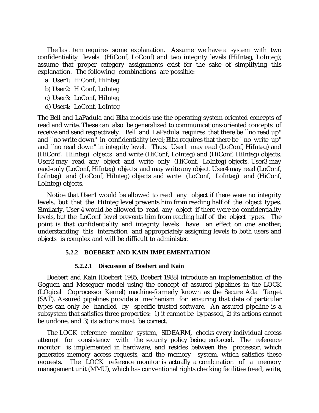The last item requires some explanation. Assume we have a system with two confidentiality levels (HiConf, LoConf) and two integrity levels (HiInteg, LoInteg); assume that proper category assignments exist for the sake of simplifying this explanation. The following combinations are possible:

- a User1: HiConf, HiInteg
- b) User2: HiConf, LoInteg
- c) User3: LoConf, HiInteg
- d) User4: LoConf, LoInteg

The Bell and LaPadula and Biba models use the operating system-oriented concepts of read and write. These can also be generalized to communications-oriented concepts of receive and send respectively. Bell and LaPadula requires that there be ``no read up'' and ``no write down'' in confidentiality level; Biba requires that there be ``no write up'' and ``no read down" in integrity level. Thus, User1 may read (LoConf, HiInteg) and (HiConf, HiInteg) objects and write (HiConf, LoInteg) and (HiConf, HiInteg) objects. User2 may read any object and write only (HiConf, LoInteg) objects. User3 may read-only (LoConf, HiInteg) objects and may write any object. User4 may read (LoConf, LoInteg) and (LoConf, HiInteg) objects and write (LoConf, LoInteg) and (HiConf, LoInteg) objects.

Notice that User1 would be allowed to read any object if there were no integrity levels, but that the HiInteg level prevents him from reading half of the object types. Similarly, User 4 would be allowed to read any object if there were no confidentiality levels, but the LoConf level prevents him from reading half of the object types. The point is that confidentiality and integrity levels have an effect on one another; understanding this interaction and appropriately assigning levels to both users and objects is complex and will be difficult to administer.

# **5.2.2 BOEBERT AND KAIN IMPLEMENTATION**

#### **5.2.2.1 Discussion of Boebert and Kain**

Boebert and Kain [Boebert 1985, Boebert 1988] introduce an implementation of the Goguen and Meseguer model using the concept of assured pipelines in the LOCK (LOgical Coprocessor Kernel) machine-formerly known as the Secure Ada Target (SAT). Assured pipelines provide a mechanism for ensuring that data of particular types can only be handled by specific trusted software. An assured pipeline is a subsystem that satisfies three properties: 1) it cannot be bypassed, 2) its actions cannot be undone, and 3) its actions must be correct.

The LOCK reference monitor system, SIDEARM, checks every individual access attempt for consistency with the security policy being enforced. The reference monitor is implemented in hardware, and resides between the processor, which generates memory access requests, and the memory system, which satisfies these requests. The LOCK reference monitor is actually a combination of a memory management unit (MMU), which has conventional rights checking facilities (read, write,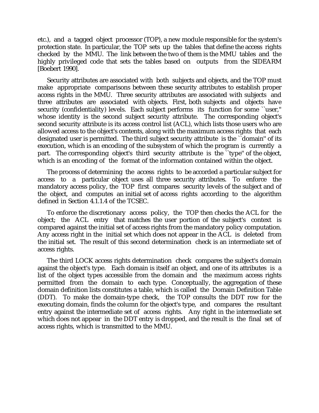etc.), and a tagged object processor (TOP), a new module responsible for the system's protection state. In particular, the TOP sets up the tables that define the access rights checked by the MMU. The link between the two of them is the MMU tables and the highly privileged code that sets the tables based on outputs from the SIDEARM [Boebert 1990].

Security attributes are associated with both subjects and objects, and the TOP must make appropriate comparisons between these security attributes to establish proper access rights in the MMU. Three security attributes are associated with subjects and three attributes are associated with objects. First, both subjects and objects have security (confidentiality) levels. Each subject performs its function for some "user," whose identity is the second subject security attribute. The corresponding object's second security attribute is its access control list (ACL), which lists those users who are allowed access to the object's contents, along with the maximum access rights that each designated user is permitted. The third subject security attribute is the ``domain'' of its execution, which is an encoding of the subsystem of which the program is currently a part. The corresponding object's third security attribute is the ``type'' of the object, which is an encoding of the format of the information contained within the object.

The process of determining the access rights to be accorded a particular subject for access to a particular object uses all three security attributes. To enforce the mandatory access policy, the TOP first compares security levels of the subject and of the object, and computes an initial set of access rights according to the algorithm defined in Section 4.1.1.4 of the TCSEC.

To enforce the discretionary access policy, the TOP then checks the ACL for the object; the ACL entry that matches the user portion of the subject's context is compared against the initial set of access rights from the mandatory policy computation. Any access right in the initial set which does not appear in the ACL is deleted from the initial set. The result of this second determination check is an intermediate set of access rights.

The third LOCK access rights determination check compares the subject's domain against the object's type. Each domain is itself an object, and one of its attributes is a list of the object types accessible from the domain and the maximum access rights permitted from the domain to each type. Conceptually, the aggregation of these domain definition lists constitutes a table, which is called the Domain Definition Table (DDT). To make the domain-type check, the TOP consults the DDT row for the executing domain, finds the column for the object's type, and compares the resultant entry against the intermediate set of access rights. Any right in the intermediate set which does not appear in the DDT entry is dropped, and the result is the final set of access rights, which is transmitted to the MMU.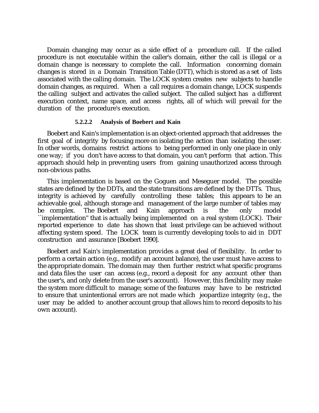Domain changing may occur as a side effect of a procedure call. If the called procedure is not executable within the caller's domain, either the call is illegal or a domain change is necessary to complete the call. Information concerning domain changes is stored in a Domain Transition Table (DTT), which is stored as a set of lists associated with the calling domain. The LOCK system creates new subjects to handle domain changes, as required. When a call requires a domain change, LOCK suspends the calling subject and activates the called subject. The called subject has a different execution context, name space, and access rights, all of which will prevail for the duration of the procedure's execution.

## **5.2.2.2 Analysis of Boebert and Kain**

Boebert and Kain's implementation is an object-oriented approach that addresses the first goal of integrity by focusing more on isolating the action than isolating the user. In other words, domains restrict actions to being performed in only one place in only one way; if you don't have access to that domain, you can't perform that action. This approach should help in preventing users from gaining unauthorized access through non-obvious paths.

This implementation is based on the Goguen and Meseguer model. The possible states are defined by the DDTs, and the state transitions are defined by the DTTs. Thus, integrity is achieved by carefully controlling these tables; this appears to be an achievable goal, although storage and management of the large number of tables may be complex. The Boebert and Kain approach is the only model ``implementation'' that is actually being implemented on a real system (LOCK). Their reported experience to date has shown that least privilege can be achieved without affecting system speed. The LOCK team is currently developing tools to aid in DDT construction and assurance [Boebert 1990].

Boebert and Kain's implementation provides a great deal of flexibility. In order to perform a certain action (e.g., modify an account balance), the user must have access to the appropriate domain. The domain may then further restrict what specific programs and data files the user can access (e.g., record a deposit for any account other than the user's, and only delete from the user's account). However, this flexibility may make the system more difficult to manage; some of the features may have to be restricted to ensure that unintentional errors are not made which jeopardize integrity (e.g., the user may be added to another account group that allows him to record deposits to his own account).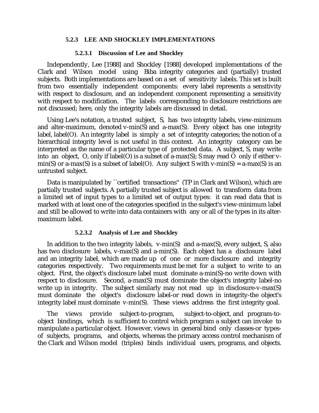#### **5.2.3 LEE AND SHOCKLEY IMPLEMENTATIONS**

#### **5.2.3.1 Discussion of Lee and Shockley**

Independently, Lee [1988] and Shockley [1988] developed implementations of the Clark and Wilson model using Biba integrity categories and (partially) trusted subjects. Both implementations are based on a set of sensitivity labels. This set is built from two essentially independent components: every label represents a sensitivity with respect to disclosure, and an independent component representing a sensitivity with respect to modification. The labels corresponding to disclosure restrictions are not discussed; here, only the integrity labels are discussed in detail.

Using Lee's notation, a trusted subject, S, has two integrity labels, view-minimum and alter-maximum, denoted v-min(S) and a-max(S). Every object has one integrity label, label(O). An integrity label is simply a set of integrity categories; the notion of a hierarchical integrity level is not useful in this context. An integrity category can be interpreted as the name of a particular type of protected data. A subject, S, may write into an object, O, only if label(O) is a subset of a-max(S); S may read O only if either vmin(S) or a-max(S) is a subset of label(O). Any subject S with v-min(S) = a-max(S) is an untrusted subject.

Data is manipulated by ``certified transactions'' (TP in Clark and Wilson), which are partially trusted subjects. A partially trusted subject is allowed to transform data from a limited set of input types to a limited set of output types: it can read data that is marked with at least one of the categories specified in the subject's view-minimum label and still be allowed to write into data containers with any or all of the types in its altermaximum label.

#### **5.2.3.2 Analysis of Lee and Shockley**

In addition to the two integrity labels, v-min(S) and a-max(S), every subject, S, also has two disclosure labels, v-max(S) and a-min(S). Each object has a disclosure label and an integrity label, which are made up of one or more disclosure and integrity categories respectively. Two requirements must be met for a subject to write to an object. First, the object's disclosure label must dominate a-min(S)-no write down with respect to disclosure. Second, a-max(S) must dominate the object's integrity label-no write up in integrity. The subject similarly may not read up in disclosure-v-max(S) must dominate the object's disclosure label-or read down in integrity-the object's integrity label must dominate v-min(S). These views address the first integrity goal.

The views provide subject-to-program, subject-to-object, and program-toobject bindings, which is sufficient to control which program a subject can invoke to manipulate a particular object. However, views in general bind only classes-or typesof subjects, programs, and objects, whereas the primary access control mechanism of the Clark and Wilson model (triples) binds individual users, programs, and objects.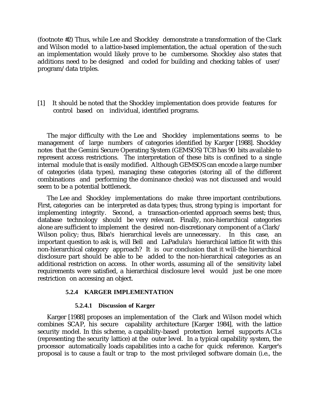(footnote #2) Thus, while Lee and Shockley demonstrate a transformation of the Clark and Wilson model to a lattice-based implementation, the actual operation of the such an implementation would likely prove to be cumbersome. Shockley also states that additions need to be designed and coded for building and checking tables of user/ program/data triples.

[1] It should be noted that the Shockley implementation does provide features for control based on individual, identified programs.

The major difficulty with the Lee and Shockley implementations seems to be management of large numbers of categories identified by Karger [1988]. Shockley notes that the Gemini Secure Operating System (GEMSOS) TCB has 90 bits available to represent access restrictions. The interpretation of these bits is confined to a single internal module that is easily modified. Although GEMSOS can encode a large number of categories (data types), managing these categories (storing all of the different combinations and performing the dominance checks) was not discussed and would seem to be a potential bottleneck.

The Lee and Shockley implementations do make three important contributions. First, categories can be interpreted as data types; thus, strong typing is important for implementing integrity. Second, a transaction-oriented approach seems best; thus, database technology should be very relevant. Finally, non-hierarchical categories alone are sufficient to implement the desired non-discretionary component of a Clark/ Wilson policy; thus, Biba's hierarchical levels are unnecessary. In this case, an important question to ask is, will Bell and LaPadula's hierarchical lattice fit with this non-hierarchical category approach? It is our conclusion that it will-the hierarchical disclosure part should be able to be added to the non-hierarchical categories as an additional restriction on access. In other words, assuming all of the sensitivity label requirements were satisfied, a hierarchical disclosure level would just be one more restriction on accessing an object.

# **5.2.4 KARGER IMPLEMENTATION**

#### **5.2.4.1 Discussion of Karger**

Karger [1988] proposes an implementation of the Clark and Wilson model which combines SCAP, his secure capability architecture [Karger 1984], with the lattice security model. In this scheme, a capability-based protection kernel supports ACLs (representing the security lattice) at the outer level. In a typical capability system, the processor automatically loads capabilities into a cache for quick reference. Karger's proposal is to cause a fault or trap to the most privileged software domain (i.e., the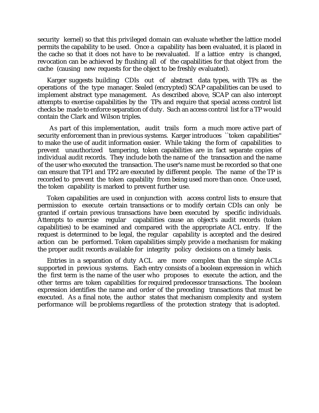security kernel) so that this privileged domain can evaluate whether the lattice model permits the capability to be used. Once a capability has been evaluated, it is placed in the cache so that it does not have to be reevaluated. If a lattice entry is changed, revocation can be achieved by flushing all of the capabilities for that object from the cache (causing new requests for the object to be freshly evaluated).

Karger suggests building CDIs out of abstract data types, with TPs as the operations of the type manager. Sealed (encrypted) SCAP capabilities can be used to implement abstract type management. As described above, SCAP can also intercept attempts to exercise capabilities by the TPs and require that special access control list checks be made to enforce separation of duty. Such an access control list for a TP would contain the Clark and Wilson triples.

 As part of this implementation, audit trails form a much more active part of security enforcement than in previous systems. Karger introduces ``token capabilities'' to make the use of audit information easier. While taking the form of capabilities to prevent unauthorized tampering, token capabilities are in fact separate copies of individual audit records. They include both the name of the transaction and the name of the user who executed the transaction. The user's name must be recorded so that one can ensure that TP1 and TP2 are executed by different people. The name of the TP is recorded to prevent the token capability from being used more than once. Once used, the token capability is marked to prevent further use.

Token capabilities are used in conjunction with access control lists to ensure that permission to execute certain transactions or to modify certain CDIs can only be granted if certain previous transactions have been executed by specific individuals. Attempts to exercise regular capabilities cause an object's audit records (token capabilities) to be examined and compared with the appropriate ACL entry. If the request is determined to be legal, the regular capability is accepted and the desired action can be performed. Token capabilities simply provide a mechanism for making the proper audit records available for integrity policy decisions on a timely basis.

Entries in a separation of duty ACL are more complex than the simple ACLs supported in previous systems. Each entry consists of a boolean expression in which the first term is the name of the user who proposes to execute the action, and the other terms are token capabilities for required predecessor transactions. The boolean expression identifies the name and order of the preceding transactions that must be executed. As a final note, the author states that mechanism complexity and system performance will be problems regardless of the protection strategy that is adopted.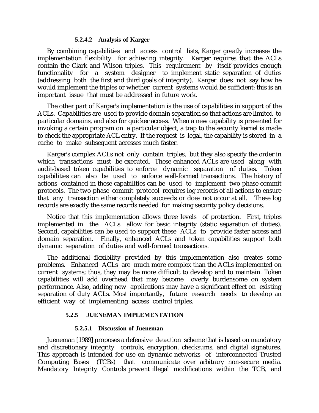## **5.2.4.2 Analysis of Karger**

By combining capabilities and access control lists, Karger greatly increases the implementation flexibility for achieving integrity. Karger requires that the ACLs contain the Clark and Wilson triples. This requirement by itself provides enough functionality for a system designer to implement static separation of duties (addressing both the first and third goals of integrity). Karger does not say how he would implement the triples or whether current systems would be sufficient; this is an important issue that must be addressed in future work.

The other part of Karger's implementation is the use of capabilities in support of the ACLs. Capabilities are used to provide domain separation so that actions are limited to particular domains, and also for quicker access. When a new capability is presented for invoking a certain program on a particular object, a trap to the security kernel is made to check the appropriate ACL entry. If the request is legal, the capability is stored in a cache to make subsequent accesses much faster.

Karger's complex ACLs not only contain triples, but they also specify the order in which transactions must be executed. These enhanced ACLs are used along with audit-based token capabilities to enforce dynamic separation of duties. Token capabilities can also be used to enforce well-formed transactions. The history of actions contained in these capabilities can be used to implement two-phase commit protocols. The two-phase commit protocol requires log records of all actions to ensure that any transaction either completely succeeds or does not occur at all. These log records are exactly the same records needed for making security policy decisions.

Notice that this implementation allows three levels of protection. First, triples implemented in the ACLs allow for basic integrity (static separation of duties). Second, capabilities can be used to support these ACLs to provide faster access and domain separation. Finally, enhanced ACLs and token capabilities support both dynamic separation of duties and well-formed transactions.

The additional flexibility provided by this implementation also creates some problems. Enhanced ACLs are much more complex than the ACLs implemented on current systems; thus, they may be more difficult to develop and to maintain. Token capabilities will add overhead that may become overly burdensome on system performance. Also, adding new applications may have a significant effect on existing separation of duty ACLs. Most importantly, future research needs to develop an efficient way of implementing access control triples.

# **5.2.5 JUENEMAN IMPLEMENTATION**

# **5.2.5.1 Discussion of Jueneman**

Jueneman [1989] proposes a defensive detection scheme that is based on mandatory and discretionary integrity controls, encryption, checksums, and digital signatures. This approach is intended for use on dynamic networks of interconnected Trusted Computing Bases (TCBs) that communicate over arbitrary non-secure media. Mandatory Integrity Controls prevent illegal modifications within the TCB, and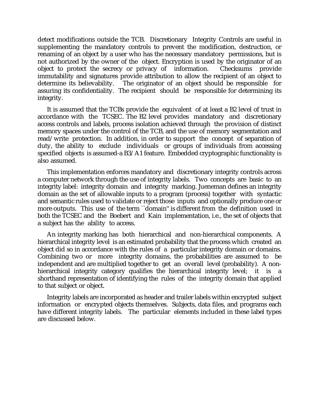detect modifications outside the TCB. Discretionary Integrity Controls are useful in supplementing the mandatory controls to prevent the modification, destruction, or renaming of an object by a user who has the necessary mandatory permissions, but is not authorized by the owner of the object. Encryption is used by the originator of an object to protect the secrecy or privacy of information. Checksums provide object to protect the secrecy or privacy of information. Checksums provide immutability and signatures provide attribution to allow the recipient of an object to The originator of an object should be responsible for assuring its confidentiality. The recipient should be responsible for determining its integrity.

It is assumed that the TCBs provide the equivalent of at least a B2 level of trust in accordance with the TCSEC. The B2 level provides mandatory and discretionary access controls and labels, process isolation achieved through the provision of distinct memory spaces under the control of the TCB, and the use of memory segmentation and read/write protection. In addition, in order to support the concept of separation of duty, the ability to exclude individuals or groups of individuals from accessing specified objects is assumed-a B3/A1 feature. Embedded cryptographic functionality is also assumed.

This implementation enforces mandatory and discretionary integrity controls across a computer network through the use of integrity labels. Two concepts are basic to an integrity label: integrity domain and integrity marking. Jueneman defines an integrity domain as the set of allowable inputs to a program (process) together with syntactic and semantic rules used to validate or reject those inputs and optionally produce one or more outputs. This use of the term ``domain'' is different from the definition used in both the TCSEC and the Boebert and Kain implementation, i.e., the set of objects that a subject has the ability to access.

An integrity marking has both hierarchical and non-hierarchical components. A hierarchical integrity level is an estimated probability that the process which created an object did so in accordance with the rules of a particular integrity domain or domains. Combining two or more integrity domains, the probabilities are assumed to be independent and are multiplied together to get an overall level (probability). A nonhierarchical integrity category qualifies the hierarchical integrity level; it is shorthand representation of identifying the rules of the integrity domain that applied to that subject or object.

Integrity labels are incorporated as header and trailer labels within encrypted subject information or encrypted objects themselves. Subjects, data files, and programs each have different integrity labels. The particular elements included in these label types are discussed below.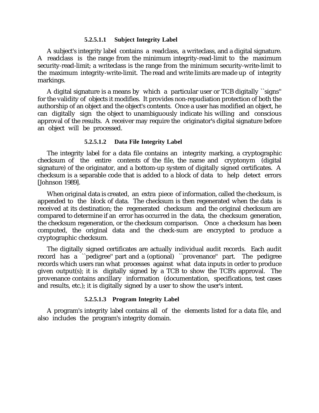#### **5.2.5.1.1 Subject Integrity Label**

A subject's integrity label contains a readclass, a writeclass, and a digital signature. A readclass is the range from the minimum integrity-read-limit to the maximum security-read-limit; a writeclass is the range from the minimum security-write-limit to the maximum integrity-write-limit. The read and write limits are made up of integrity markings.

A digital signature is a means by which a particular user or TCB digitally ``signs'' for the validity of objects it modifies. It provides non-repudiation protection of both the authorship of an object and the object's contents. Once a user has modified an object, he can digitally sign the object to unambiguously indicate his willing and conscious approval of the results. A receiver may require the originator's digital signature before an object will be processed.

#### **5.2.5.1.2 Data File Integrity Label**

The integrity label for a data file contains an integrity marking, a cryptographic checksum of the entire contents of the file, the name and cryptonym (digital signature) of the originator, and a bottom-up system of digitally signed certificates. A checksum is a separable code that is added to a block of data to help detect errors [Johnson 1989].

When original data is created, an extra piece of information, called the checksum, is appended to the block of data. The checksum is then regenerated when the data is received at its destination; the regenerated checksum and the original checksum are compared to determine if an error has occurred in the data, the checksum generation, the checksum regeneration, or the checksum comparison. Once a checksum has been computed, the original data and the check-sum are encrypted to produce a cryptographic checksum.

The digitally signed certificates are actually individual audit records. Each audit record has a ``pedigree'' part and a (optional) ``provenance'' part. The pedigree records which users ran what processes against what data inputs in order to produce given output(s); it is digitally signed by a TCB to show the TCB's approval. The provenance contains ancillary information (documentation, specifications, test cases and results, etc.); it is digitally signed by a user to show the user's intent.

#### **5.2.5.1.3 Program Integrity Label**

A program's integrity label contains all of the elements listed for a data file, and also includes the program's integrity domain.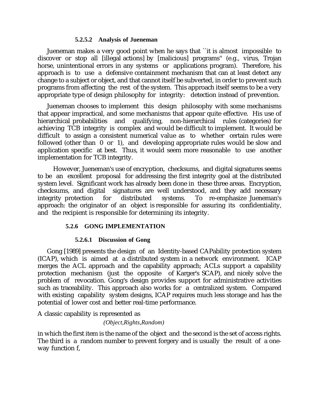# **5.2.5.2 Analysis of Jueneman**

Jueneman makes a very good point when he says that ``it is almost impossible to discover or stop all [illegal actions] by [malicious] programs'' (e.g., virus, Trojan horse, unintentional errors in any systems or applications program). Therefore, his approach is to use a defensive containment mechanism that can at least detect any change to a subject or object, and that cannot itself be subverted, in order to prevent such programs from affecting the rest of the system. This approach itself seems to be a very appropriate type of design philosophy for integrity: detection instead of prevention.

Jueneman chooses to implement this design philosophy with some mechanisms that appear impractical, and some mechanisms that appear quite effective. His use of hierarchical probabilities and qualifying, non-hierarchical rules (categories) for achieving TCB integrity is complex and would be difficult to implement. It would be difficult to assign a consistent numerical value as to whether certain rules were followed (other than 0 or 1), and developing appropriate rules would be slow and application specific at best. Thus, it would seem more reasonable to use another implementation for TCB integrity.

 However, Jueneman's use of encryption, checksums, and digital signatures seems to be an excellent proposal for addressing the first integrity goal at the distributed system level. Significant work has already been done in these three areas. Encryption, checksums, and digital signatures are well understood, and they add necessary integrity protection for distributed systems. To re-emphasize Jueneman's approach: the originator of an object is responsible for assuring its confidentiality, and the recipient is responsible for determining its integrity.

# **5.2.6 GONG IMPLEMENTATION**

# **5.2.6.1 Discussion of Gong**

Gong [1989] presents the design of an Identity-based CAPability protection system (ICAP), which is aimed at a distributed system in a network environment. ICAP merges the ACL approach and the capability approach; ACLs support a capability protection mechanism (just the opposite of Karger's SCAP), and nicely solve the problem of revocation. Gong's design provides support for administrative activities such as traceability. This approach also works for a centralized system. Compared with existing capability system designs, ICAP requires much less storage and has the potential of lower cost and better real-time performance.

A classic capability is represented as

 *(Object,Rights,Random)*

in which the first item is the name of the object and the second is the set of access rights. The third is a random number to prevent forgery and is usually the result of a oneway function f,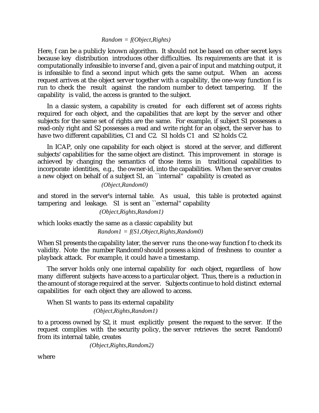## *Random = f(Object,Rights)*

Here, f can be a publicly known algorithm. It should not be based on other secret keys because key distribution introduces other difficulties. Its requirements are that it is computationally infeasible to inverse f and, given a pair of input and matching output, it is infeasible to find a second input which gets the same output. When an access request arrives at the object server together with a capability, the one-way function f is run to check the result against the random number to detect tampering. If the capability is valid, the access is granted to the subject.

In a classic system, a capability is created for each different set of access rights required for each object, and the capabilities that are kept by the server and other subjects for the same set of rights are the same. For example, if subject S1 possesses a read-only right and S2 possesses a read and write right for an object, the server has to have two different capabilities, C1 and C2. S1 holds C1 and S2 holds C2.

In ICAP, only one capability for each object is stored at the server, and different subjects' capabilities for the same object are distinct. This improvement in storage is achieved by changing the semantics of those items in traditional capabilities to incorporate identities, e.g., the owner-id, into the capabilities. When the server creates a new object on behalf of a subject S1, an ``internal'' capability is created as

 *(Object,Random0)*

and stored in the server's internal table. As usual, this table is protected against tampering and leakage. S1 is sent an ``external'' capability

 *(Object,Rights,Random1)*

which looks exactly the same as a classic capability but  *Random1 = f(S1,Object,Rights,Random0)*

When S1 presents the capability later, the server runs the one-way function f to check its validity. Note the number Random0 should possess a kind of freshness to counter a playback attack. For example, it could have a timestamp.

The server holds only one internal capability for each object, regardless of how many different subjects have access to a particular object. Thus, there is a reduction in the amount of storage required at the server. Subjects continue to hold distinct external capabilities for each object they are allowed to access.

When S1 wants to pass its external capability  *(Object,Rights,Random1)*

to a process owned by S2, it must explicitly present the request to the server. If the request complies with the security policy, the server retrieves the secret Random0 from its internal table, creates

 *(Object,Rights,Random2)*

where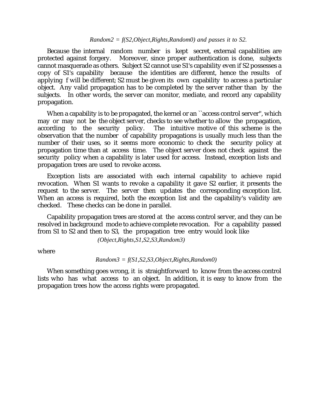#### *Random2 = f(S2,Object,Rights,Random0) and passes it to S2.*

Because the internal random number is kept secret, external capabilities are protected against forgery. Moreover, since proper authentication is done, subjects cannot masquerade as others. Subject S2 cannot use S1's capability even if S2 possesses a copy of S1's capability because the identities are different, hence the results of applying f will be different; S2 must be given its own capability to access a particular object. Any valid propagation has to be completed by the server rather than by the subjects. In other words, the server can monitor, mediate, and record any capability propagation.

When a capability is to be propagated, the kernel or an "access control server", which may or may not be the object server, checks to see whether to allow the propagation, according to the security policy. The intuitive motive of this scheme is the The intuitive motive of this scheme is the observation that the number of capability propagations is usually much less than the number of their uses, so it seems more economic to check the security policy at propagation time than at access time. The object server does not check against the security policy when a capability is later used for access. Instead, exception lists and propagation trees are used to revoke access.

Exception lists are associated with each internal capability to achieve rapid revocation. When S1 wants to revoke a capability it gave S2 earlier, it presents the request to the server. The server then updates the corresponding exception list. When an access is required, both the exception list and the capability's validity are checked. These checks can be done in parallel.

Capability propagation trees are stored at the access control server, and they can be resolved in background mode to achieve complete revocation. For a capability passed from S1 to S2 and then to S3, the propagation tree entry would look like

 *(Object,Rights,S1,S2,S3,Random3)*

where

#### *Random3 = f(S1,S2,S3,Object,Rights,Random0)*

When something goes wrong, it is straightforward to know from the access control lists who has what access to an object. In addition, it is easy to know from the propagation trees how the access rights were propagated.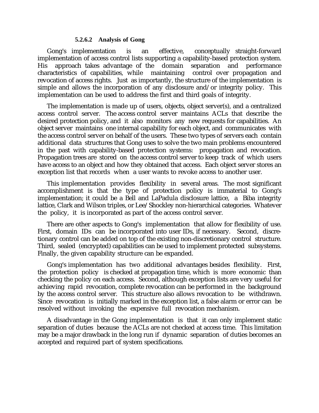#### **5.2.6.2 Analysis of Gong**

Gong's implementation is an effective, conceptually straight-forward implementation of access control lists supporting a capability-based protection system. His approach takes advantage of the domain separation and performance characteristics of capabilities, while maintaining control over propagation and revocation of access rights. Just as importantly, the structure of the implementation is simple and allows the incorporation of any disclosure and/or integrity policy. This implementation can be used to address the first and third goals of integrity.

The implementation is made up of users, objects, object server(s), and a centralized access control server. The access control server maintains ACLs that describe the desired protection policy, and it also monitors any new requests for capabilities. An object server maintains one internal capability for each object, and communicates with the access control server on behalf of the users. These two types of servers each contain additional data structures that Gong uses to solve the two main problems encountered in the past with capability-based protection systems: propagation and revocation. Propagation trees are stored on the access control server to keep track of which users have access to an object and how they obtained that access. Each object server stores an exception list that records when a user wants to revoke access to another user.

This implementation provides flexibility in several areas. The most significant accomplishment is that the type of protection policy is immaterial to Gong's implementation; it could be a Bell and LaPadula disclosure lattice, a Biba integrity lattice, Clark and Wilson triples, or Lee/Shockley non-hierarchical categories. Whatever the policy, it is incorporated as part of the access control server.

There are other aspects to Gong's implementation that allow for flexibility of use. First, domain IDs can be incorporated into user IDs, if necessary. Second, discretionary control can be added on top of the existing non-discretionary control structure. Third, sealed (encrypted) capabilities can be used to implement protected subsystems. Finally, the given capability structure can be expanded.

Gong's implementation has two additional advantages besides flexibility. First, the protection policy is checked at propagation time, which is more economic than checking the policy on each access. Second, although exception lists are very useful for achieving rapid revocation, complete revocation can be performed in the background by the access control server. This structure also allows revocation to be withdrawn. Since revocation is initially marked in the exception list, a false alarm or error can be resolved without invoking the expensive full revocation mechanism.

A disadvantage in the Gong implementation is that it can only implement static separation of duties because the ACLs are not checked at access time. This limitation may be a major drawback in the long run if dynamic separation of duties becomes an accepted and required part of system specifications.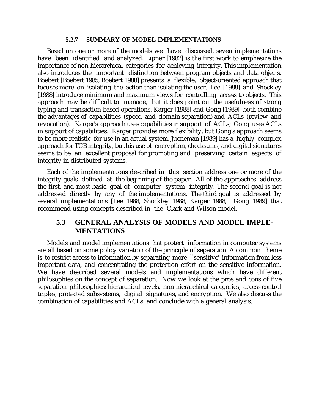## **5.2.7 SUMMARY OF MODEL IMPLEMENTATIONS**

Based on one or more of the models we have discussed, seven implementations have been identified and analyzed. Lipner [1982] is the first work to emphasize the importance of non-hierarchical categories for achieving integrity. This implementation also introduces the important distinction between program objects and data objects. Boebert [Boebert 1985, Boebert 1988] presents a flexible, object-oriented approach that focuses more on isolating the action than isolating the user. Lee [1988] and Shockley [1988] introduce minimum and maximum views for controlling access to objects. This approach may be difficult to manage, but it does point out the usefulness of strong typing and transaction-based operations. Karger [1988] and Gong [1989] both combine the advantages of capabilities (speed and domain separation) and ACLs (review and revocation). Karger's approach uses capabilities in support of ACLs; Gong uses ACLs in support of capabilities. Karger provides more flexibility, but Gong's approach seems to be more realistic for use in an actual system. Jueneman [1989] has a highly complex approach for TCB integrity, but his use of encryption, checksums, and digital signatures seems to be an excellent proposal for promoting and preserving certain aspects of integrity in distributed systems.

Each of the implementations described in this section address one or more of the integrity goals defined at the beginning of the paper. All of the approaches address the first, and most basic, goal of computer system integrity. The second goal is not addressed directly by any of the implementations. The third goal is addressed by several implementations [Lee 1988, Shockley 1988, Karger 1988, Gong 1989] that recommend using concepts described in the Clark and Wilson model.

# **5.3 GENERAL ANALYSIS OF MODELS AND MODEL IMPLE-MENTATIONS**

Models and model implementations that protect information in computer systems are all based on some policy variation of the principle of separation. A common theme is to restrict access to information by separating more ``sensitive'' information from less important data, and concentrating the protection effort on the sensitive information. We have described several models and implementations which have different philosophies on the concept of separation. Now we look at the pros and cons of five separation philosophies: hierarchical levels, non-hierarchical categories, access control triples, protected subsystems, digital signatures, and encryption. We also discuss the combination of capabilities and ACLs, and conclude with a general analysis.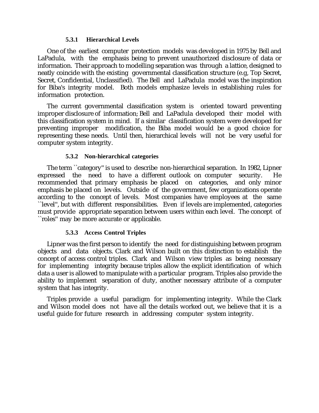## **5.3.1 Hierarchical Levels**

One of the earliest computer protection models was developed in 1975 by Bell and LaPadula, with the emphasis being to prevent unauthorized disclosure of data or information. Their approach to modelling separation was through a lattice, designed to neatly coincide with the existing governmental classification structure (e.g, Top Secret, Secret, Confidential, Unclassified). The Bell and LaPadula model was the inspiration for Biba's integrity model. Both models emphasize levels in establishing rules for information protection.

The current governmental classification system is oriented toward preventing improper disclosure of information; Bell and LaPadula developed their model with this classification system in mind. If a similar classification system were developed for preventing improper modification, the Biba model would be a good choice for representing these needs. Until then, hierarchical levels will not be very useful for computer system integrity.

# **5.3.2 Non-hierarchical categories**

The term ``category'' is used to describe non-hierarchical separation. In 1982, Lipner expressed the need to have a different outlook on computer security. He recommended that primary emphasis be placed on categories, and only minor emphasis be placed on levels. Outside of the government, few organizations operate according to the concept of levels. Most companies have employees at the same ``level'', but with different responsibilities. Even if levels are implemented, categories must provide appropriate separation between users within each level. The concept of ``roles'' may be more accurate or applicable.

# **5.3.3 Access Control Triples**

Lipner was the first person to identify the need for distinguishing between program objects and data objects. Clark and Wilson built on this distinction to establish the concept of access control triples. Clark and Wilson view triples as being necessary for implementing integrity because triples allow the explicit identification of which data a user is allowed to manipulate with a particular program. Triples also provide the ability to implement separation of duty, another necessary attribute of a computer system that has integrity.

Triples provide a useful paradigm for implementing integrity. While the Clark and Wilson model does not have all the details worked out, we believe that it is a useful guide for future research in addressing computer system integrity.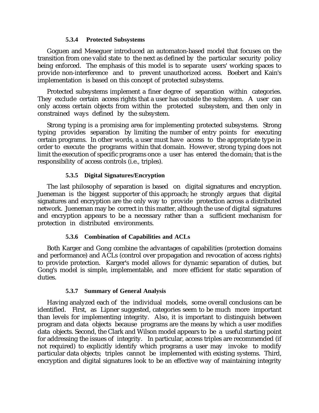## **5.3.4 Protected Subsystems**

Goguen and Meseguer introduced an automaton-based model that focuses on the transition from one valid state to the next as defined by the particular security policy being enforced. The emphasis of this model is to separate users' working spaces to provide non-interference and to prevent unauthorized access. Boebert and Kain's implementation is based on this concept of protected subsystems.

Protected subsystems implement a finer degree of separation within categories. They exclude certain access rights that a user has outside the subsystem. A user can only access certain objects from within the protected subsystem, and then only in constrained ways defined by the subsystem.

Strong typing is a promising area for implementing protected subsystems. Strong typing provides separation by limiting the number of entry points for executing certain programs. In other words, a user must have access to the appropriate type in order to execute the programs within that domain. However, strong typing does not limit the execution of specific programs once a user has entered the domain; that is the responsibility of access controls (i.e., triples).

# **5.3.5 Digital Signatures/Encryption**

The last philosophy of separation is based on digital signatures and encryption. Jueneman is the biggest supporter of this approach; he strongly argues that digital signatures and encryption are the only way to provide protection across a distributed network. Jueneman may be correct in this matter, although the use of digital signatures and encryption appears to be a necessary rather than a sufficient mechanism for protection in distributed environments.

# **5.3.6 Combination of Capabilities and ACLs**

Both Karger and Gong combine the advantages of capabilities (protection domains and performance) and ACLs (control over propagation and revocation of access rights) to provide protection. Karger's model allows for dynamic separation of duties, but Gong's model is simple, implementable, and more efficient for static separation of duties.

# **5.3.7 Summary of General Analysis**

Having analyzed each of the individual models, some overall conclusions can be identified. First, as Lipner suggested, categories seem to be much more important than levels for implementing integrity. Also, it is important to distinguish between program and data objects because programs are the means by which a user modifies data objects. Second, the Clark and Wilson model appears to be a useful starting point for addressing the issues of integrity. In particular, access triples are recommended (if not required) to explicitly identify which programs a user may invoke to modify particular data objects; triples cannot be implemented with existing systems. Third, encryption and digital signatures look to be an effective way of maintaining integrity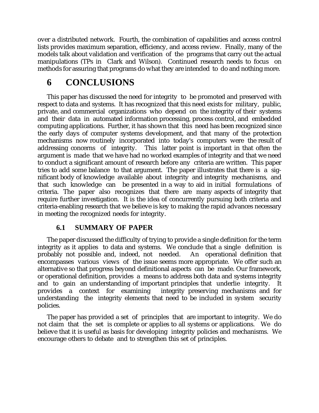over a distributed network. Fourth, the combination of capabilities and access control lists provides maximum separation, efficiency, and access review. Finally, many of the models talk about validation and verification of the programs that carry out the actual manipulations (TPs in Clark and Wilson). Continued research needs to focus on methods for assuring that programs do what they are intended to do and nothing more.

# **6 CONCLUSIONS**

This paper has discussed the need for integrity to be promoted and preserved with respect to data and systems. It has recognized that this need exists for military, public, private, and commercial organizations who depend on the integrity of their systems and their data in automated information processing, process control, and embedded computing applications. Further, it has shown that this need has been recognized since the early days of computer systems development, and that many of the protection mechanisms now routinely incorporated into today's computers were the result of addressing concerns of integrity. This latter point is important in that often the argument is made that we have had no worked examples of integrity and that we need to conduct a significant amount of research before any criteria are written. This paper tries to add some balance to that argument. The paper illustrates that there is a significant body of knowledge available about integrity and integrity mechanisms, and that such knowledge can be presented in a way to aid in initial formulations of criteria. The paper also recognizes that there are many aspects of integrity that require further investigation. It is the idea of concurrently pursuing both criteria and criteria-enabling research that we believe is key to making the rapid advances necessary in meeting the recognized needs for integrity.

# **6.1 SUMMARY OF PAPER**

The paper discussed the difficulty of trying to provide a single definition for the term integrity as it applies to data and systems. We conclude that a single definition is probably not possible and, indeed, not needed. An operational definition that encompasses various views of the issue seems more appropriate. We offer such an alternative so that progress beyond definitional aspects can be made. Our framework, or operational definition, provides a means to address both data and systems integrity and to gain an understanding of important principles that underlie integrity. It provides a context for examining integrity preserving mechanisms and for understanding the integrity elements that need to be included in system security policies.

The paper has provided a set of principles that are important to integrity. We do not claim that the set is complete or applies to all systems or applications. We do believe that it is useful as basis for developing integrity policies and mechanisms. We encourage others to debate and to strengthen this set of principles.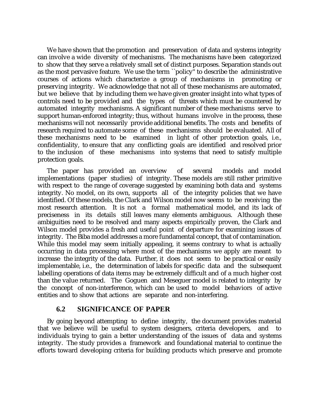We have shown that the promotion and preservation of data and systems integrity can involve a wide diversity of mechanisms. The mechanisms have been categorized to show that they serve a relatively small set of distinct purposes. Separation stands out as the most pervasive feature. We use the term ``policy'' to describe the administrative courses of actions which characterize a group of mechanisms in promoting or preserving integrity. We acknowledge that not all of these mechanisms are automated, but we believe that by including them we have given greater insight into what types of controls need to be provided and the types of threats which must be countered by automated integrity mechanisms. A significant number of these mechanisms serve to support human-enforced integrity; thus, without humans involve in the process, these mechanisms will not necessarily provide additional benefits. The costs and benefits of research required to automate some of these mechanisms should be evaluated. All of these mechanisms need to be examined in light of other protection goals, i.e., confidentiality, to ensure that any conflicting goals are identified and resolved prior to the inclusion of these mechanisms into systems that need to satisfy multiple protection goals.

The paper has provided an overview of several models and model implementations (paper studies) of integrity. These models are still rather primitive with respect to the range of coverage suggested by examining both data and systems integrity. No model, on its own, supports all of the integrity policies that we have identified. Of these models, the Clark and Wilson model now seems to be receiving the most research attention. It is not a formal mathematical model, and its lack of preciseness in its details still leaves many elements ambiguous. Although these ambiguities need to be resolved and many aspects empirically proven, the Clark and Wilson model provides a fresh and useful point of departure for examining issues of integrity. The Biba model addresses a more fundamental concept, that of contamination. While this model may seem initially appealing, it seems contrary to what is actually occurring in data processing where most of the mechanisms we apply are meant to increase the integrity of the data. Further, it does not seem to be practical or easily implementable, i.e., the determination of labels for specific data and the subsequent labelling operations of data items may be extremely difficult and of a much higher cost than the value returned. The Goguen and Meseguer model is related to integrity by the concept of non-interference, which can be used to model behaviors of active entities and to show that actions are separate and non-interfering.

# **6.2 SIGNIFICANCE OF PAPER**

By going beyond attempting to define integrity, the document provides material that we believe will be useful to system designers, criteria developers, and to individuals trying to gain a better understanding of the issues of data and systems integrity. The study provides a framework and foundational material to continue the efforts toward developing criteria for building products which preserve and promote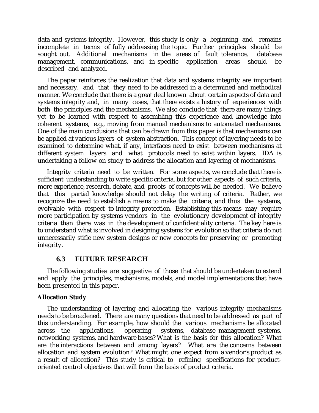data and systems integrity. However, this study is only a beginning and remains incomplete in terms of fully addressing the topic. Further principles should be sought out. Additional mechanisms in the areas of fault tolerance, database management, communications, and in specific application areas should be described and analyzed.

The paper reinforces the realization that data and systems integrity are important and necessary, and that they need to be addressed in a determined and methodical manner. We conclude that there is a great deal known about certain aspects of data and systems integrity and, in many cases, that there exists a history of experiences with both the principles and the mechanisms. We also conclude that there are many things yet to be learned with respect to assembling this experience and knowledge into coherent systems, e.g., moving from manual mechanisms to automated mechanisms. One of the main conclusions that can be drawn from this paper is that mechanisms can be applied at various layers of system abstraction. This concept of layering needs to be examined to determine what, if any, interfaces need to exist between mechanisms at different system layers and what protocols need to exist within layers. IDA is undertaking a follow-on study to address the allocation and layering of mechanisms.

Integrity criteria need to be written. For some aspects, we conclude that there is sufficient understanding to write specific criteria, but for other aspects of such criteria, more experience, research, debate, and proofs of concepts will be needed. We believe that this partial knowledge should not delay the writing of criteria. Rather, we recognize the need to establish a means to make the criteria, and thus the systems, evolvable with respect to integrity protection. Establishing this means may require more participation by systems vendors in the evolutionary development of integrity criteria than there was in the development of confidentiality criteria. The key here is to understand what is involved in designing systems for evolution so that criteria do not unnecessarily stifle new system designs or new concepts for preserving or promoting integrity.

# **6.3 FUTURE RESEARCH**

The following studies are suggestive of those that should be undertaken to extend and apply the principles, mechanisms, models, and model implementations that have been presented in this paper.

# **Allocation Study**

The understanding of layering and allocating the various integrity mechanisms needs to be broadened. There are many questions that need to be addressed as part of this understanding. For example, how should the various mechanisms be allocated across the applications, operating systems, database management systems, networking systems, and hardware bases? What is the basis for this allocation? What are the interactions between and among layers? What are the concerns between allocation and system evolution? What might one expect from a vendor's product as a result of allocation? This study is critical to refining specifications for productoriented control objectives that will form the basis of product criteria.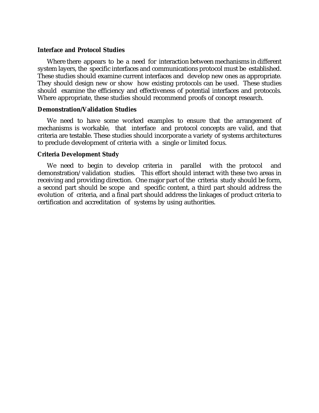### **Interface and Protocol Studies**

Where there appears to be a need for interaction between mechanisms in different system layers, the specific interfaces and communications protocol must be established. These studies should examine current interfaces and develop new ones as appropriate. They should design new or show how existing protocols can be used. These studies should examine the efficiency and effectiveness of potential interfaces and protocols. Where appropriate, these studies should recommend proofs of concept research.

### **Demonstration/Validation Studies**

We need to have some worked examples to ensure that the arrangement of mechanisms is workable, that interface and protocol concepts are valid, and that criteria are testable. These studies should incorporate a variety of systems architectures to preclude development of criteria with a single or limited focus.

### **Criteria Development Study**

We need to begin to develop criteria in parallel with the protocol and demonstration/validation studies. This effort should interact with these two areas in receiving and providing direction. One major part of the criteria study should be form, a second part should be scope and specific content, a third part should address the evolution of criteria, and a final part should address the linkages of product criteria to certification and accreditation of systems by using authorities.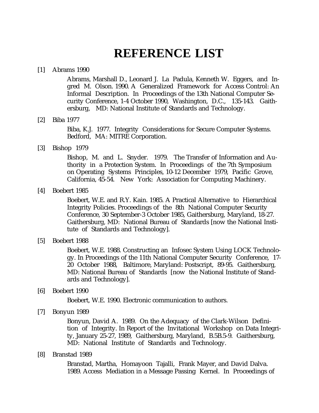# **REFERENCE LIST**

### [1] Abrams 1990

Abrams, Marshall D., Leonard J. La Padula, Kenneth W. Eggers, and Ingred M. Olson. 1990. A Generalized Framework for Access Control: An Informal Description. In Proceedings of the 13th National Computer Security Conference, 1-4 October 1990, Washington, D.C., 135-143. Gaithersburg, MD: National Institute of Standards and Technology.

### [2] Biba 1977

Biba, K.J. 1977. Integrity Considerations for Secure Computer Systems. Bedford, MA: MITRE Corporation.

[3] Bishop 1979

Bishop, M. and L. Snyder. 1979. The Transfer of Information and Authority in a Protection System. In Proceedings of the 7th Symposium on Operating Systems Principles, 10-12 December 1979, Pacific Grove, California, 45-54. New York: Association for Computing Machinery.

[4] Boebert 1985

Boebert, W.E. and R.Y. Kain. 1985. A Practical Alternative to Hierarchical Integrity Policies. Proceedings of the 8th National Computer Security Conference, 30 September-3 October 1985, Gaithersburg, Maryland, 18-27. Gaithersburg, MD: National Bureau of Standards [now the National Institute of Standards and Technology].

[5] Boebert 1988

Boebert, W.E. 1988. Constructing an Infosec System Using LOCK Technology. In Proceedings of the 11th National Computer Security Conference, 17- 20 October 1988, Baltimore, Maryland: Postscript, 89-95. Gaithersburg, MD: National Bureau of Standards [now the National Institute of Standards and Technology].

[6] Boebert 1990

Boebert, W.E. 1990. Electronic communication to authors.

[7] Bonyun 1989

Bonyun, David A. 1989. On the Adequacy of the Clark-Wilson Definition of Integrity. In Report of the Invitational Workshop on Data Integrity, January 25-27, 1989, Gaithersburg, Maryland, B.5B.5-9. Gaithersburg, MD: National Institute of Standards and Technology.

[8] Branstad 1989

Branstad, Martha, Homayoon Tajalli, Frank Mayer, and David Dalva. 1989. Access Mediation in a Message Passing Kernel. In Proceedings of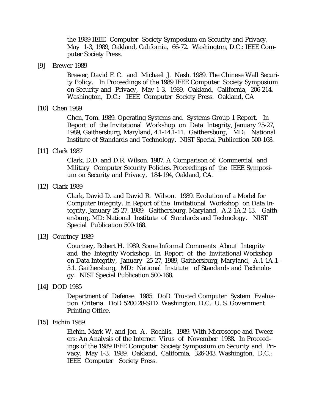the 1989 IEEE Computer Society Symposium on Security and Privacy, May 1-3, 1989, Oakland, California, 66-72. Washington, D.C.: IEEE Computer Society Press.

[9] Brewer 1989

Brewer, David F. C. and Michael J. Nash. 1989. The Chinese Wall Security Policy. In Proceedings of the 1989 IEEE Computer Society Symposium on Security and Privacy, May 1-3, 1989, Oakland, California, 206-214. Washington, D.C.: IEEE Computer Society Press. Oakland, CA

[10] Chen 1989

Chen, Tom. 1989. Operating Systems and Systems-Group 1 Report. In Report of the Invitational Workshop on Data Integrity, January 25-27, 1989, Gaithersburg, Maryland, 4.1-14.1-11. Gaithersburg, MD: National Institute of Standards and Technology. NIST Special Publication 500-168.

[11] Clark 1987

Clark, D.D. and D.R. Wilson. 1987. A Comparison of Commercial and Military Computer Security Policies. Proceedings of the IEEE Symposium on Security and Privacy, 184-194, Oakland, CA.

[12] Clark 1989

Clark, David D. and David R. Wilson. 1989. Evolution of a Model for Computer Integrity. In Report of the Invitational Workshop on Data Integrity, January 25-27, 1989, Gaithersburg, Maryland, A.2-1A.2-13. Gaithersburg, MD: National Institute of Standards and Technology. NIST Special Publication 500-168.

[13] Courtney 1989

Courtney, Robert H. 1989. Some Informal Comments About Integrity and the Integrity Workshop. In Report of the Invitational Workshop on Data Integrity, January 25-27, 1989, Gaithersburg, Maryland, A.1-1A.1- 5.1. Gaithersburg, MD: National Institute of Standards and Technology. NIST Special Publication 500-168.

[14] DOD 1985

Department of Defense. 1985. DoD Trusted Computer System Evaluation Criteria. DoD 5200.28-STD. Washington, D.C.: U. S. Government Printing Office.

[15] Eichin 1989

Eichin, Mark W. and Jon A. Rochlis. 1989. With Microscope and Tweezers: An Analysis of the Internet Virus of November 1988. In Proceedings of the 1989 IEEE Computer Society Symposium on Security and Privacy, May 1-3, 1989, Oakland, California, 326-343. Washington, D.C.: IEEE Computer Society Press.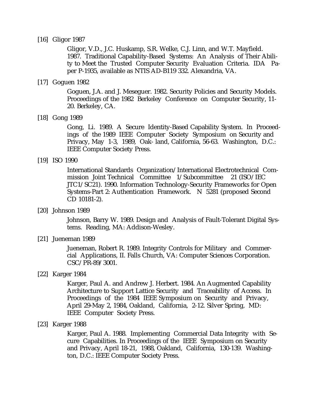### [16] Gligor 1987

Gligor, V.D., J.C. Huskamp, S.R. Welke, C.J. Linn, and W.T. Mayfield. 1987. Traditional Capability-Based Systems: An Analysis of Their Ability to Meet the Trusted Computer Security Evaluation Criteria. IDA Paper P-1935, available as NTIS AD-B119 332. Alexandria, VA.

### [17] Goguen 1982

Goguen, J.A. and J. Meseguer. 1982. Security Policies and Security Models. Proceedings of the 1982 Berkeley Conference on Computer Security, 11- 20. Berkeley, CA.

### [18] Gong 1989

Gong, Li. 1989. A Secure Identity-Based Capability System. In Proceedings of the 1989 IEEE Computer Society Symposium on Security and Privacy, May 1-3, 1989, Oak- land, California, 56-63. Washington, D.C.: IEEE Computer Society Press.

### [19] ISO 1990

International Standards Organization/International Electrotechnical Commission Joint Technical Committee 1/Subcommittee 21 (ISO/IEC JTC1/SC21). 1990. Information Technology-Security Frameworks for Open Systems-Part 2: Authentication Framework. N 5281 (proposed Second CD 10181-2).

[20] Johnson 1989

Johnson, Barry W. 1989. Design and Analysis of Fault-Tolerant Digital Systems. Reading, MA: Addison-Wesley.

[21] Jueneman 1989

Jueneman, Robert R. 1989. Integrity Controls for Military and Commercial Applications, II. Falls Church, VA: Computer Sciences Corporation. CSC/PR-89/3001.

[22] Karger 1984

Karger, Paul A. and Andrew J. Herbert. 1984. An Augmented Capability Architecture to Support Lattice Security and Traceability of Access. In Proceedings of the 1984 IEEE Symposium on Security and Privacy, April 29-May 2, 1984, Oakland, California, 2-12. Silver Spring, MD: IEEE Computer Society Press.

[23] Karger 1988

Karger, Paul A. 1988. Implementing Commercial Data Integrity with Secure Capabilities. In Proceedings of the IEEE Symposium on Security and Privacy, April 18-21, 1988, Oakland, California, 130-139. Washington, D.C.: IEEE Computer Society Press.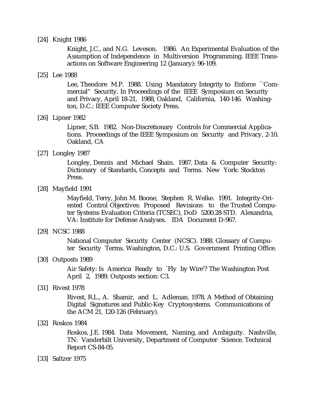### [24] Knight 1986

Knight, J.C., and N.G. Leveson. 1986. An Experimental Evaluation of the Assumption of Independence in Multiversion Programming. IEEE Transactions on Software Engineering 12 (January): 96-109.

### [25] Lee 1988

Lee, Theodore M.P. 1988. Using Mandatory Integrity to Enforce ``Commercial'' Security. In Proceedings of the IEEE Symposium on Security and Privacy, April 18-21, 1988, Oakland, California, 140-146. Washington, D.C.: IEEE Computer Society Press.

### [26] Lipner 1982

Lipner, S.B. 1982. Non-Discretionary Controls for Commercial Applications. Proceedings of the IEEE Symposium on Security and Privacy, 2-10. Oakland, CA

### [27] Longley 1987

Longley, Dennis and Michael Shain. 1987. Data & Computer Security: Dictionary of Standards, Concepts and Terms. New York: Stockton Press.

### [28] Mayfield 1991

Mayfield, Terry, John M. Boone, Stephen R. Welke. 1991. Integrity-Oriented Control Objectives: Proposed Revisions to the Trusted Computer Systems Evaluation Criteria (TCSEC), DoD 5200.28-STD. Alexandria, VA: Institute for Defense Analyses. IDA Document D-967.

### [29] NCSC 1988

National Computer Security Center (NCSC). 1988. Glossary of Computer Security Terms. Washington, D.C.: U.S. Government Printing Office.

### [30] Outposts 1989

Air Safety: Is America Ready to `Fly by Wire'? The Washington Post April 2, 1989. Outposts section: C3.

### [31] Rivest 1978

Rivest, R.L., A. Shamir, and L. Adleman. 1978. A Method of Obtaining Digital Signatures and Public-Key Cryptosystems. Communications of the ACM 21, 120-126 (February).

### [32] Roskos 1984

Roskos, J.E. 1984. Data Movement, Naming, and Ambiguity. Nashville, TN: Vanderbilt University, Department of Computer Science. Technical Report CS-84-05.

### [33] Saltzer 1975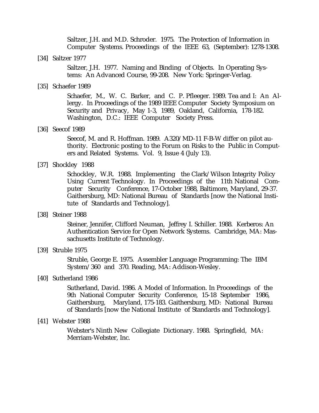Saltzer, J.H. and M.D. Schroder. 1975. The Protection of Information in Computer Systems. Proceedings of the IEEE 63, (September): 1278-1308.

[34] Saltzer 1977

Saltzer, J.H. 1977. Naming and Binding of Objects. In Operating Systems: An Advanced Course, 99-208. New York: Springer-Verlag.

#### [35] Schaefer 1989

Schaefer, M., W. C. Barker, and C. P. Pfleeger. 1989. Tea and I: An Allergy. In Proceedings of the 1989 IEEE Computer Society Symposium on Security and Privacy, May 1-3, 1989, Oakland, California, 178-182. Washington, D.C.: IEEE Computer Society Press.

### [36] Seecof 1989

Seecof, M. and R. Hoffman. 1989. A320/MD-11 F-B-W differ on pilot authority. Electronic posting to the Forum on Risks to the Public in Computers and Related Systems. Vol. 9, Issue 4 (July 13).

### [37] Shockley 1988

Schockley, W.R. 1988. Implementing the Clark/Wilson Integrity Policy Using Current Technology. In Proceedings of the 11th National Computer Security Conference, 17-October 1988, Baltimore, Maryland, 29-37. Gaithersburg, MD: National Bureau of Standards [now the National Institute of Standards and Technology].

[38] Steiner 1988

Steiner, Jennifer, Clifford Neuman, Jeffrey I. Schiller. 1988. Kerberos: An Authentication Service for Open Network Systems. Cambridge, MA: Massachusetts Institute of Technology.

[39] Struble 1975

Struble, George E. 1975. Assembler Language Programming: The IBM System/360 and 370. Reading, MA: Addison-Wesley.

### [40] Sutherland 1986

Sutherland, David. 1986. A Model of Information. In Proceedings of the 9th National Computer Security Conference, 15-18 September 1986, Gaithersburg, Maryland, 175-183. Gaithersburg, MD: National Bureau of Standards [now the National Institute of Standards and Technology].

### [41] Webster 1988

Webster's Ninth New Collegiate Dictionary. 1988. Springfield, MA: Merriam-Webster, Inc.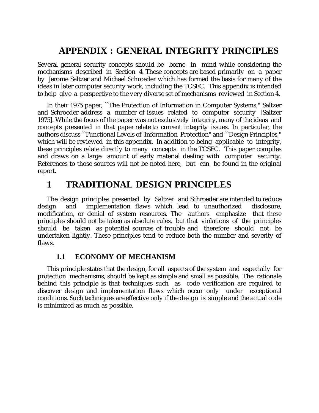## **APPENDIX : GENERAL INTEGRITY PRINCIPLES**

Several general security concepts should be borne in mind while considering the mechanisms described in Section 4. These concepts are based primarily on a paper by Jerome Saltzer and Michael Schroeder which has formed the basis for many of the ideas in later computer security work, including the TCSEC. This appendix is intended to help give a perspective to the very diverse set of mechanisms reviewed in Section 4.

In their 1975 paper, ``The Protection of Information in Computer Systems,'' Saltzer and Schroeder address a number of issues related to computer security [Saltzer 1975]. While the focus of the paper was not exclusively integrity, many of the ideas and concepts presented in that paper relate to current integrity issues. In particular, the authors discuss ``Functional Levels of Information Protection'' and ``Design Principles,'' which will be reviewed in this appendix. In addition to being applicable to integrity, these principles relate directly to many concepts in the TCSEC. This paper compiles and draws on a large amount of early material dealing with computer security. References to those sources will not be noted here, but can be found in the original report.

## **1 TRADITIONAL DESIGN PRINCIPLES**

The design principles presented by Saltzer and Schroeder are intended to reduce design and implementation flaws which lead to unauthorized disclosure, modification, or denial of system resources. The authors emphasize that these principles should not be taken as absolute rules, but that violations of the principles should be taken as potential sources of trouble and therefore should not be undertaken lightly. These principles tend to reduce both the number and severity of flaws.

## **1.1 ECONOMY OF MECHANISM**

This principle states that the design, for all aspects of the system and especially for protection mechanisms, should be kept as simple and small as possible. The rationale behind this principle is that techniques such as code verification are required to discover design and implementation flaws which occur only under exceptional conditions. Such techniques are effective only if the design is simple and the actual code is minimized as much as possible.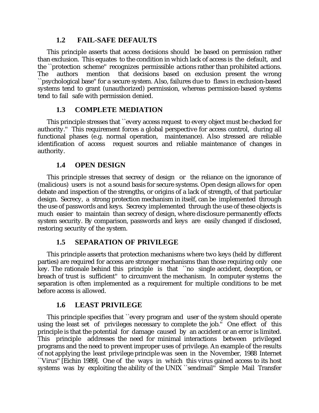### **1.2 FAIL-SAFE DEFAULTS**

This principle asserts that access decisions should be based on permission rather than exclusion. This equates to the condition in which lack of access is the default, and the ``protection scheme'' recognizes permissible actions rather than prohibited actions. The authors mention that decisions based on exclusion present the wrong ``psychological base'' for a secure system. Also, failures due to flaws in exclusion-based systems tend to grant (unauthorized) permission, whereas permission-based systems tend to fail safe with permission denied.

## **1.3 COMPLETE MEDIATION**

This principle stresses that ``every access request to every object must be checked for authority.'' This requirement forces a global perspective for access control, during all functional phases (e.g. normal operation, maintenance). Also stressed are reliable identification of access request sources and reliable maintenance of changes in authority.

### **1.4 OPEN DESIGN**

This principle stresses that secrecy of design or the reliance on the ignorance of (malicious) users is not a sound basis for secure systems. Open design allows for open debate and inspection of the strengths, or origins of a lack of strength, of that particular design. Secrecy, a strong protection mechanism in itself, can be implemented through the use of passwords and keys. Secrecy implemented through the use of these objects is much easier to maintain than secrecy of design, where disclosure permanently effects system security. By comparison, passwords and keys are easily changed if disclosed, restoring security of the system.

### **1.5 SEPARATION OF PRIVILEGE**

This principle asserts that protection mechanisms where two keys (held by different parties) are required for access are stronger mechanisms than those requiring only one key. The rationale behind this principle is that ``no single accident, deception, or breach of trust is sufficient'' to circumvent the mechanism. In computer systems the separation is often implemented as a requirement for multiple conditions to be met before access is allowed.

## **1.6 LEAST PRIVILEGE**

This principle specifies that ``every program and user of the system should operate using the least set of privileges necessary to complete the job.'' One effect of this principle is that the potential for damage caused by an accident or an error is limited. This principle addresses the need for minimal interactions between privileged programs and the need to prevent improper uses of privilege. An example of the results of not applying the least privilege principle was seen in the November, 1988 Internet ``Virus'' [Eichin 1989]. One of the ways in which this virus gained access to its host systems was by exploiting the ability of the UNIX ``sendmail" Simple Mail Transfer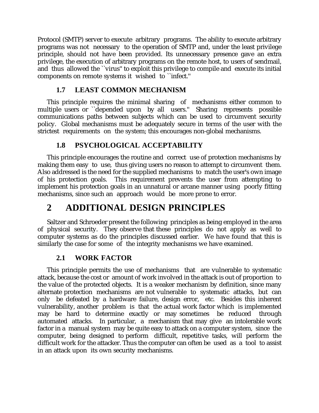Protocol (SMTP) server to execute arbitrary programs. The ability to execute arbitrary programs was not necessary to the operation of SMTP and, under the least privilege principle, should not have been provided. Its unnecessary presence gave an extra privilege, the execution of arbitrary programs on the remote host, to users of sendmail, and thus allowed the ``virus'' to exploit this privilege to compile and execute its initial components on remote systems it wished to ``infect.''

## **1.7 LEAST COMMON MECHANISM**

This principle requires the minimal sharing of mechanisms either common to multiple users or ``depended upon by all users." Sharing represents possible communications paths between subjects which can be used to circumvent security policy. Global mechanisms must be adequately secure in terms of the user with the strictest requirements on the system; this encourages non-global mechanisms.

## **1.8 PSYCHOLOGICAL ACCEPTABILITY**

This principle encourages the routine and correct use of protection mechanisms by making them easy to use, thus giving users no reason to attempt to circumvent them. Also addressed is the need for the supplied mechanisms to match the user's own image of his protection goals. This requirement prevents the user from attempting to implement his protection goals in an unnatural or arcane manner using poorly fitting mechanisms, since such an approach would be more prone to error.

## **2 ADDITIONAL DESIGN PRINCIPLES**

Saltzer and Schroeder present the following principles as being employed in the area of physical security. They observe that these principles do not apply as well to computer systems as do the principles discussed earlier. We have found that this is similarly the case for some of the integrity mechanisms we have examined.

## **2.1 WORK FACTOR**

This principle permits the use of mechanisms that are vulnerable to systematic attack, because the cost or amount of work involved in the attack is out of proportion to the value of the protected objects. It is a weaker mechanism by definition, since many alternate protection mechanisms are not vulnerable to systematic attacks, but can only be defeated by a hardware failure, design error, etc. Besides this inherent vulnerability, another problem is that the actual work factor which is implemented may be hard to determine exactly or may sometimes be reduced through automated attacks. In particular, a mechanism that may give an intolerable work factor in a manual system may be quite easy to attack on a computer system, since the computer, being designed to perform difficult, repetitive tasks, will perform the difficult work for the attacker. Thus the computer can often be used as a tool to assist in an attack upon its own security mechanisms.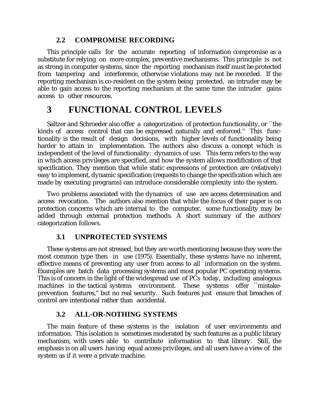### **2.2 COMPROMISE RECORDING**

This principle calls for the accurate reporting of information compromise as a substitute for relying on more complex, preventive mechanisms. This principle is not as strong in computer systems, since the reporting mechanism itself must be protected from tampering and interference, otherwise violations may not be recorded. If the reporting mechanism is co-resident on the system being protected, an intruder may be able to gain access to the reporting mechanism at the same time the intruder gains access to other resources.

## **3 FUNCTIONAL CONTROL LEVELS**

Saltzer and Schroeder also offer a categorization of protection functionality, or ``the kinds of access control that can be expressed naturally and enforced.'' This functionality is the result of design decisions, with higher levels of functionality being harder to attain in implementation. The authors also discuss a concept which is independent of the level of functionality: dynamics of use. This term refers to the way in which access privileges are specified, and how the system allows modification of that specification. They mention that while static expressions of protection are (relatively) easy to implement, dynamic specification (requests to change the specification which are made by executing programs) can introduce considerable complexity into the system.

Two problems associated with the dynamics of use are access determination and access revocation. The authors also mention that while the focus of their paper is on protection concerns which are internal to the computer, some functionality may be added through external protection methods. A short summary of the authors' categorization follows.

## **3.1 UNPROTECTED SYSTEMS**

These systems are not stressed, but they are worth mentioning because they were the most common type then in use (1975). Essentially, these systems have no inherent, effective means of preventing any user from access to all information on the system. Examples are batch data processing systems and most popular PC operating systems. This is of concern in the light of the widespread use of PCs today, including analogous machines in the tactical systems environment. These systems offer ``mistakeprevention features,'' but no real security. Such features just ensure that breaches of control are intentional rather than accidental.

## **3.2 ALL-OR-NOTHING SYSTEMS**

The main feature of these systems is the isolation of user environments and information. This isolation is sometimes moderated by such features as a public library mechanism, with users able to contribute information to that library. Still, the emphasis is on all users having equal access privileges, and all users have a view of the system as if it were a private machine.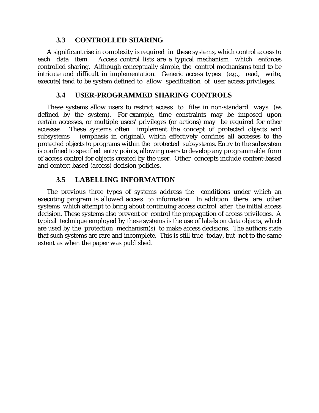### **3.3 CONTROLLED SHARING**

A significant rise in complexity is required in these systems, which control access to each data item. Access control lists are a typical mechanism which enforces controlled sharing. Although conceptually simple, the control mechanisms tend to be intricate and difficult in implementation. Generic access types (e.g., read, write, execute) tend to be system defined to allow specification of user access privileges.

### **3.4 USER-PROGRAMMED SHARING CONTROLS**

These systems allow users to restrict access to files in non-standard ways (as defined by the system). For example, time constraints may be imposed upon certain accesses, or multiple users' privileges (or actions) may be required for other accesses. These systems often implement the concept of protected objects and subsystems (emphasis in original), which effectively confines all accesses to the protected objects to programs within the protected subsystems. Entry to the subsystem is confined to specified entry points, allowing users to develop any programmable form of access control for objects created by the user. Other concepts include content-based and context-based (access) decision policies.

## **3.5 LABELLING INFORMATION**

The previous three types of systems address the conditions under which an executing program is allowed access to information. In addition there are other systems which attempt to bring about continuing access control after the initial access decision. These systems also prevent or control the propagation of access privileges. A typical technique employed by these systems is the use of labels on data objects, which are used by the protection mechanism(s) to make access decisions. The authors state that such systems are rare and incomplete. This is still true today, but not to the same extent as when the paper was published.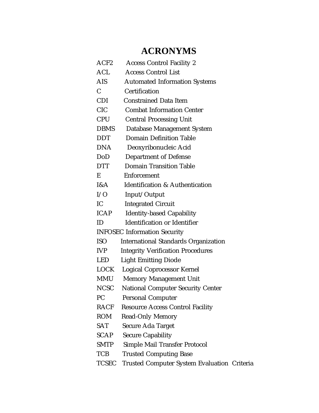## **ACRONYMS**

| ACF <sub>2</sub>                    | <b>Access Control Facility 2</b>                   |  |
|-------------------------------------|----------------------------------------------------|--|
| $\mathop{\rm ACL}\nolimits$         | <b>Access Control List</b>                         |  |
| AIS-                                | <b>Automated Information Systems</b>               |  |
| $\mathbf C$                         | Certification                                      |  |
| <b>CDI</b>                          | <b>Constrained Data Item</b>                       |  |
| <b>CIC</b>                          | <b>Combat Information Center</b>                   |  |
| <b>CPU</b>                          | <b>Central Processing Unit</b>                     |  |
| <b>DBMS</b>                         | Database Management System                         |  |
| <b>DDT</b>                          | <b>Domain Definition Table</b>                     |  |
| <b>DNA</b>                          | Deoxyribonucleic Acid                              |  |
| DoD                                 | <b>Department of Defense</b>                       |  |
| <b>DTT</b>                          | <b>Domain Transition Table</b>                     |  |
| E                                   | Enforcement                                        |  |
| I&A                                 | Identification & Authentication                    |  |
| I/O                                 | Input/Output                                       |  |
| IC                                  | <b>Integrated Circuit</b>                          |  |
| <b>ICAP</b>                         | <b>Identity-based Capability</b>                   |  |
| ID                                  | <b>Identification or Identifier</b>                |  |
| <b>INFOSEC Information Security</b> |                                                    |  |
| <b>ISO</b>                          | <b>International Standards Organization</b>        |  |
| <b>IVP</b>                          | <b>Integrity Verification Procedures</b>           |  |
| <b>LED</b>                          | <b>Light Emitting Diode</b>                        |  |
| LOCK                                | <b>Logical Coprocessor Kernel</b>                  |  |
| MMU                                 | <b>Memory Management Unit</b>                      |  |
| <b>NCSC</b>                         | <b>National Computer Security Center</b>           |  |
| <b>PC</b>                           | <b>Personal Computer</b>                           |  |
| <b>RACF</b>                         | <b>Resource Access Control Facility</b>            |  |
| <b>ROM</b>                          | <b>Read-Only Memory</b>                            |  |
| <b>SAT</b>                          | <b>Secure Ada Target</b>                           |  |
| <b>SCAP</b>                         | <b>Secure Capability</b>                           |  |
| <b>SMTP</b>                         | <b>Simple Mail Transfer Protocol</b>               |  |
| <b>TCB</b>                          | <b>Trusted Computing Base</b>                      |  |
| <b>TCSEC</b>                        | <b>Trusted Computer System Evaluation Criteria</b> |  |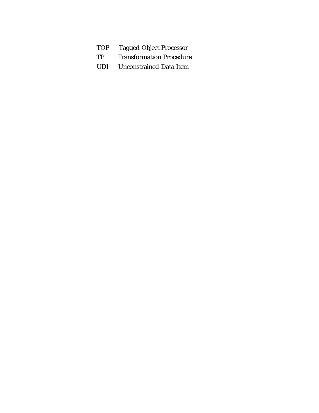- 
- TOP Tagged Object Processor<br>TP Transformation Procedure Transformation Procedure
- UDI Unconstrained Data Item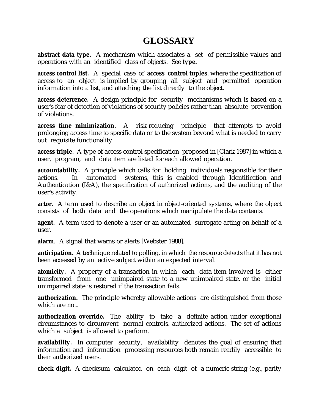## **GLOSSARY**

**abstract data type.** A mechanism which associates a set of permissible values and operations with an identified class of objects. See **type.**

**access control list.** A special case of **access control tuples**, where the specification of access to an object is implied by grouping all subject and permitted operation information into a list, and attaching the list directly to the object.

**access deterrence.** A design principle for security mechanisms which is based on a user's fear of detection of violations of security policies rather than absolute prevention of violations.

**access time minimization**. A risk-reducing principle that attempts to avoid prolonging access time to specific data or to the system beyond what is needed to carry out requisite functionality.

**access triple**. A type of access control specification proposed in [Clark 1987] in which a user, program, and data item are listed for each allowed operation.

**accountability.** A principle which calls for holding individuals responsible for their actions. In automated systems, this is enabled through Identification and Authentication (I&A), the specification of authorized actions, and the auditing of the user's activity.

**actor.** A term used to describe an object in object-oriented systems, where the object consists of both data and the operations which manipulate the data contents.

**agent.** A term used to denote a user or an automated surrogate acting on behalf of a user.

**alarm**. A signal that warns or alerts [Webster 1988].

**anticipation.** A technique related to polling, in which the resource detects that it has not been accessed by an active subject within an expected interval.

**atomicity.** A property of a transaction in which each data item involved is either transformed from one unimpaired state to a new unimpaired state, or the initial unimpaired state is restored if the transaction fails.

**authorization.** The principle whereby allowable actions are distinguished from those which are not.

**authorization override.** The ability to take a definite action under exceptional circumstances to circumvent normal controls. authorized actions. The set of actions which a subject is allowed to perform.

**availability.** In computer security, availability denotes the goal of ensuring that information and information processing resources both remain readily accessible to their authorized users.

**check digit.** A checksum calculated on each digit of a numeric string (e.g., parity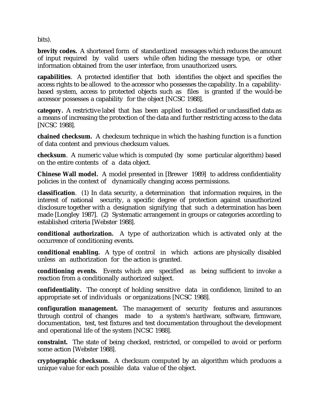bits).

**brevity codes.** A shortened form of standardized messages which reduces the amount of input required by valid users while often hiding the message type, or other information obtained from the user interface, from unauthorized users.

**capabilities**. A protected identifier that both identifies the object and specifies the access rights to be allowed to the accessor who possesses the capability. In a capabilitybased system, access to protected objects such as files is granted if the would-be accessor possesses a capability for the object [NCSC 1988].

**category.** A restrictive label that has been applied to classified or unclassified data as a means of increasing the protection of the data and further restricting access to the data [NCSC 1988].

**chained checksum.** A checksum technique in which the hashing function is a function of data content and previous checksum values.

**checksum**. A numeric value which is computed (by some particular algorithm) based on the entire contents of a data object.

**Chinese Wall model.** A model presented in [Brewer 1989] to address confidentiality policies in the context of dynamically changing access permissions.

**classification**. (1) In data security, a determination that information requires, in the interest of national security, a specific degree of protection against unauthorized disclosure together with a designation signifying that such a determination has been made [Longley 1987]. (2) Systematic arrangement in groups or categories according to established criteria [Webster 1988].

**conditional authorization.** A type of authorization which is activated only at the occurrence of conditioning events.

**conditional enabling.** A type of control in which actions are physically disabled unless an authorization for the action is granted.

**conditioning events.** Events which are specified as being sufficient to invoke a reaction from a conditionally authorized subject.

**confidentiality.** The concept of holding sensitive data in confidence, limited to an appropriate set of individuals or organizations [NCSC 1988].

**configuration management.** The management of security features and assurances through control of changes made to a system's hardware, software, firmware, documentation, test, test fixtures and test documentation throughout the development and operational life of the system [NCSC 1988].

**constraint.** The state of being checked, restricted, or compelled to avoid or perform some action [Webster 1988].

**cryptographic checksum.** A checksum computed by an algorithm which produces a unique value for each possible data value of the object.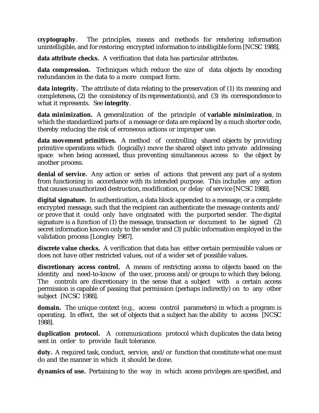**cryptography**. The principles, means and methods for rendering information unintelligible, and for restoring encrypted information to intelligible form [NCSC 1988].

**data attribute checks.** A verification that data has particular attributes.

**data compression.** Techniques which reduce the size of data objects by encoding redundancies in the data to a more compact form.

**data integrity.** The attribute of data relating to the preservation of (1) its meaning and completeness, (2) the consistency of its representation(s), and (3) its correspondence to what it represents. See **integrity**.

**data minimization.** A generalization of the principle of **variable minimization**, in which the standardized parts of a message or data are replaced by a much shorter code, thereby reducing the risk of erroneous actions or improper use.

**data movement primitives.** A method of controlling shared objects by providing primitive operations which (logically) move the shared object into private addressing space when being accessed, thus preventing simultaneous access to the object by another process.

**denial of service.** Any action or series of actions that prevent any part of a system from functioning in accordance with its intended purpose. This includes any action that causes unauthorized destruction, modification, or delay of service [NCSC 1988].

**digital signature.** In authentication, a data block appended to a message, or a complete encrypted message, such that the recipient can authenticate the message contents and/ or prove that it could only have originated with the purported sender. The digital signature is a function of (1) the message, transaction or document to be signed (2) secret information known only to the sender and (3) public information employed in the validation process [Longley 1987].

**discrete value checks.** A verification that data has either certain permissible values or does not have other restricted values, out of a wider set of possible values.

**discretionary access control.** A means of restricting access to objects based on the identity and need-to-know of the user, process and/or groups to which they belong. The controls are discretionary in the sense that a subject with a certain access permission is capable of passing that permission (perhaps indirectly) on to any other subject [NCSC 1988].

**domain.** The unique context (e.g., access control parameters) in which a program is operating. In effect, the set of objects that a subject has the ability to access [NCSC 1988].

**duplication protocol.** A communications protocol which duplicates the data being sent in order to provide fault tolerance.

duty. A required task, conduct, service, and/or function that constitute what one must do and the manner in which it should be done.

**dynamics of use.** Pertaining to the way in which access privileges are specified, and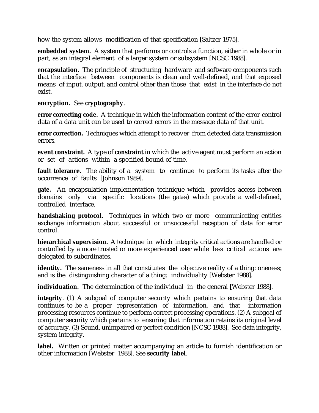how the system allows modification of that specification [Saltzer 1975].

**embedded system.** A system that performs or controls a function, either in whole or in part, as an integral element of a larger system or subsystem [NCSC 1988].

**encapsulation.** The principle of structuring hardware and software components such that the interface between components is clean and well-defined, and that exposed means of input, output, and control other than those that exist in the interface do not exist.

**encryption.** See **cryptography**.

**error correcting code.** A technique in which the information content of the error-control data of a data unit can be used to correct errors in the message data of that unit.

**error correction.** Techniques which attempt to recover from detected data transmission errors.

**event constraint.** A type of **constraint** in which the active agent must perform an action or set of actions within a specified bound of time.

**fault tolerance.** The ability of a system to continue to perform its tasks after the occurrence of faults [Johnson 1989].

**gate.** An encapsulation implementation technique which provides access between domains only via specific locations (the gates) which provide a well-defined, controlled interface.

**handshaking protocol.** Techniques in which two or more communicating entities exchange information about successful or unsuccessful reception of data for error control.

**hierarchical supervision.** A technique in which integrity critical actions are handled or controlled by a more trusted or more experienced user while less critical actions are delegated to subordinates.

**identity.** The sameness in all that constitutes the objective reality of a thing: oneness; and is the distinguishing character of a thing: individuality [Webster 1988].

**individuation.** The determination of the individual in the general [Webster 1988].

**integrity**. (1) A subgoal of computer security which pertains to ensuring that data continues to be a proper representation of information, and that information processing resources continue to perform correct processing operations. (2) A subgoal of computer security which pertains to ensuring that information retains its original level of accuracy. (3) Sound, unimpaired or perfect condition [NCSC 1988]. See data integrity, system integrity.

**label.** Written or printed matter accompanying an article to furnish identification or other information [Webster 1988]. See **security label**.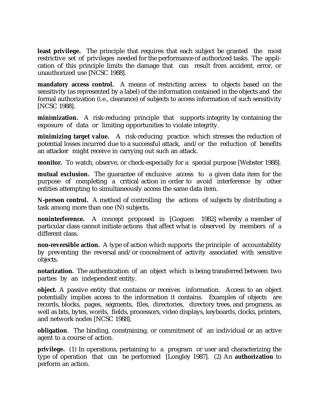**least privilege.** The principle that requires that each subject be granted the most restrictive set of privileges needed for the performance of authorized tasks. The application of this principle limits the damage that can result from accident, error, or unauthorized use [NCSC 1988].

**mandatory access control.** A means of restricting access to objects based on the sensitivity (as represented by a label) of the information contained in the objects and the formal authorization (i.e., clearance) of subjects to access information of such sensitivity [NCSC 1988].

**minimization.** A risk-reducing principle that supports integrity by containing the exposure of data or limiting opportunities to violate integrity.

**minimizing target value.** A risk-reducing practice which stresses the reduction of potential losses incurred due to a successful attack, and/or the reduction of benefits an attacker might receive in carrying out such an attack.

**monitor.** To watch, observe, or check-especially for a special purpose [Webster 1988].

**mutual exclusion.** The guarantee of exclusive access to a given data item for the purpose of completing a critical action in order to avoid interference by other entities attempting to simultaneously access the same data item.

**N-person control.** A method of controlling the actions of subjects by distributing a task among more than one (N) subjects.

**noninterference.** A concept proposed in [Goguen 1982] whereby a member of particular class cannot initiate actions that affect what is observed by members of a different class.

**non-reversible action.** A type of action which supports the principle of accountability by preventing the reversal and/or concealment of activity associated with sensitive objects.

**notarization.** The authentication of an object which is being transferred between two parties by an independent entity.

**object.** A passive entity that contains or receives information. Access to an object potentially implies access to the information it contains. Examples of objects are records, blocks, pages, segments, files, directories, directory trees, and programs, as well as bits, bytes, words, fields, processors, video displays, keyboards, clocks, printers, and network nodes [NCSC 1988].

**obligation**. The binding, constraining, or commitment of an individual or an active agent to a course of action.

**privilege.** (1) In operations, pertaining to a program or user and characterizing the type of operation that can be performed [Longley 1987]. (2) An **authorization** to perform an action.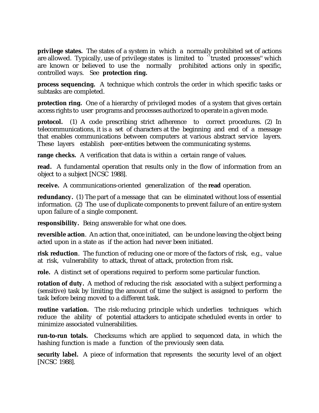**privilege states.** The states of a system in which a normally prohibited set of actions are allowed. Typically, use of privilege states is limited to ``trusted processes'' which are known or believed to use the normally prohibited actions only in specific, controlled ways. See **protection ring.**

**process sequencing.** A technique which controls the order in which specific tasks or subtasks are completed.

**protection ring.** One of a hierarchy of privileged modes of a system that gives certain access rights to user programs and processes authorized to operate in a given mode.

**protocol.** (1) A code prescribing strict adherence to correct procedures. (2) In telecommunications, it is a set of characters at the beginning and end of a message that enables communications between computers at various abstract service layers. These layers establish peer-entities between the communicating systems.

**range checks.** A verification that data is within a certain range of values.

**read.** A fundamental operation that results only in the flow of information from an object to a subject [NCSC 1988].

**receive.** A communications-oriented generalization of the **read** operation.

**redundancy.** (1) The part of a message that can be eliminated without loss of essential information. (2) The use of duplicate components to prevent failure of an entire system upon failure of a single component.

**responsibility.** Being answerable for what one does.

**reversible action**. An action that, once initiated, can be undone leaving the object being acted upon in a state as if the action had never been initiated.

**risk reduction**. The function of reducing one or more of the factors of risk, e.g., value at risk, vulnerability to attack, threat of attack, protection from risk.

**role.** A distinct set of operations required to perform some particular function.

**rotation of duty.** A method of reducing the risk associated with a subject performing a (sensitive) task by limiting the amount of time the subject is assigned to perform the task before being moved to a different task.

**routine variation.** The risk-reducing principle which underlies techniques which reduce the ability of potential attackers to anticipate scheduled events in order to minimize associated vulnerabilities.

**run-to-run totals.** Checksums which are applied to sequenced data, in which the hashing function is made a function of the previously seen data.

**security label.** A piece of information that represents the security level of an object [NCSC 1988].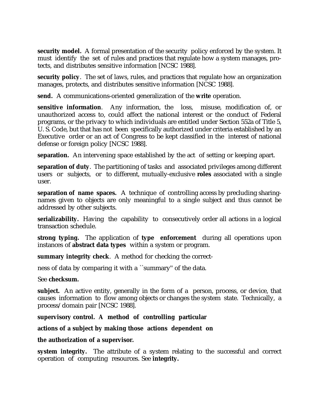**security model.** A formal presentation of the security policy enforced by the system. It must identify the set of rules and practices that regulate how a system manages, protects, and distributes sensitive information [NCSC 1988].

**security policy**. The set of laws, rules, and practices that regulate how an organization manages, protects, and distributes sensitive information [NCSC 1988].

**send.** A communications-oriented generalization of the **write** operation.

**sensitive information**. Any information, the loss, misuse, modification of, or unauthorized access to, could affect the national interest or the conduct of Federal programs, or the privacy to which individuals are entitled under Section 552a of Title 5, U. S. Code, but that has not been specifically authorized under criteria established by an Executive order or an act of Congress to be kept classified in the interest of national defense or foreign policy [NCSC 1988].

**separation.** An intervening space established by the act of setting or keeping apart.

**separation of duty**. The partitioning of tasks and associated privileges among different users or subjects, or to different, mutually-exclusive **roles** associated with a single user.

**separation of name spaces.** A technique of controlling access by precluding sharingnames given to objects are only meaningful to a single subject and thus cannot be addressed by other subjects.

**serializability.** Having the capability to consecutively order all actions in a logical transaction schedule.

**strong typing.** The application of **type enforcement** during all operations upon instances of **abstract data types** within a system or program.

**summary integrity check**. A method for checking the correct-

ness of data by comparing it with a ``summary'' of the data.

See **checksum.**

**subject.** An active entity, generally in the form of a person, process, or device, that causes information to flow among objects or changes the system state. Technically, a process/domain pair [NCSC 1988].

**supervisory control. A method of controlling particular**

**actions of a subject by making those actions dependent on**

### **the authorization of a supervisor.**

**system integrity.** The attribute of a system relating to the successful and correct operation of computing resources. See **integrity.**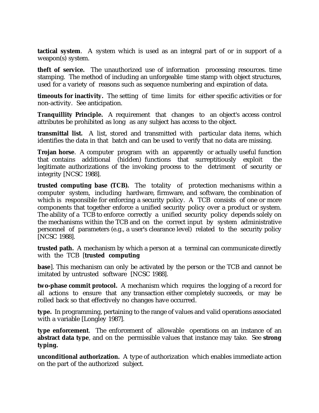**tactical system**. A system which is used as an integral part of or in support of a weapon(s) system.

**theft of service.** The unauthorized use of information processing resources. time stamping. The method of including an unforgeable time stamp with object structures, used for a variety of reasons such as sequence numbering and expiration of data.

**timeouts for inactivity.** The setting of time limits for either specific activities or for non-activity. See anticipation.

**Tranquillity Principle.** A requirement that changes to an object's access control attributes be prohibited as long as any subject has access to the object.

**transmittal list.** A list, stored and transmitted with particular data items, which identifies the data in that batch and can be used to verify that no data are missing.

**Trojan horse.** A computer program with an apparently or actually useful function that contains additional (hidden) functions that surreptitiously exploit the legitimate authorizations of the invoking process to the detriment of security or integrity [NCSC 1988].

**trusted computing base (TCB).** The totality of protection mechanisms within a computer system, including hardware, firmware, and software, the combination of which is responsible for enforcing a security policy. A TCB consists of one or more components that together enforce a unified security policy over a product or system. The ability of a TCB to enforce correctly a unified security policy depends solely on the mechanisms within the TCB and on the correct input by system administrative personnel of parameters (e.g., a user's clearance level) related to the security policy [NCSC 1988].

**trusted path.** A mechanism by which a person at a terminal can communicate directly with the TCB [**trusted computing**

**base**]. This mechanism can only be activated by the person or the TCB and cannot be imitated by untrusted software [NCSC 1988].

**two-phase commit protocol.** A mechanism which requires the logging of a record for all actions to ensure that any transaction either completely succeeds, or may be rolled back so that effectively no changes have occurred.

**type.** In programming, pertaining to the range of values and valid operations associated with a variable [Longley 1987].

**type enforcement**. The enforcement of allowable operations on an instance of an **abstract data type**, and on the permissible values that instance may take. See **strong typing.**

**unconditional authorization.** A type of authorization which enables immediate action on the part of the authorized subject.